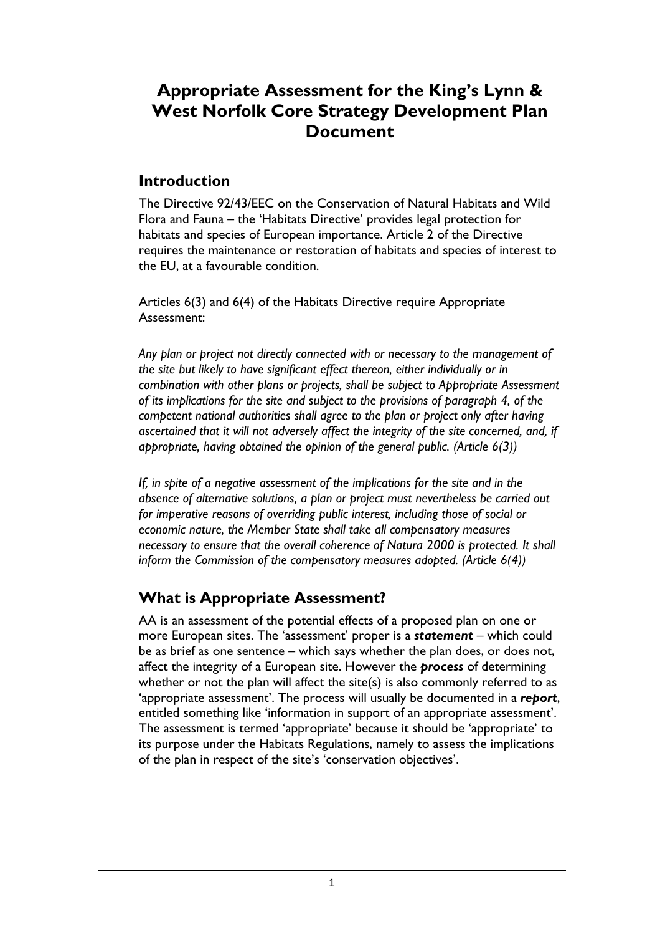# **Appropriate Assessment for the King's Lynn & West Norfolk Core Strategy Development Plan Document**

## **Introduction**

The Directive 92/43/EEC on the Conservation of Natural Habitats and Wild Flora and Fauna – the 'Habitats Directive' provides legal protection for habitats and species of European importance. Article 2 of the Directive requires the maintenance or restoration of habitats and species of interest to the EU, at a favourable condition.

Articles 6(3) and 6(4) of the Habitats Directive require Appropriate Assessment:

*Any plan or project not directly connected with or necessary to the management of the site but likely to have significant effect thereon, either individually or in combination with other plans or projects, shall be subject to Appropriate Assessment of its implications for the site and subject to the provisions of paragraph 4, of the competent national authorities shall agree to the plan or project only after having ascertained that it will not adversely affect the integrity of the site concerned, and, if appropriate, having obtained the opinion of the general public. (Article 6(3))* 

*If, in spite of a negative assessment of the implications for the site and in the absence of alternative solutions, a plan or project must nevertheless be carried out*  for imperative reasons of overriding public interest, including those of social or *economic nature, the Member State shall take all compensatory measures necessary to ensure that the overall coherence of Natura 2000 is protected. It shall inform the Commission of the compensatory measures adopted. (Article 6(4))* 

# **What is Appropriate Assessment?**

AA is an assessment of the potential effects of a proposed plan on one or more European sites. The 'assessment' proper is a *statement* – which could be as brief as one sentence – which says whether the plan does, or does not, affect the integrity of a European site. However the *process* of determining whether or not the plan will affect the site(s) is also commonly referred to as 'appropriate assessment'. The process will usually be documented in a *report*, entitled something like 'information in support of an appropriate assessment'. The assessment is termed 'appropriate' because it should be 'appropriate' to its purpose under the Habitats Regulations, namely to assess the implications of the plan in respect of the site's 'conservation objectives'.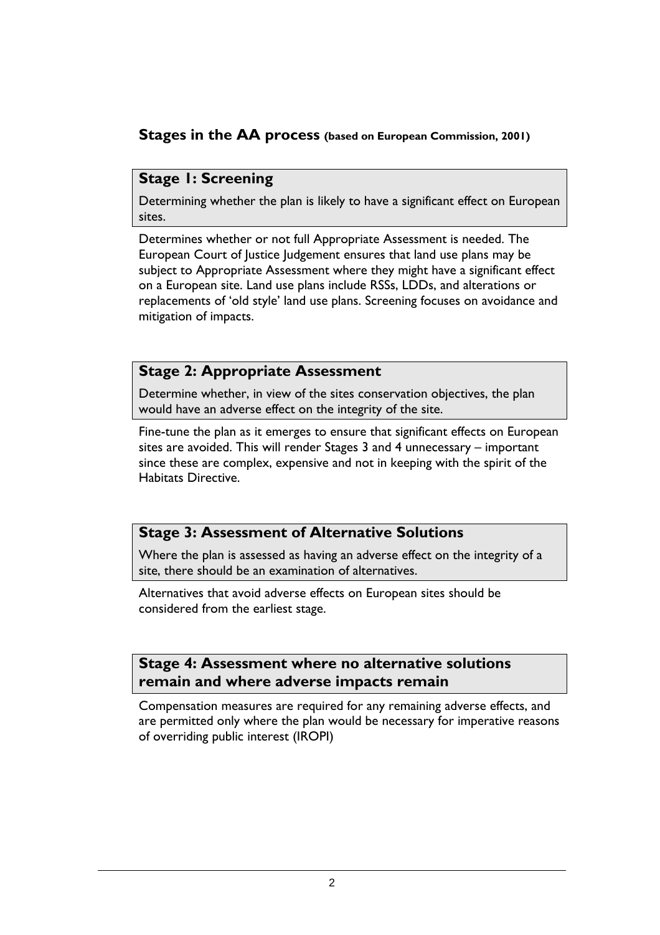# **Stages in the AA process (based on European Commission, 2001)**

## **Stage 1: Screening**

Determining whether the plan is likely to have a significant effect on European sites.

Determines whether or not full Appropriate Assessment is needed. The European Court of Justice Judgement ensures that land use plans may be subject to Appropriate Assessment where they might have a significant effect on a European site. Land use plans include RSSs, LDDs, and alterations or replacements of 'old style' land use plans. Screening focuses on avoidance and mitigation of impacts.

### **Stage 2: Appropriate Assessment**

Determine whether, in view of the sites conservation objectives, the plan would have an adverse effect on the integrity of the site.

Fine-tune the plan as it emerges to ensure that significant effects on European sites are avoided. This will render Stages 3 and 4 unnecessary – important since these are complex, expensive and not in keeping with the spirit of the Habitats Directive.

# **Stage 3: Assessment of Alternative Solutions**

Where the plan is assessed as having an adverse effect on the integrity of a site, there should be an examination of alternatives.

Alternatives that avoid adverse effects on European sites should be considered from the earliest stage.

## **Stage 4: Assessment where no alternative solutions remain and where adverse impacts remain**

Compensation measures are required for any remaining adverse effects, and are permitted only where the plan would be necessary for imperative reasons of overriding public interest (IROPI)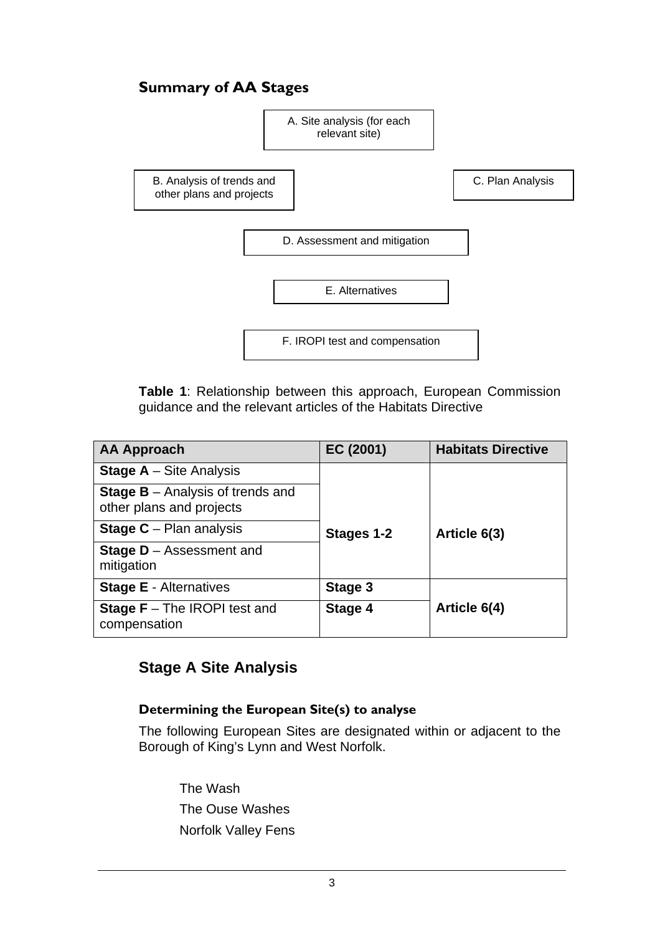# **Summary of AA Stages**



**Table 1**: Relationship between this approach, European Commission guidance and the relevant articles of the Habitats Directive

| <b>AA Approach</b>                                                    | EC (2001)  | <b>Habitats Directive</b> |
|-----------------------------------------------------------------------|------------|---------------------------|
| <b>Stage A</b> – Site Analysis                                        |            |                           |
| <b>Stage B</b> $-$ Analysis of trends and<br>other plans and projects |            |                           |
| <b>Stage C</b> – Plan analysis                                        | Stages 1-2 | Article 6(3)              |
| <b>Stage D</b> - Assessment and<br>mitigation                         |            |                           |
| <b>Stage E</b> - Alternatives                                         | Stage 3    |                           |
| <b>Stage F</b> $-$ The IROPI test and<br>compensation                 | Stage 4    | Article 6(4)              |

# **Stage A Site Analysis**

## **Determining the European Site(s) to analyse**

The following European Sites are designated within or adjacent to the Borough of King's Lynn and West Norfolk.

 The Wash The Ouse Washes Norfolk Valley Fens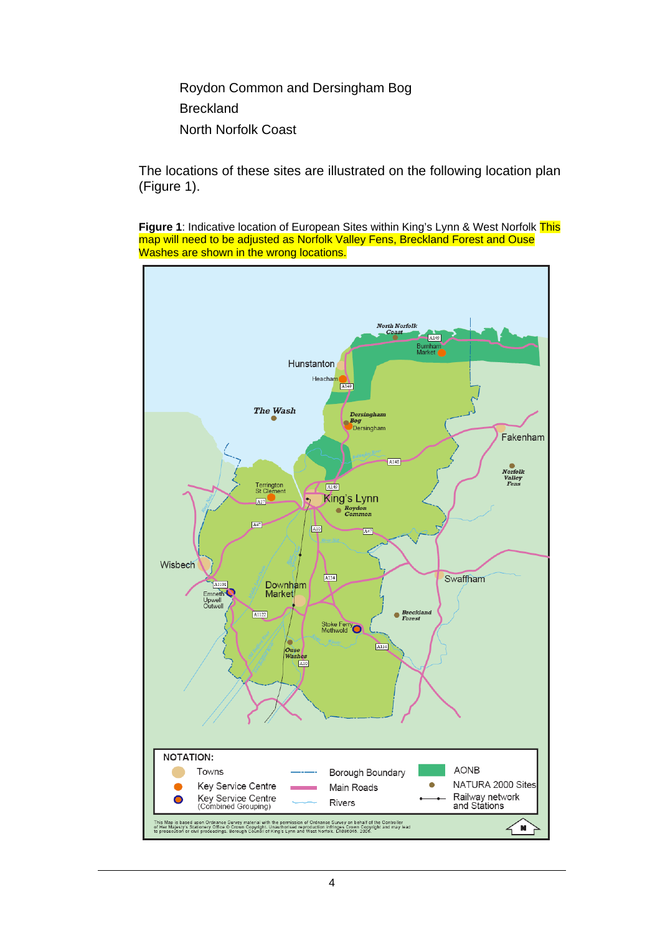Roydon Common and Dersingham Bog Breckland North Norfolk Coast

The locations of these sites are illustrated on the following location plan (Figure 1).

**Figure 1**: Indicative location of European Sites within King's Lynn & West Norfolk This map will need to be adjusted as Norfolk Valley Fens, Breckland Forest and Ouse Washes are shown in the wrong locations.

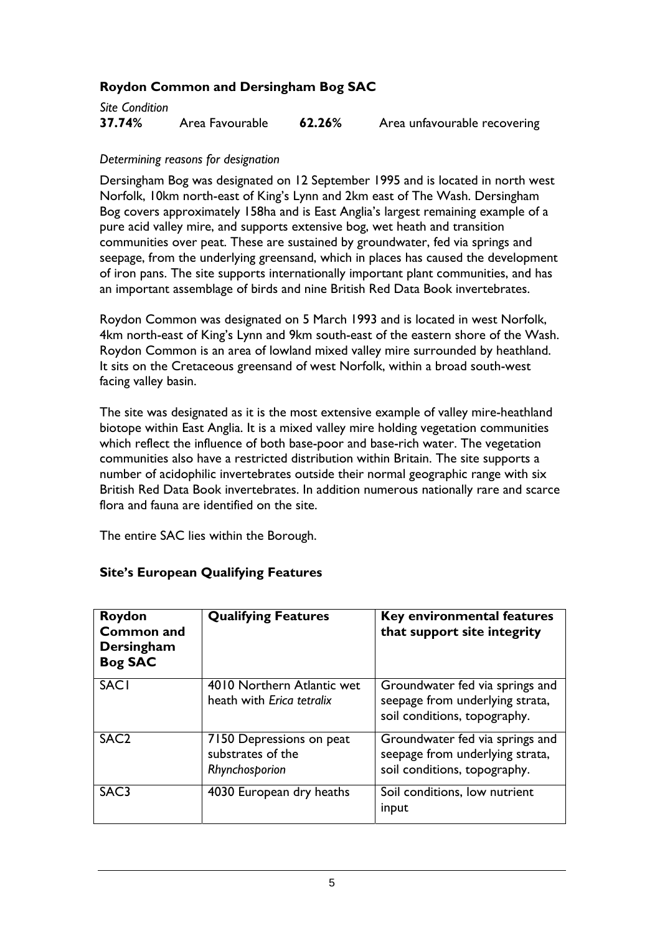#### **Roydon Common and Dersingham Bog SAC**

| Site Condition |                 |        |                              |
|----------------|-----------------|--------|------------------------------|
| 37.74%         | Area Favourable | 62.26% | Area unfavourable recovering |

#### *Determining reasons for designation*

Dersingham Bog was designated on 12 September 1995 and is located in north west Norfolk, 10km north-east of King's Lynn and 2km east of The Wash. Dersingham Bog covers approximately 158ha and is East Anglia's largest remaining example of a pure acid valley mire, and supports extensive bog, wet heath and transition communities over peat. These are sustained by groundwater, fed via springs and seepage, from the underlying greensand, which in places has caused the development of iron pans. The site supports internationally important plant communities, and has an important assemblage of birds and nine British Red Data Book invertebrates.

Roydon Common was designated on 5 March 1993 and is located in west Norfolk, 4km north-east of King's Lynn and 9km south-east of the eastern shore of the Wash. Roydon Common is an area of lowland mixed valley mire surrounded by heathland. It sits on the Cretaceous greensand of west Norfolk, within a broad south-west facing valley basin.

The site was designated as it is the most extensive example of valley mire-heathland biotope within East Anglia. It is a mixed valley mire holding vegetation communities which reflect the influence of both base-poor and base-rich water. The vegetation communities also have a restricted distribution within Britain. The site supports a number of acidophilic invertebrates outside their normal geographic range with six British Red Data Book invertebrates. In addition numerous nationally rare and scarce flora and fauna are identified on the site.

The entire SAC lies within the Borough.

| Roydon<br><b>Common and</b><br>Dersingham<br><b>Bog SAC</b> | <b>Qualifying Features</b>                                      | Key environmental features<br>that support site integrity                                          |
|-------------------------------------------------------------|-----------------------------------------------------------------|----------------------------------------------------------------------------------------------------|
| <b>SACI</b>                                                 | 4010 Northern Atlantic wet<br>heath with Erica tetralix         | Groundwater fed via springs and<br>seepage from underlying strata,<br>soil conditions, topography. |
| SAC <sub>2</sub>                                            | 7150 Depressions on peat<br>substrates of the<br>Rhynchosporion | Groundwater fed via springs and<br>seepage from underlying strata,<br>soil conditions, topography. |
| SAC <sub>3</sub>                                            | 4030 European dry heaths                                        | Soil conditions, low nutrient<br>input                                                             |

#### **Site's European Qualifying Features**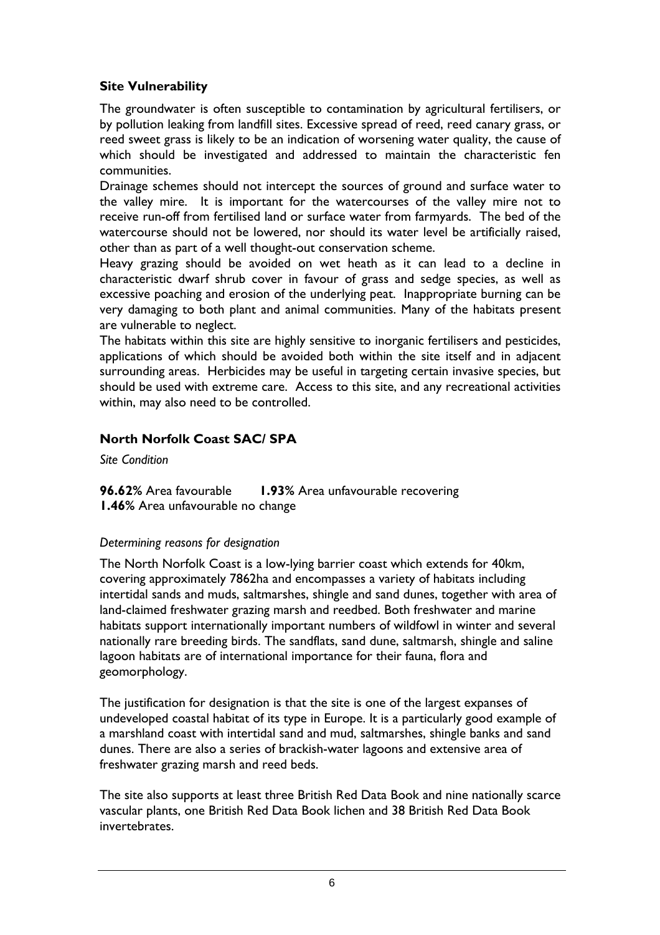#### **Site Vulnerability**

The groundwater is often susceptible to contamination by agricultural fertilisers, or by pollution leaking from landfill sites. Excessive spread of reed, reed canary grass, or reed sweet grass is likely to be an indication of worsening water quality, the cause of which should be investigated and addressed to maintain the characteristic fen communities.

Drainage schemes should not intercept the sources of ground and surface water to the valley mire. It is important for the watercourses of the valley mire not to receive run-off from fertilised land or surface water from farmyards. The bed of the watercourse should not be lowered, nor should its water level be artificially raised, other than as part of a well thought-out conservation scheme.

Heavy grazing should be avoided on wet heath as it can lead to a decline in characteristic dwarf shrub cover in favour of grass and sedge species, as well as excessive poaching and erosion of the underlying peat. Inappropriate burning can be very damaging to both plant and animal communities. Many of the habitats present are vulnerable to neglect.

The habitats within this site are highly sensitive to inorganic fertilisers and pesticides, applications of which should be avoided both within the site itself and in adjacent surrounding areas. Herbicides may be useful in targeting certain invasive species, but should be used with extreme care. Access to this site, and any recreational activities within, may also need to be controlled.

## **North Norfolk Coast SAC/ SPA**

*Site Condition* 

**96.62%** Area favourable **1.93%** Area unfavourable recovering **1.46%** Area unfavourable no change

#### *Determining reasons for designation*

The North Norfolk Coast is a low-lying barrier coast which extends for 40km, covering approximately 7862ha and encompasses a variety of habitats including intertidal sands and muds, saltmarshes, shingle and sand dunes, together with area of land-claimed freshwater grazing marsh and reedbed. Both freshwater and marine habitats support internationally important numbers of wildfowl in winter and several nationally rare breeding birds. The sandflats, sand dune, saltmarsh, shingle and saline lagoon habitats are of international importance for their fauna, flora and geomorphology.

The justification for designation is that the site is one of the largest expanses of undeveloped coastal habitat of its type in Europe. It is a particularly good example of a marshland coast with intertidal sand and mud, saltmarshes, shingle banks and sand dunes. There are also a series of brackish-water lagoons and extensive area of freshwater grazing marsh and reed beds.

The site also supports at least three British Red Data Book and nine nationally scarce vascular plants, one British Red Data Book lichen and 38 British Red Data Book invertebrates.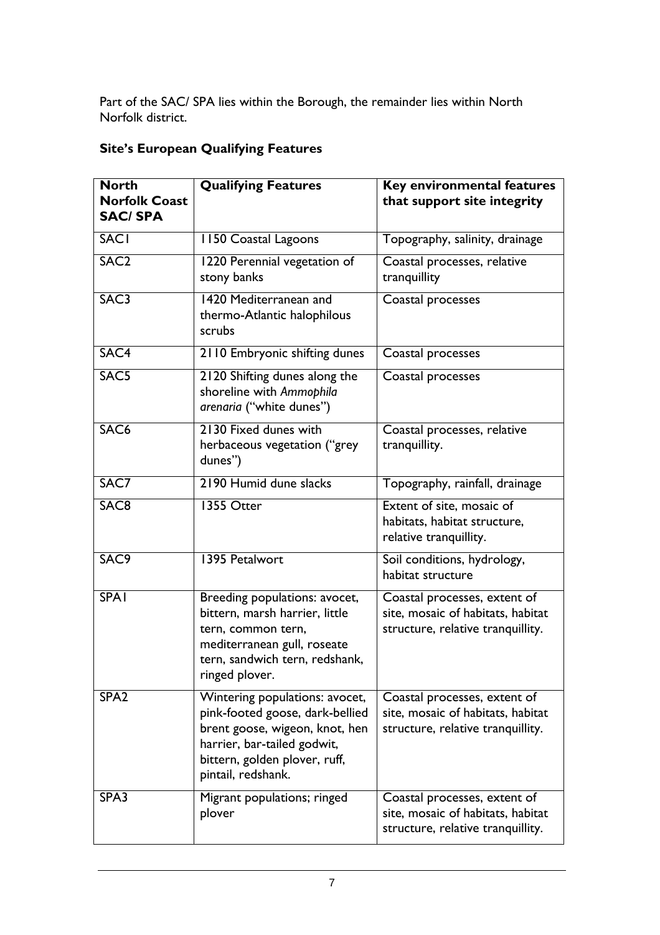Part of the SAC/ SPA lies within the Borough, the remainder lies within North Norfolk district.

|  |  | <b>Site's European Qualifying Features</b> |  |
|--|--|--------------------------------------------|--|
|--|--|--------------------------------------------|--|

| <b>North</b><br><b>Norfolk Coast</b><br><b>SAC/SPA</b> | <b>Qualifying Features</b>                                                                                                                                                                | Key environmental features<br>that support site integrity                                              |
|--------------------------------------------------------|-------------------------------------------------------------------------------------------------------------------------------------------------------------------------------------------|--------------------------------------------------------------------------------------------------------|
| <b>SACI</b>                                            | 1150 Coastal Lagoons                                                                                                                                                                      | Topography, salinity, drainage                                                                         |
| SAC <sub>2</sub>                                       | 1220 Perennial vegetation of<br>stony banks                                                                                                                                               | Coastal processes, relative<br>tranquillity                                                            |
| SAC <sub>3</sub>                                       | 1420 Mediterranean and<br>thermo-Atlantic halophilous<br>scrubs                                                                                                                           | Coastal processes                                                                                      |
| SAC4                                                   | 2110 Embryonic shifting dunes                                                                                                                                                             | Coastal processes                                                                                      |
| SAC5                                                   | 2120 Shifting dunes along the<br>shoreline with Ammophila<br>arenaria ("white dunes")                                                                                                     | Coastal processes                                                                                      |
| SAC <sub>6</sub>                                       | 2130 Fixed dunes with<br>herbaceous vegetation ("grey<br>dunes")                                                                                                                          | Coastal processes, relative<br>tranquillity.                                                           |
| SAC7                                                   | 2190 Humid dune slacks                                                                                                                                                                    | Topography, rainfall, drainage                                                                         |
| SAC <sub>8</sub>                                       | 1355 Otter                                                                                                                                                                                | Extent of site, mosaic of<br>habitats, habitat structure,<br>relative tranquillity.                    |
| SAC9                                                   | 1395 Petalwort                                                                                                                                                                            | Soil conditions, hydrology,<br>habitat structure                                                       |
| <b>SPA1</b>                                            | Breeding populations: avocet,<br>bittern, marsh harrier, little<br>tern, common tern,<br>mediterranean gull, roseate<br>tern, sandwich tern, redshank,<br>ringed plover.                  | Coastal processes, extent of<br>site, mosaic of habitats, habitat<br>structure, relative tranquillity. |
| SPA <sub>2</sub>                                       | Wintering populations: avocet,<br>pink-footed goose, dark-bellied<br>brent goose, wigeon, knot, hen<br>harrier, bar-tailed godwit,<br>bittern, golden plover, ruff,<br>pintail, redshank. | Coastal processes, extent of<br>site, mosaic of habitats, habitat<br>structure, relative tranquillity. |
| SPA3                                                   | Migrant populations; ringed<br>plover                                                                                                                                                     | Coastal processes, extent of<br>site, mosaic of habitats, habitat<br>structure, relative tranquillity. |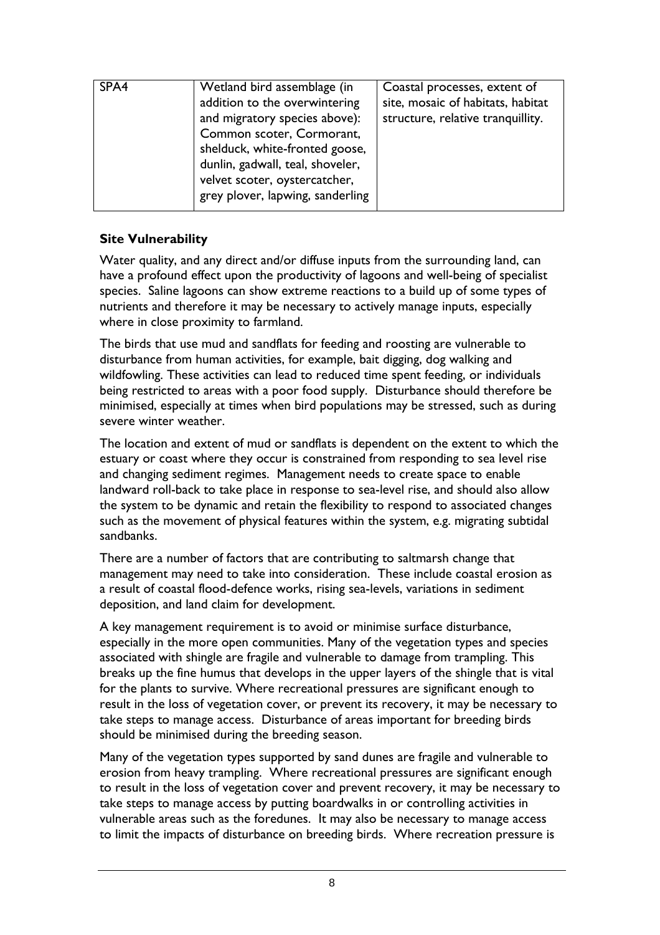| SPA4 | Wetland bird assemblage (in                                                                                                   | Coastal processes, extent of                                           |
|------|-------------------------------------------------------------------------------------------------------------------------------|------------------------------------------------------------------------|
|      | addition to the overwintering<br>and migratory species above):<br>Common scoter, Cormorant,<br>shelduck, white-fronted goose, | site, mosaic of habitats, habitat<br>structure, relative tranquillity. |
|      | dunlin, gadwall, teal, shoveler,<br>velvet scoter, oystercatcher,<br>grey plover, lapwing, sanderling                         |                                                                        |
|      |                                                                                                                               |                                                                        |

### **Site Vulnerability**

Water quality, and any direct and/or diffuse inputs from the surrounding land, can have a profound effect upon the productivity of lagoons and well-being of specialist species. Saline lagoons can show extreme reactions to a build up of some types of nutrients and therefore it may be necessary to actively manage inputs, especially where in close proximity to farmland.

The birds that use mud and sandflats for feeding and roosting are vulnerable to disturbance from human activities, for example, bait digging, dog walking and wildfowling. These activities can lead to reduced time spent feeding, or individuals being restricted to areas with a poor food supply. Disturbance should therefore be minimised, especially at times when bird populations may be stressed, such as during severe winter weather.

The location and extent of mud or sandflats is dependent on the extent to which the estuary or coast where they occur is constrained from responding to sea level rise and changing sediment regimes. Management needs to create space to enable landward roll-back to take place in response to sea-level rise, and should also allow the system to be dynamic and retain the flexibility to respond to associated changes such as the movement of physical features within the system, e.g. migrating subtidal sandbanks.

There are a number of factors that are contributing to saltmarsh change that management may need to take into consideration. These include coastal erosion as a result of coastal flood-defence works, rising sea-levels, variations in sediment deposition, and land claim for development.

A key management requirement is to avoid or minimise surface disturbance, especially in the more open communities. Many of the vegetation types and species associated with shingle are fragile and vulnerable to damage from trampling. This breaks up the fine humus that develops in the upper layers of the shingle that is vital for the plants to survive. Where recreational pressures are significant enough to result in the loss of vegetation cover, or prevent its recovery, it may be necessary to take steps to manage access. Disturbance of areas important for breeding birds should be minimised during the breeding season.

Many of the vegetation types supported by sand dunes are fragile and vulnerable to erosion from heavy trampling. Where recreational pressures are significant enough to result in the loss of vegetation cover and prevent recovery, it may be necessary to take steps to manage access by putting boardwalks in or controlling activities in vulnerable areas such as the foredunes. It may also be necessary to manage access to limit the impacts of disturbance on breeding birds. Where recreation pressure is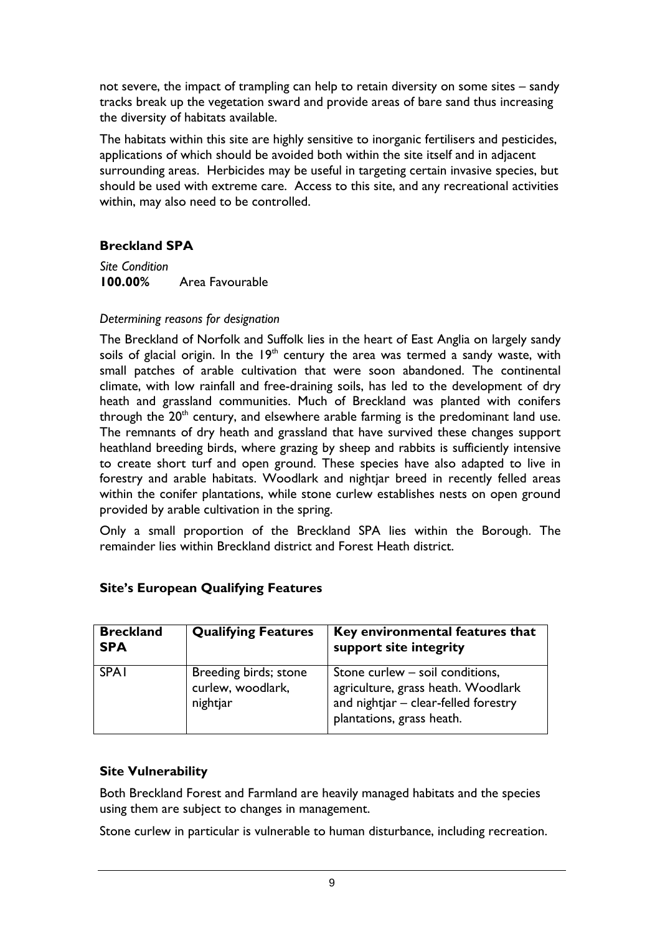not severe, the impact of trampling can help to retain diversity on some sites – sandy tracks break up the vegetation sward and provide areas of bare sand thus increasing the diversity of habitats available.

The habitats within this site are highly sensitive to inorganic fertilisers and pesticides, applications of which should be avoided both within the site itself and in adjacent surrounding areas. Herbicides may be useful in targeting certain invasive species, but should be used with extreme care. Access to this site, and any recreational activities within, may also need to be controlled.

#### **Breckland SPA**

*Site Condition*  **100.00%** Area Favourable

#### *Determining reasons for designation*

The Breckland of Norfolk and Suffolk lies in the heart of East Anglia on largely sandy soils of glacial origin. In the  $19<sup>th</sup>$  century the area was termed a sandy waste, with small patches of arable cultivation that were soon abandoned. The continental climate, with low rainfall and free-draining soils, has led to the development of dry heath and grassland communities. Much of Breckland was planted with conifers through the  $20<sup>th</sup>$  century, and elsewhere arable farming is the predominant land use. The remnants of dry heath and grassland that have survived these changes support heathland breeding birds, where grazing by sheep and rabbits is sufficiently intensive to create short turf and open ground. These species have also adapted to live in forestry and arable habitats. Woodlark and nightjar breed in recently felled areas within the conifer plantations, while stone curlew establishes nests on open ground provided by arable cultivation in the spring.

Only a small proportion of the Breckland SPA lies within the Borough. The remainder lies within Breckland district and Forest Heath district.

| <b>Breckland</b><br><b>SPA</b> | <b>Qualifying Features</b>                             | Key environmental features that<br>support site integrity                                                                                  |
|--------------------------------|--------------------------------------------------------|--------------------------------------------------------------------------------------------------------------------------------------------|
| <b>SPA1</b>                    | Breeding birds; stone<br>curlew, woodlark,<br>nightjar | Stone curlew – soil conditions,<br>agriculture, grass heath. Woodlark<br>and nightjar - clear-felled forestry<br>plantations, grass heath. |

#### **Site's European Qualifying Features**

#### **Site Vulnerability**

Both Breckland Forest and Farmland are heavily managed habitats and the species using them are subject to changes in management.

Stone curlew in particular is vulnerable to human disturbance, including recreation.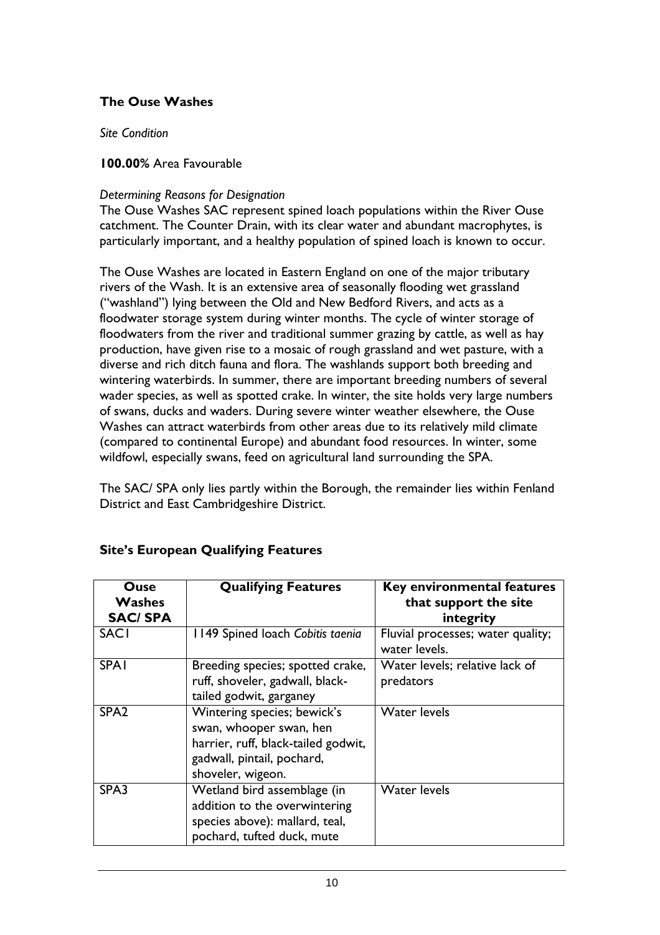#### **The Ouse Washes**

*Site Condition* 

#### **100.00%** Area Favourable

#### *Determining Reasons for Designation*

The Ouse Washes SAC represent spined loach populations within the River Ouse catchment. The Counter Drain, with its clear water and abundant macrophytes, is particularly important, and a healthy population of spined loach is known to occur.

The Ouse Washes are located in Eastern England on one of the major tributary rivers of the Wash. It is an extensive area of seasonally flooding wet grassland ("washland") lying between the Old and New Bedford Rivers, and acts as a floodwater storage system during winter months. The cycle of winter storage of floodwaters from the river and traditional summer grazing by cattle, as well as hay production, have given rise to a mosaic of rough grassland and wet pasture, with a diverse and rich ditch fauna and flora. The washlands support both breeding and wintering waterbirds. In summer, there are important breeding numbers of several wader species, as well as spotted crake. In winter, the site holds very large numbers of swans, ducks and waders. During severe winter weather elsewhere, the Ouse Washes can attract waterbirds from other areas due to its relatively mild climate (compared to continental Europe) and abundant food resources. In winter, some wildfowl, especially swans, feed on agricultural land surrounding the SPA.

The SAC/ SPA only lies partly within the Borough, the remainder lies within Fenland District and East Cambridgeshire District.

| Ouse<br><b>Washes</b><br><b>SAC/SPA</b> | <b>Qualifying Features</b>                                                                                                                       | <b>Key environmental features</b><br>that support the site<br>integrity |
|-----------------------------------------|--------------------------------------------------------------------------------------------------------------------------------------------------|-------------------------------------------------------------------------|
| <b>SACI</b>                             | 1149 Spined loach Cobitis taenia                                                                                                                 | Fluvial processes; water quality;<br>water levels.                      |
| <b>SPA1</b>                             | Breeding species; spotted crake,<br>ruff, shoveler, gadwall, black-<br>tailed godwit, garganey                                                   | Water levels; relative lack of<br>predators                             |
| SPA <sub>2</sub>                        | Wintering species; bewick's<br>swan, whooper swan, hen<br>harrier, ruff, black-tailed godwit,<br>gadwall, pintail, pochard,<br>shoveler, wigeon. | <b>Water levels</b>                                                     |
| SPA3                                    | Wetland bird assemblage (in<br>addition to the overwintering<br>species above): mallard, teal,<br>pochard, tufted duck, mute                     | <b>Water levels</b>                                                     |

## **Site's European Qualifying Features**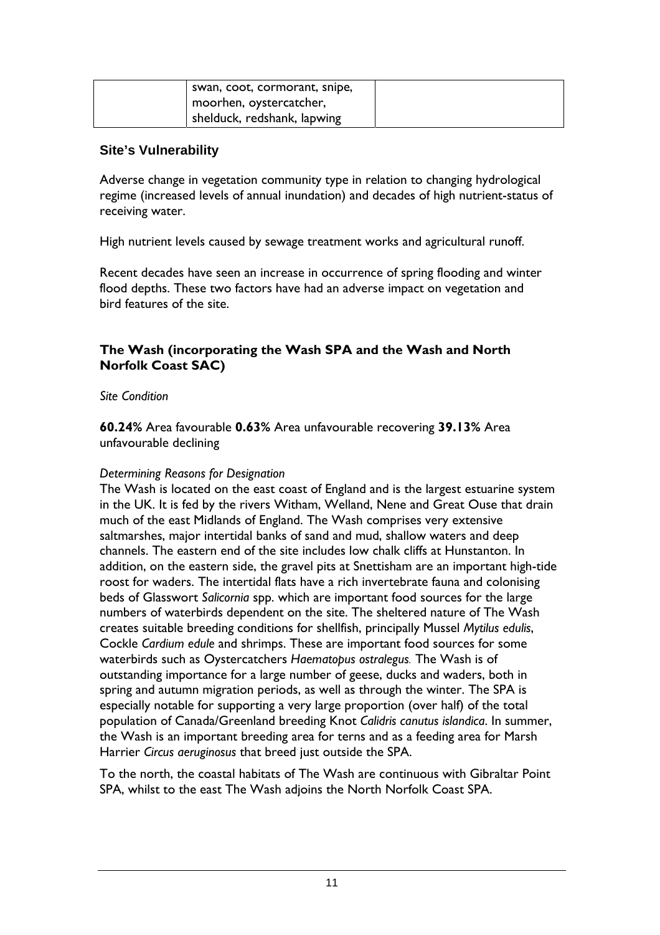| swan, coot, cormorant, snipe, |  |
|-------------------------------|--|
| moorhen, oystercatcher,       |  |
| shelduck, redshank, lapwing   |  |

#### **Site's Vulnerability**

Adverse change in vegetation community type in relation to changing hydrological regime (increased levels of annual inundation) and decades of high nutrient-status of receiving water.

High nutrient levels caused by sewage treatment works and agricultural runoff.

Recent decades have seen an increase in occurrence of spring flooding and winter flood depths. These two factors have had an adverse impact on vegetation and bird features of the site.

#### **The Wash (incorporating the Wash SPA and the Wash and North Norfolk Coast SAC)**

#### *Site Condition*

**60.24%** Area favourable **0.63%** Area unfavourable recovering **39.13%** Area unfavourable declining

#### *Determining Reasons for Designation*

The Wash is located on the east coast of England and is the largest estuarine system in the UK. It is fed by the rivers Witham, Welland, Nene and Great Ouse that drain much of the east Midlands of England. The Wash comprises very extensive saltmarshes, major intertidal banks of sand and mud, shallow waters and deep channels. The eastern end of the site includes low chalk cliffs at Hunstanton. In addition, on the eastern side, the gravel pits at Snettisham are an important high-tide roost for waders. The intertidal flats have a rich invertebrate fauna and colonising beds of Glasswort *Salicornia* spp. which are important food sources for the large numbers of waterbirds dependent on the site. The sheltered nature of The Wash creates suitable breeding conditions for shellfish, principally Mussel *Mytilus edulis*, Cockle *Cardium edule* and shrimps. These are important food sources for some waterbirds such as Oystercatchers *Haematopus ostralegus.* The Wash is of outstanding importance for a large number of geese, ducks and waders, both in spring and autumn migration periods, as well as through the winter. The SPA is especially notable for supporting a very large proportion (over half) of the total population of Canada/Greenland breeding Knot *Calidris canutus islandica*. In summer, the Wash is an important breeding area for terns and as a feeding area for Marsh Harrier *Circus aeruginosus* that breed just outside the SPA.

To the north, the coastal habitats of The Wash are continuous with Gibraltar Point SPA, whilst to the east The Wash adjoins the North Norfolk Coast SPA.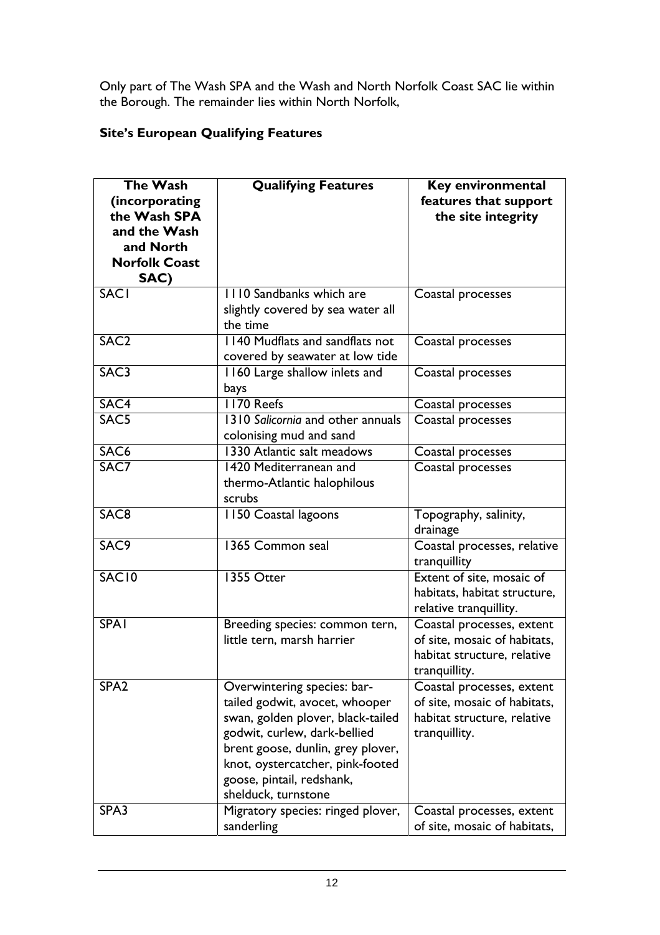Only part of The Wash SPA and the Wash and North Norfolk Coast SAC lie within the Borough. The remainder lies within North Norfolk,

## **Site's European Qualifying Features**

| <b>The Wash</b>      | <b>Qualifying Features</b>        | Key environmental                                                                   |
|----------------------|-----------------------------------|-------------------------------------------------------------------------------------|
| (incorporating       |                                   | features that support                                                               |
| the Wash SPA         |                                   | the site integrity                                                                  |
| and the Wash         |                                   |                                                                                     |
| and North            |                                   |                                                                                     |
| <b>Norfolk Coast</b> |                                   |                                                                                     |
| SAC)                 |                                   |                                                                                     |
| <b>SACI</b>          | 1110 Sandbanks which are          | Coastal processes                                                                   |
|                      | slightly covered by sea water all |                                                                                     |
|                      | the time                          |                                                                                     |
| SAC <sub>2</sub>     | 1140 Mudflats and sandflats not   | Coastal processes                                                                   |
|                      | covered by seawater at low tide   |                                                                                     |
| SAC <sub>3</sub>     | 1160 Large shallow inlets and     | Coastal processes                                                                   |
|                      | bays                              |                                                                                     |
| SAC4                 | <b>1170 Reefs</b>                 | Coastal processes                                                                   |
| SAC <sub>5</sub>     | 1310 Salicornia and other annuals | Coastal processes                                                                   |
|                      | colonising mud and sand           |                                                                                     |
| SAC <sub>6</sub>     | 1330 Atlantic salt meadows        | Coastal processes                                                                   |
| SAC7                 | 1420 Mediterranean and            | Coastal processes                                                                   |
|                      | thermo-Atlantic halophilous       |                                                                                     |
|                      | scrubs                            |                                                                                     |
| SAC <sub>8</sub>     | 1150 Coastal lagoons              | Topography, salinity,<br>drainage                                                   |
| SAC <sub>9</sub>     | 1365 Common seal                  | Coastal processes, relative<br>tranquillity                                         |
| SAC <sub>10</sub>    | 1355 Otter                        | Extent of site, mosaic of<br>habitats, habitat structure,<br>relative tranquillity. |
| <b>SPA1</b>          | Breeding species: common tern,    | Coastal processes, extent                                                           |
|                      | little tern, marsh harrier        | of site, mosaic of habitats,                                                        |
|                      |                                   | habitat structure, relative                                                         |
|                      |                                   | tranquillity.                                                                       |
| SPA <sub>2</sub>     | Overwintering species: bar-       | Coastal processes, extent                                                           |
|                      | tailed godwit, avocet, whooper    | of site, mosaic of habitats,                                                        |
|                      | swan, golden plover, black-tailed | habitat structure, relative                                                         |
|                      | godwit, curlew, dark-bellied      | tranquillity.                                                                       |
|                      | brent goose, dunlin, grey plover, |                                                                                     |
|                      | knot, oystercatcher, pink-footed  |                                                                                     |
|                      | goose, pintail, redshank,         |                                                                                     |
|                      | shelduck, turnstone               |                                                                                     |
| SPA3                 | Migratory species: ringed plover, | Coastal processes, extent                                                           |
|                      | sanderling                        | of site, mosaic of habitats,                                                        |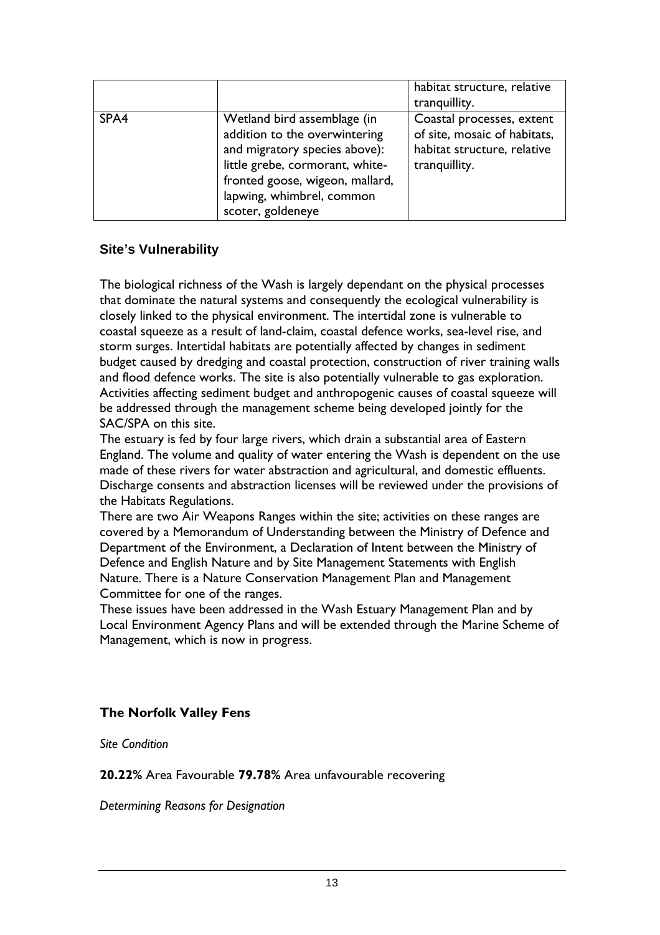|      |                                                                                                                                                                                                                       | habitat structure, relative<br>tranquillity.                                                              |
|------|-----------------------------------------------------------------------------------------------------------------------------------------------------------------------------------------------------------------------|-----------------------------------------------------------------------------------------------------------|
| SPA4 | Wetland bird assemblage (in<br>addition to the overwintering<br>and migratory species above):<br>little grebe, cormorant, white-<br>fronted goose, wigeon, mallard,<br>lapwing, whimbrel, common<br>scoter, goldeneye | Coastal processes, extent<br>of site, mosaic of habitats,<br>habitat structure, relative<br>tranquillity. |

### **Site's Vulnerability**

The biological richness of the Wash is largely dependant on the physical processes that dominate the natural systems and consequently the ecological vulnerability is closely linked to the physical environment. The intertidal zone is vulnerable to coastal squeeze as a result of land-claim, coastal defence works, sea-level rise, and storm surges. Intertidal habitats are potentially affected by changes in sediment budget caused by dredging and coastal protection, construction of river training walls and flood defence works. The site is also potentially vulnerable to gas exploration. Activities affecting sediment budget and anthropogenic causes of coastal squeeze will be addressed through the management scheme being developed jointly for the SAC/SPA on this site.

The estuary is fed by four large rivers, which drain a substantial area of Eastern England. The volume and quality of water entering the Wash is dependent on the use made of these rivers for water abstraction and agricultural, and domestic effluents. Discharge consents and abstraction licenses will be reviewed under the provisions of the Habitats Regulations.

There are two Air Weapons Ranges within the site; activities on these ranges are covered by a Memorandum of Understanding between the Ministry of Defence and Department of the Environment, a Declaration of Intent between the Ministry of Defence and English Nature and by Site Management Statements with English Nature. There is a Nature Conservation Management Plan and Management Committee for one of the ranges.

These issues have been addressed in the Wash Estuary Management Plan and by Local Environment Agency Plans and will be extended through the Marine Scheme of Management, which is now in progress.

#### **The Norfolk Valley Fens**

*Site Condition* 

**20.22%** Area Favourable **79.78%** Area unfavourable recovering

*Determining Reasons for Designation*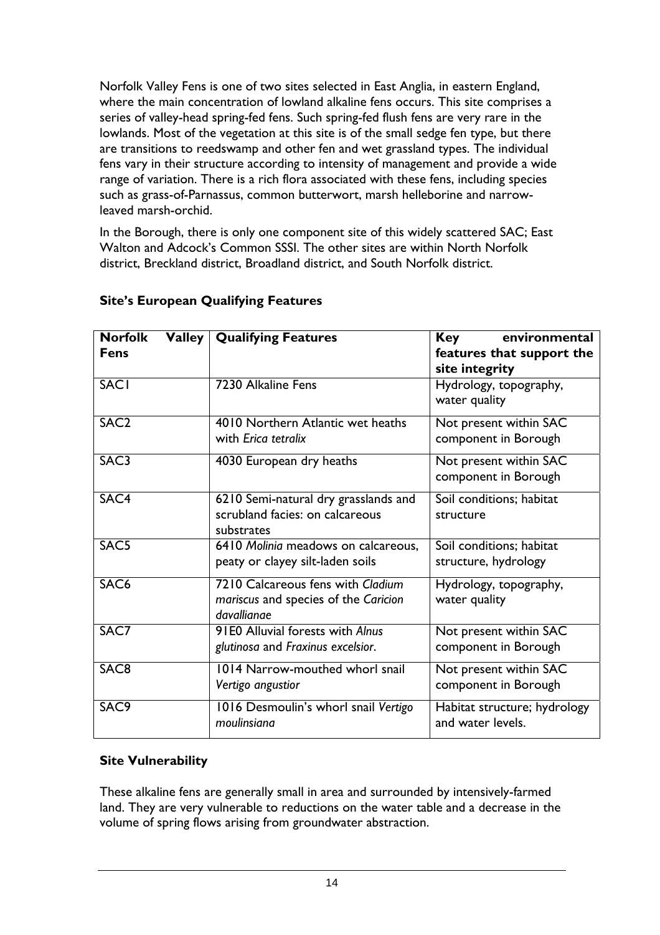Norfolk Valley Fens is one of two sites selected in East Anglia, in eastern England, where the main concentration of lowland alkaline fens occurs. This site comprises a series of valley-head spring-fed fens. Such spring-fed flush fens are very rare in the lowlands. Most of the vegetation at this site is of the small sedge fen type, but there are transitions to reedswamp and other fen and wet grassland types. The individual fens vary in their structure according to intensity of management and provide a wide range of variation. There is a rich flora associated with these fens, including species such as grass-of-Parnassus, common butterwort, marsh helleborine and narrowleaved marsh-orchid.

In the Borough, there is only one component site of this widely scattered SAC; East Walton and Adcock's Common SSSI. The other sites are within North Norfolk district, Breckland district, Broadland district, and South Norfolk district.

| <b>Norfolk</b><br><b>Fens</b> | <b>Valley Qualifying Features</b>                                                        | environmental<br><b>Key</b><br>features that support the<br>site integrity |
|-------------------------------|------------------------------------------------------------------------------------------|----------------------------------------------------------------------------|
| <b>SACI</b>                   | 7230 Alkaline Fens                                                                       | Hydrology, topography,<br>water quality                                    |
| SAC <sub>2</sub>              | 4010 Northern Atlantic wet heaths<br>with Erica tetralix                                 | Not present within SAC<br>component in Borough                             |
| SAC <sub>3</sub>              | 4030 European dry heaths                                                                 | Not present within SAC<br>component in Borough                             |
| SAC4                          | 6210 Semi-natural dry grasslands and<br>scrubland facies: on calcareous<br>substrates    | Soil conditions; habitat<br>structure                                      |
| SAC <sub>5</sub>              | 6410 Molinia meadows on calcareous,<br>peaty or clayey silt-laden soils                  | Soil conditions; habitat<br>structure, hydrology                           |
| SAC <sub>6</sub>              | 7210 Calcareous fens with Cladium<br>mariscus and species of the Caricion<br>davallianae | Hydrology, topography,<br>water quality                                    |
| SAC7                          | 91E0 Alluvial forests with Alnus<br>glutinosa and Fraxinus excelsior.                    | Not present within SAC<br>component in Borough                             |
| SAC <sub>8</sub>              | 1014 Narrow-mouthed whorl snail<br>Vertigo angustior                                     | Not present within SAC<br>component in Borough                             |
| SAC <sub>9</sub>              | 1016 Desmoulin's whorl snail Vertigo<br>moulinsiana                                      | Habitat structure; hydrology<br>and water levels.                          |

### **Site's European Qualifying Features**

#### **Site Vulnerability**

These alkaline fens are generally small in area and surrounded by intensively-farmed land. They are very vulnerable to reductions on the water table and a decrease in the volume of spring flows arising from groundwater abstraction.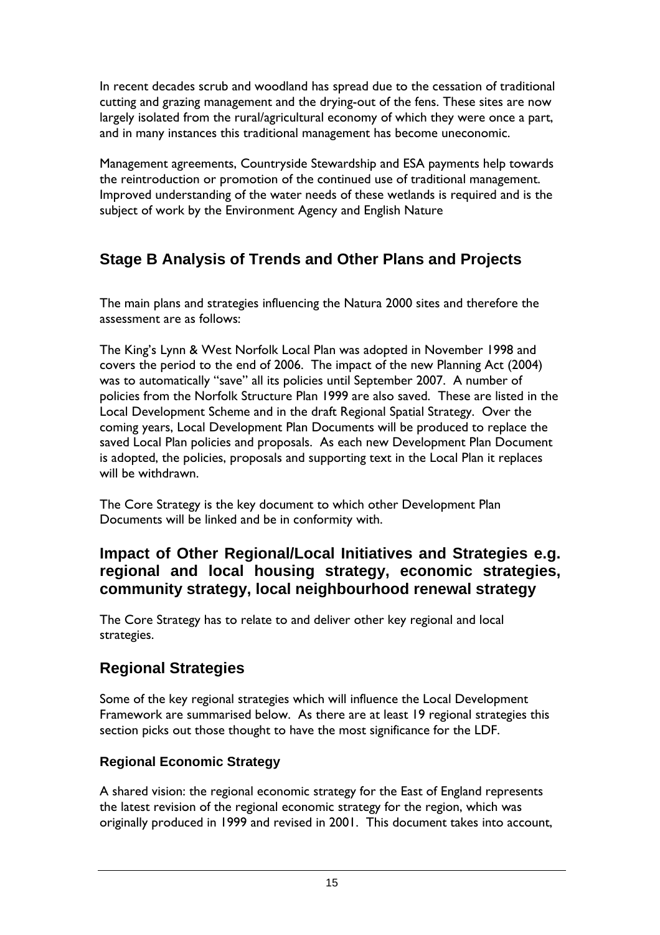In recent decades scrub and woodland has spread due to the cessation of traditional cutting and grazing management and the drying-out of the fens. These sites are now largely isolated from the rural/agricultural economy of which they were once a part, and in many instances this traditional management has become uneconomic.

Management agreements, Countryside Stewardship and ESA payments help towards the reintroduction or promotion of the continued use of traditional management. Improved understanding of the water needs of these wetlands is required and is the subject of work by the Environment Agency and English Nature

# **Stage B Analysis of Trends and Other Plans and Projects**

The main plans and strategies influencing the Natura 2000 sites and therefore the assessment are as follows:

The King's Lynn & West Norfolk Local Plan was adopted in November 1998 and covers the period to the end of 2006. The impact of the new Planning Act (2004) was to automatically "save" all its policies until September 2007. A number of policies from the Norfolk Structure Plan 1999 are also saved. These are listed in the Local Development Scheme and in the draft Regional Spatial Strategy. Over the coming years, Local Development Plan Documents will be produced to replace the saved Local Plan policies and proposals. As each new Development Plan Document is adopted, the policies, proposals and supporting text in the Local Plan it replaces will be withdrawn.

The Core Strategy is the key document to which other Development Plan Documents will be linked and be in conformity with.

# **Impact of Other Regional/Local Initiatives and Strategies e.g. regional and local housing strategy, economic strategies, community strategy, local neighbourhood renewal strategy**

The Core Strategy has to relate to and deliver other key regional and local strategies.

# **Regional Strategies**

Some of the key regional strategies which will influence the Local Development Framework are summarised below. As there are at least 19 regional strategies this section picks out those thought to have the most significance for the LDF.

## **Regional Economic Strategy**

A shared vision: the regional economic strategy for the East of England represents the latest revision of the regional economic strategy for the region, which was originally produced in 1999 and revised in 2001. This document takes into account,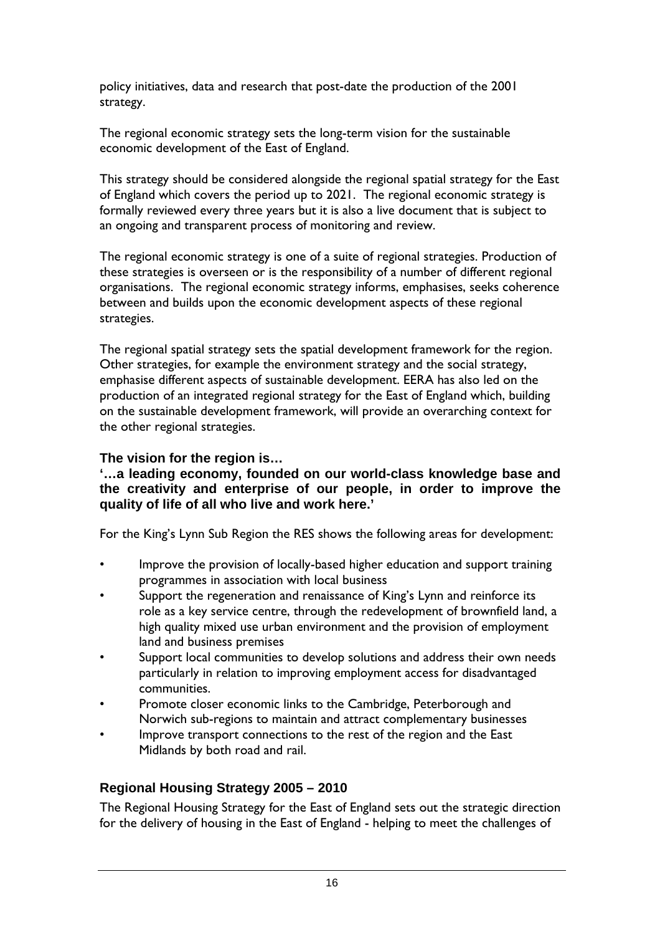policy initiatives, data and research that post-date the production of the 2001 strategy.

The regional economic strategy sets the long-term vision for the sustainable economic development of the East of England.

This strategy should be considered alongside the regional spatial strategy for the East of England which covers the period up to 2021. The regional economic strategy is formally reviewed every three years but it is also a live document that is subject to an ongoing and transparent process of monitoring and review.

The regional economic strategy is one of a suite of regional strategies. Production of these strategies is overseen or is the responsibility of a number of different regional organisations. The regional economic strategy informs, emphasises, seeks coherence between and builds upon the economic development aspects of these regional strategies.

The regional spatial strategy sets the spatial development framework for the region. Other strategies, for example the environment strategy and the social strategy, emphasise different aspects of sustainable development. EERA has also led on the production of an integrated regional strategy for the East of England which, building on the sustainable development framework, will provide an overarching context for the other regional strategies.

#### **The vision for the region is…**

#### **'…a leading economy, founded on our world-class knowledge base and the creativity and enterprise of our people, in order to improve the quality of life of all who live and work here.'**

For the King's Lynn Sub Region the RES shows the following areas for development:

- Improve the provision of locally-based higher education and support training programmes in association with local business
- Support the regeneration and renaissance of King's Lynn and reinforce its role as a key service centre, through the redevelopment of brownfield land, a high quality mixed use urban environment and the provision of employment land and business premises
- Support local communities to develop solutions and address their own needs particularly in relation to improving employment access for disadvantaged communities.
- Promote closer economic links to the Cambridge, Peterborough and Norwich sub-regions to maintain and attract complementary businesses
- Improve transport connections to the rest of the region and the East Midlands by both road and rail.

## **Regional Housing Strategy 2005 – 2010**

The Regional Housing Strategy for the East of England sets out the strategic direction for the delivery of housing in the East of England - helping to meet the challenges of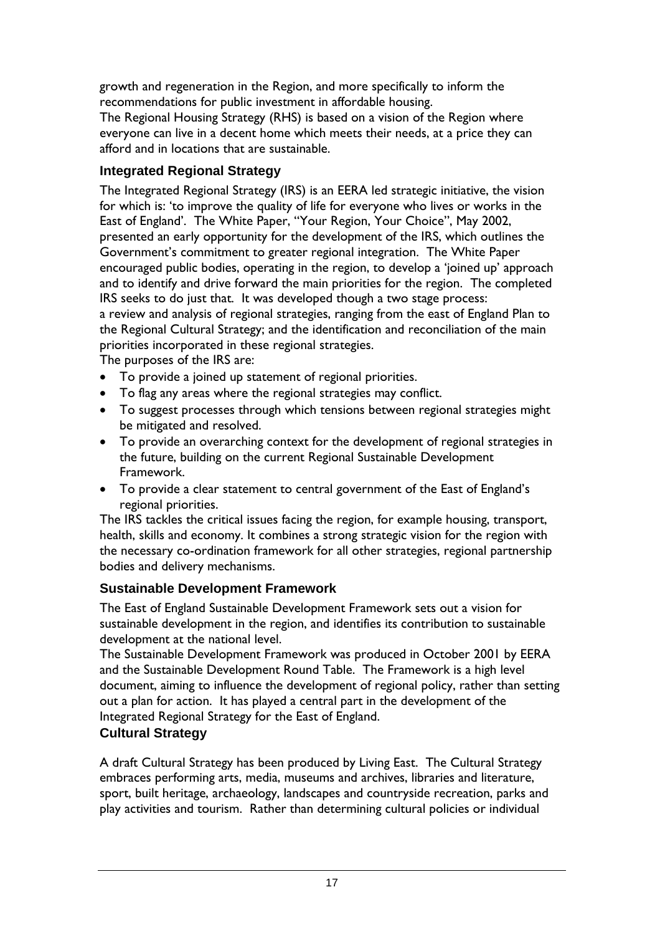growth and regeneration in the Region, and more specifically to inform the recommendations for public investment in affordable housing.

The Regional Housing Strategy (RHS) is based on a vision of the Region where everyone can live in a decent home which meets their needs, at a price they can afford and in locations that are sustainable.

# **Integrated Regional Strategy**

The Integrated Regional Strategy (IRS) is an EERA led strategic initiative, the vision for which is: 'to improve the quality of life for everyone who lives or works in the East of England'. The White Paper, "Your Region, Your Choice", May 2002, presented an early opportunity for the development of the IRS, which outlines the Government's commitment to greater regional integration. The White Paper encouraged public bodies, operating in the region, to develop a 'joined up' approach and to identify and drive forward the main priorities for the region. The completed IRS seeks to do just that. It was developed though a two stage process: a review and analysis of regional strategies, ranging from the east of England Plan to the Regional Cultural Strategy; and the identification and reconciliation of the main priorities incorporated in these regional strategies.

The purposes of the IRS are:

- To provide a joined up statement of regional priorities.
- To flag any areas where the regional strategies may conflict.
- To suggest processes through which tensions between regional strategies might be mitigated and resolved.
- To provide an overarching context for the development of regional strategies in the future, building on the current Regional Sustainable Development Framework.
- To provide a clear statement to central government of the East of England's regional priorities.

The IRS tackles the critical issues facing the region, for example housing, transport, health, skills and economy. It combines a strong strategic vision for the region with the necessary co-ordination framework for all other strategies, regional partnership bodies and delivery mechanisms.

# **Sustainable Development Framework**

The East of England Sustainable Development Framework sets out a vision for sustainable development in the region, and identifies its contribution to sustainable development at the national level.

The Sustainable Development Framework was produced in October 2001 by EERA and the Sustainable Development Round Table. The Framework is a high level document, aiming to influence the development of regional policy, rather than setting out a plan for action. It has played a central part in the development of the Integrated Regional Strategy for the East of England.

# **Cultural Strategy**

A draft Cultural Strategy has been produced by Living East. The Cultural Strategy embraces performing arts, media, museums and archives, libraries and literature, sport, built heritage, archaeology, landscapes and countryside recreation, parks and play activities and tourism. Rather than determining cultural policies or individual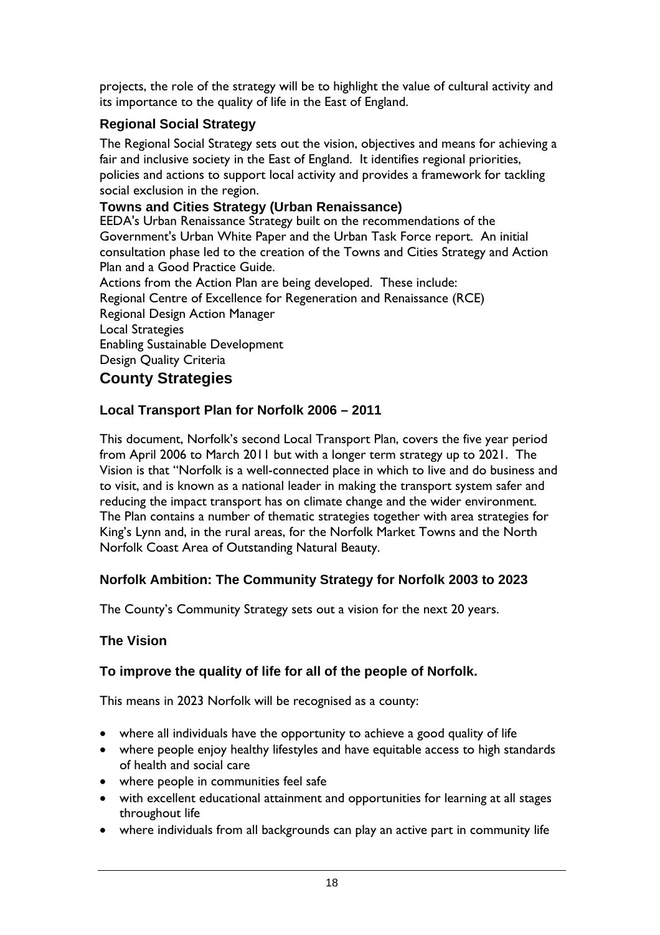projects, the role of the strategy will be to highlight the value of cultural activity and its importance to the quality of life in the East of England.

# **Regional Social Strategy**

The Regional Social Strategy sets out the vision, objectives and means for achieving a fair and inclusive society in the East of England. It identifies regional priorities, policies and actions to support local activity and provides a framework for tackling social exclusion in the region.

## **Towns and Cities Strategy (Urban Renaissance)**

EEDA's Urban Renaissance Strategy built on the recommendations of the Government's Urban White Paper and the Urban Task Force report. An initial consultation phase led to the creation of the Towns and Cities Strategy and Action Plan and a Good Practice Guide.

Actions from the Action Plan are being developed. These include: Regional Centre of Excellence for Regeneration and Renaissance (RCE) Regional Design Action Manager Local Strategies Enabling Sustainable Development Design Quality Criteria

# **County Strategies**

# **Local Transport Plan for Norfolk 2006 – 2011**

This document, Norfolk's second Local Transport Plan, covers the five year period from April 2006 to March 2011 but with a longer term strategy up to 2021. The Vision is that "Norfolk is a well-connected place in which to live and do business and to visit, and is known as a national leader in making the transport system safer and reducing the impact transport has on climate change and the wider environment. The Plan contains a number of thematic strategies together with area strategies for King's Lynn and, in the rural areas, for the Norfolk Market Towns and the North Norfolk Coast Area of Outstanding Natural Beauty.

# **Norfolk Ambition: The Community Strategy for Norfolk 2003 to 2023**

The County's Community Strategy sets out a vision for the next 20 years.

## **The Vision**

## **To improve the quality of life for all of the people of Norfolk.**

This means in 2023 Norfolk will be recognised as a county:

- where all individuals have the opportunity to achieve a good quality of life
- where people enjoy healthy lifestyles and have equitable access to high standards of health and social care
- where people in communities feel safe
- with excellent educational attainment and opportunities for learning at all stages throughout life
- where individuals from all backgrounds can play an active part in community life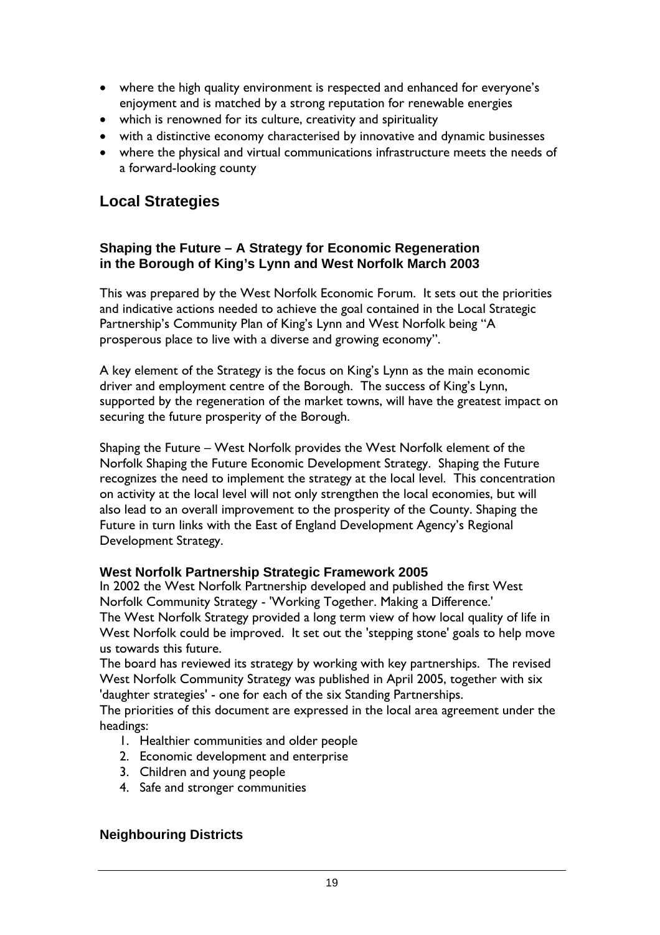- where the high quality environment is respected and enhanced for everyone's enjoyment and is matched by a strong reputation for renewable energies
- which is renowned for its culture, creativity and spirituality
- with a distinctive economy characterised by innovative and dynamic businesses
- where the physical and virtual communications infrastructure meets the needs of a forward-looking county

# **Local Strategies**

#### **Shaping the Future – A Strategy for Economic Regeneration in the Borough of King's Lynn and West Norfolk March 2003**

This was prepared by the West Norfolk Economic Forum. It sets out the priorities and indicative actions needed to achieve the goal contained in the Local Strategic Partnership's Community Plan of King's Lynn and West Norfolk being "A prosperous place to live with a diverse and growing economy".

A key element of the Strategy is the focus on King's Lynn as the main economic driver and employment centre of the Borough. The success of King's Lynn, supported by the regeneration of the market towns, will have the greatest impact on securing the future prosperity of the Borough.

Shaping the Future – West Norfolk provides the West Norfolk element of the Norfolk Shaping the Future Economic Development Strategy. Shaping the Future recognizes the need to implement the strategy at the local level. This concentration on activity at the local level will not only strengthen the local economies, but will also lead to an overall improvement to the prosperity of the County. Shaping the Future in turn links with the East of England Development Agency's Regional Development Strategy.

#### **West Norfolk Partnership Strategic Framework 2005**

In 2002 the West Norfolk Partnership developed and published the first West Norfolk Community Strategy - 'Working Together. Making a Difference.' The West Norfolk Strategy provided a long term view of how local quality of life in West Norfolk could be improved. It set out the 'stepping stone' goals to help move us towards this future.

The board has reviewed its strategy by working with key partnerships. The revised West Norfolk Community Strategy was published in April 2005, together with six 'daughter strategies' - one for each of the six Standing Partnerships.

The priorities of this document are expressed in the local area agreement under the headings:

- 1. Healthier communities and older people
- 2. Economic development and enterprise
- 3. Children and young people
- 4. Safe and stronger communities

## **Neighbouring Districts**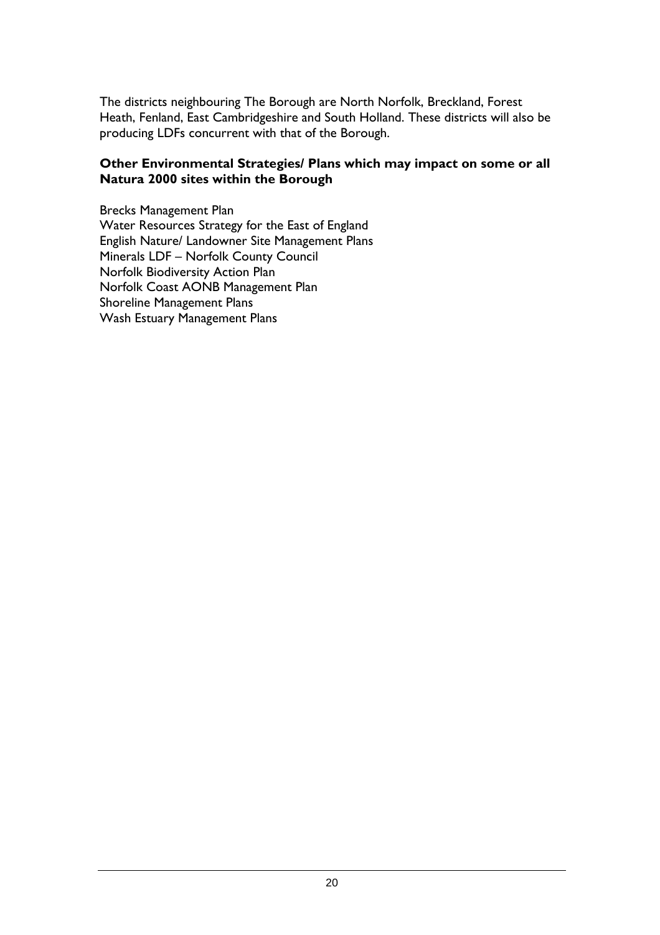The districts neighbouring The Borough are North Norfolk, Breckland, Forest Heath, Fenland, East Cambridgeshire and South Holland. These districts will also be producing LDFs concurrent with that of the Borough.

#### **Other Environmental Strategies/ Plans which may impact on some or all Natura 2000 sites within the Borough**

Brecks Management Plan Water Resources Strategy for the East of England English Nature/ Landowner Site Management Plans Minerals LDF – Norfolk County Council Norfolk Biodiversity Action Plan Norfolk Coast AONB Management Plan Shoreline Management Plans Wash Estuary Management Plans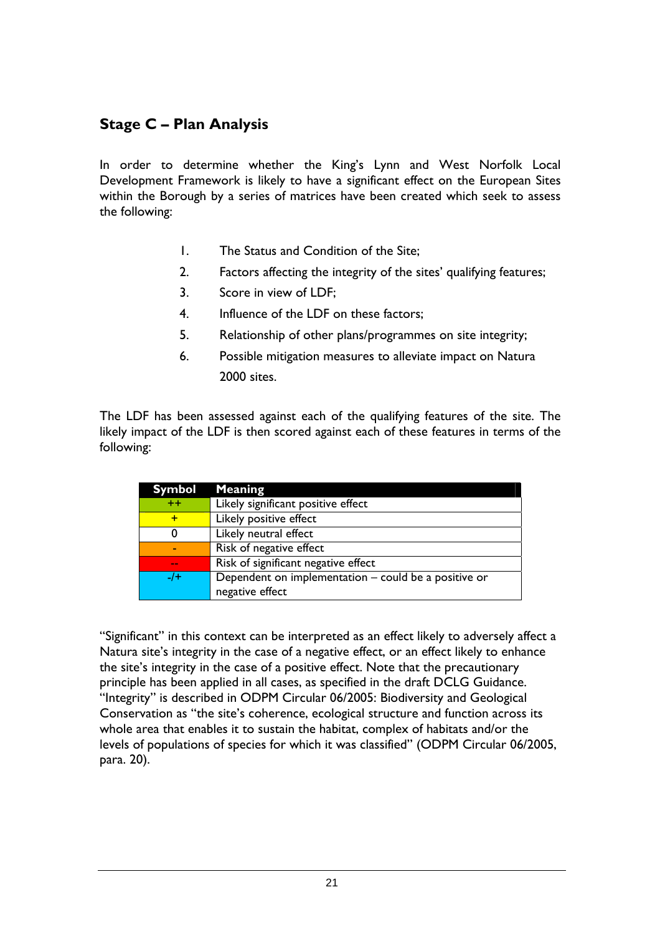# **Stage C – Plan Analysis**

In order to determine whether the King's Lynn and West Norfolk Local Development Framework is likely to have a significant effect on the European Sites within the Borough by a series of matrices have been created which seek to assess the following:

- 1. The Status and Condition of the Site;
- 2. Factors affecting the integrity of the sites' qualifying features;
- 3. Score in view of LDF;
- 4. Influence of the LDF on these factors;
- 5. Relationship of other plans/programmes on site integrity;
- 6. Possible mitigation measures to alleviate impact on Natura 2000 sites.

The LDF has been assessed against each of the qualifying features of the site. The likely impact of the LDF is then scored against each of these features in terms of the following:

| Symbol | <b>Meaning</b>                                       |
|--------|------------------------------------------------------|
| $++$   | Likely significant positive effect                   |
|        | Likely positive effect                               |
| O      | Likely neutral effect                                |
|        | Risk of negative effect                              |
| $\sim$ | Risk of significant negative effect                  |
| $-1$   | Dependent on implementation - could be a positive or |
|        | negative effect                                      |

"Significant" in this context can be interpreted as an effect likely to adversely affect a Natura site's integrity in the case of a negative effect, or an effect likely to enhance the site's integrity in the case of a positive effect. Note that the precautionary principle has been applied in all cases, as specified in the draft DCLG Guidance. "Integrity" is described in ODPM Circular 06/2005: Biodiversity and Geological Conservation as "the site's coherence, ecological structure and function across its whole area that enables it to sustain the habitat, complex of habitats and/or the levels of populations of species for which it was classified" (ODPM Circular 06/2005, para. 20).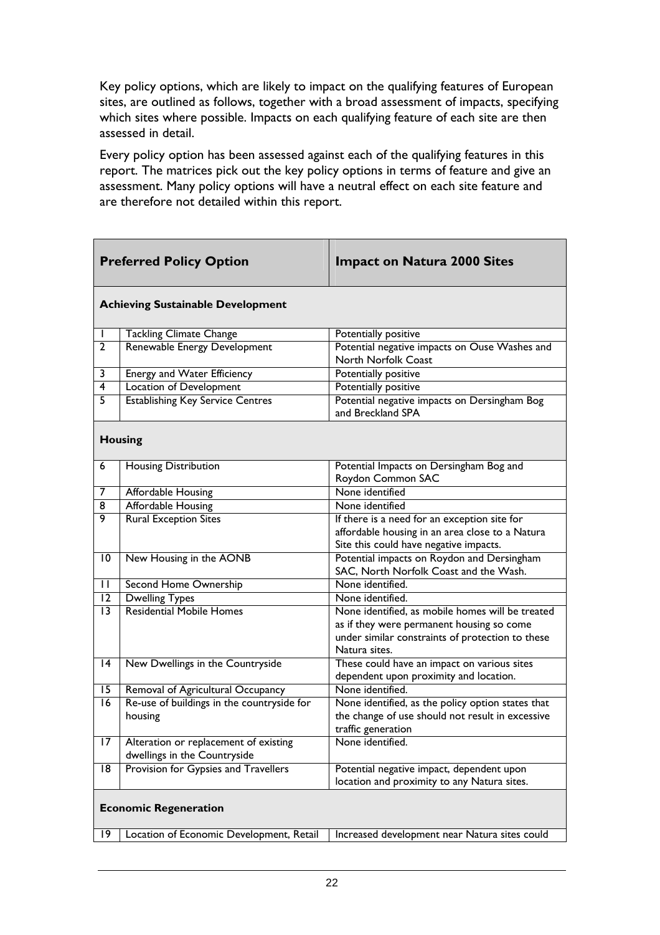Key policy options, which are likely to impact on the qualifying features of European sites, are outlined as follows, together with a broad assessment of impacts, specifying which sites where possible. Impacts on each qualifying feature of each site are then assessed in detail.

Every policy option has been assessed against each of the qualifying features in this report. The matrices pick out the key policy options in terms of feature and give an assessment. Many policy options will have a neutral effect on each site feature and are therefore not detailed within this report.

|                 | <b>Preferred Policy Option</b>                                        | <b>Impact on Natura 2000 Sites</b>                                                                                                                                 |
|-----------------|-----------------------------------------------------------------------|--------------------------------------------------------------------------------------------------------------------------------------------------------------------|
|                 | <b>Achieving Sustainable Development</b>                              |                                                                                                                                                                    |
|                 | <b>Tackling Climate Change</b>                                        | Potentially positive                                                                                                                                               |
| $\overline{2}$  | Renewable Energy Development                                          | Potential negative impacts on Ouse Washes and<br><b>North Norfolk Coast</b>                                                                                        |
| 3               | Energy and Water Efficiency                                           | Potentially positive                                                                                                                                               |
| 4               | Location of Development                                               | Potentially positive                                                                                                                                               |
| 5               | <b>Establishing Key Service Centres</b>                               | Potential negative impacts on Dersingham Bog<br>and Breckland SPA                                                                                                  |
|                 | <b>Housing</b>                                                        |                                                                                                                                                                    |
| 6               | Housing Distribution                                                  | Potential Impacts on Dersingham Bog and<br>Roydon Common SAC                                                                                                       |
| 7               | Affordable Housing                                                    | None identified                                                                                                                                                    |
| 8               | <b>Affordable Housing</b>                                             | None identified                                                                                                                                                    |
| 9               | <b>Rural Exception Sites</b>                                          | If there is a need for an exception site for<br>affordable housing in an area close to a Natura<br>Site this could have negative impacts.                          |
| 10              | New Housing in the AONB                                               | Potential impacts on Roydon and Dersingham<br>SAC, North Norfolk Coast and the Wash.                                                                               |
| $\mathbf{H}$    | Second Home Ownership                                                 | None identified.                                                                                                                                                   |
| 12              | <b>Dwelling Types</b>                                                 | None identified.                                                                                                                                                   |
| $\overline{13}$ | <b>Residential Mobile Homes</b>                                       | None identified, as mobile homes will be treated<br>as if they were permanent housing so come<br>under similar constraints of protection to these<br>Natura sites. |
| $\overline{14}$ | New Dwellings in the Countryside                                      | These could have an impact on various sites<br>dependent upon proximity and location.                                                                              |
| 15              | Removal of Agricultural Occupancy                                     | None identified.                                                                                                                                                   |
| 16              | Re-use of buildings in the countryside for<br>housing                 | None identified, as the policy option states that<br>the change of use should not result in excessive<br>traffic generation                                        |
| 17              | Alteration or replacement of existing<br>dwellings in the Countryside | None identified.                                                                                                                                                   |
| 18              | Provision for Gypsies and Travellers                                  | Potential negative impact, dependent upon<br>location and proximity to any Natura sites.                                                                           |
|                 | <b>Economic Regeneration</b>                                          |                                                                                                                                                                    |
| 19              | Location of Economic Development, Retail                              | Increased development near Natura sites could                                                                                                                      |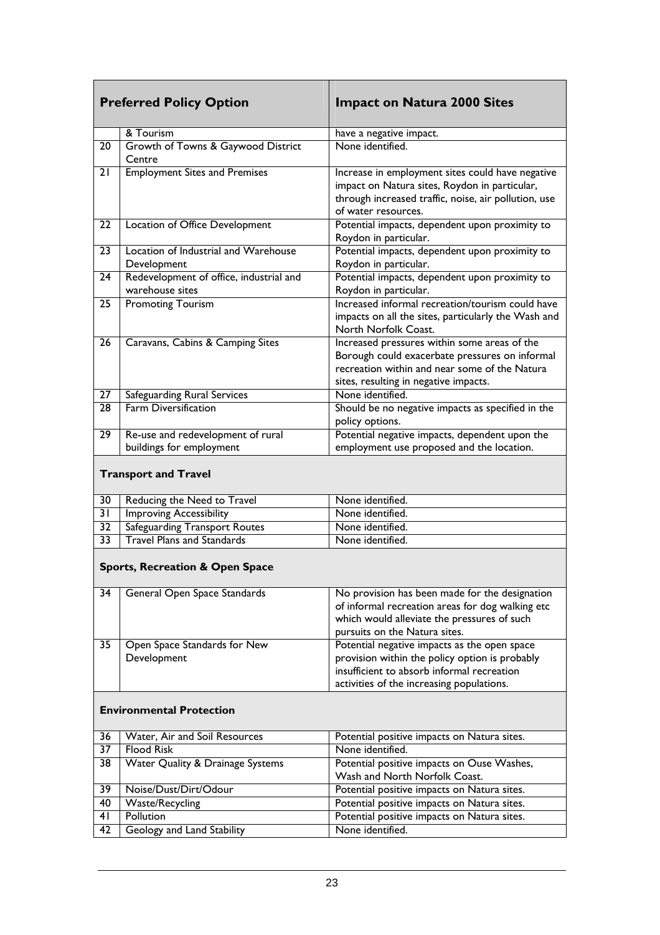|                 | <b>Preferred Policy Option</b>                                | <b>Impact on Natura 2000 Sites</b>                                                                                                                                                        |
|-----------------|---------------------------------------------------------------|-------------------------------------------------------------------------------------------------------------------------------------------------------------------------------------------|
|                 | & Tourism                                                     | have a negative impact.                                                                                                                                                                   |
| 20              | Growth of Towns & Gaywood District<br>Centre                  | None identified.                                                                                                                                                                          |
| 21              | <b>Employment Sites and Premises</b>                          | Increase in employment sites could have negative<br>impact on Natura sites, Roydon in particular,<br>through increased traffic, noise, air pollution, use<br>of water resources.          |
| $\overline{22}$ | Location of Office Development                                | Potential impacts, dependent upon proximity to<br>Roydon in particular.                                                                                                                   |
| 23              | Location of Industrial and Warehouse<br>Development           | Potential impacts, dependent upon proximity to<br>Roydon in particular.                                                                                                                   |
| 24              | Redevelopment of office, industrial and<br>warehouse sites    | Potential impacts, dependent upon proximity to<br>Roydon in particular.                                                                                                                   |
| 25              | <b>Promoting Tourism</b>                                      | Increased informal recreation/tourism could have<br>impacts on all the sites, particularly the Wash and<br>North Norfolk Coast.                                                           |
| 26              | Caravans, Cabins & Camping Sites                              | Increased pressures within some areas of the<br>Borough could exacerbate pressures on informal<br>recreation within and near some of the Natura<br>sites, resulting in negative impacts.  |
| $\overline{27}$ | Safeguarding Rural Services                                   | None identified.                                                                                                                                                                          |
| 28              | <b>Farm Diversification</b>                                   | Should be no negative impacts as specified in the<br>policy options.                                                                                                                      |
| $\overline{29}$ | Re-use and redevelopment of rural<br>buildings for employment | Potential negative impacts, dependent upon the<br>employment use proposed and the location.                                                                                               |
|                 | <b>Transport and Travel</b>                                   |                                                                                                                                                                                           |
| 30              | Reducing the Need to Travel                                   | None identified.                                                                                                                                                                          |
| $\overline{31}$ | <b>Improving Accessibility</b>                                | None identified.                                                                                                                                                                          |
| $\overline{32}$ | Safeguarding Transport Routes                                 | None identified.                                                                                                                                                                          |
| $\overline{33}$ | <b>Travel Plans and Standards</b>                             | None identified.                                                                                                                                                                          |
|                 | <b>Sports, Recreation &amp; Open Space</b>                    |                                                                                                                                                                                           |
| 34              | General Open Space Standards                                  | No provision has been made for the designation<br>of informal recreation areas for dog walking etc<br>which would alleviate the pressures of such<br>pursuits on the Natura sites.        |
| 35              | Open Space Standards for New<br>Development                   | Potential negative impacts as the open space<br>provision within the policy option is probably<br>insufficient to absorb informal recreation<br>activities of the increasing populations. |
|                 | <b>Environmental Protection</b>                               |                                                                                                                                                                                           |
| 36              | Water, Air and Soil Resources                                 | Potential positive impacts on Natura sites.                                                                                                                                               |
| 37              | <b>Flood Risk</b>                                             | None identified.                                                                                                                                                                          |
| 38              | Water Quality & Drainage Systems                              | Potential positive impacts on Ouse Washes,<br>Wash and North Norfolk Coast.                                                                                                               |
| 39              | Noise/Dust/Dirt/Odour                                         | Potential positive impacts on Natura sites.                                                                                                                                               |
| 40              | <b>Waste/Recycling</b>                                        | Potential positive impacts on Natura sites.                                                                                                                                               |
| 41              | Pollution                                                     | Potential positive impacts on Natura sites.                                                                                                                                               |
| 42              | Geology and Land Stability                                    | None identified.                                                                                                                                                                          |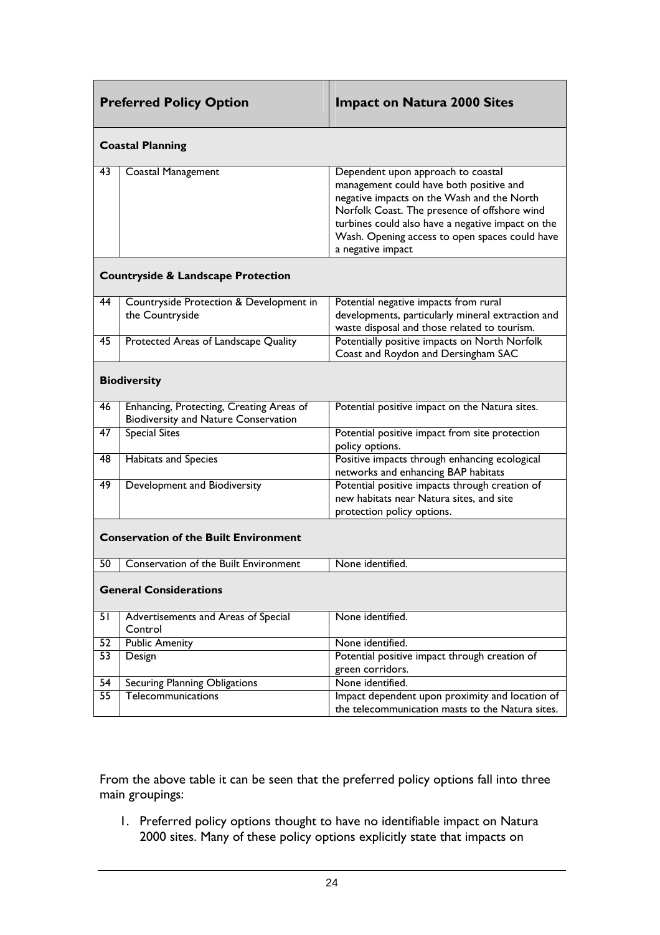|                                               | <b>Preferred Policy Option</b>                                                   | <b>Impact on Natura 2000 Sites</b>                                                                                                                                                                                                                                                                      |  |  |  |  |  |
|-----------------------------------------------|----------------------------------------------------------------------------------|---------------------------------------------------------------------------------------------------------------------------------------------------------------------------------------------------------------------------------------------------------------------------------------------------------|--|--|--|--|--|
|                                               | <b>Coastal Planning</b>                                                          |                                                                                                                                                                                                                                                                                                         |  |  |  |  |  |
| 43                                            | Coastal Management                                                               | Dependent upon approach to coastal<br>management could have both positive and<br>negative impacts on the Wash and the North<br>Norfolk Coast. The presence of offshore wind<br>turbines could also have a negative impact on the<br>Wash. Opening access to open spaces could have<br>a negative impact |  |  |  |  |  |
| <b>Countryside &amp; Landscape Protection</b> |                                                                                  |                                                                                                                                                                                                                                                                                                         |  |  |  |  |  |
| 44                                            | Countryside Protection & Development in<br>the Countryside                       | Potential negative impacts from rural<br>developments, particularly mineral extraction and<br>waste disposal and those related to tourism.                                                                                                                                                              |  |  |  |  |  |
| 45                                            | Protected Areas of Landscape Quality                                             | Potentially positive impacts on North Norfolk<br>Coast and Roydon and Dersingham SAC                                                                                                                                                                                                                    |  |  |  |  |  |
|                                               | <b>Biodiversity</b>                                                              |                                                                                                                                                                                                                                                                                                         |  |  |  |  |  |
| 46                                            | Enhancing, Protecting, Creating Areas of<br>Biodiversity and Nature Conservation | Potential positive impact on the Natura sites.                                                                                                                                                                                                                                                          |  |  |  |  |  |
| 47                                            | <b>Special Sites</b>                                                             | Potential positive impact from site protection<br>policy options.                                                                                                                                                                                                                                       |  |  |  |  |  |
| 48                                            | <b>Habitats and Species</b>                                                      | Positive impacts through enhancing ecological<br>networks and enhancing BAP habitats                                                                                                                                                                                                                    |  |  |  |  |  |
| 49                                            | Development and Biodiversity                                                     | Potential positive impacts through creation of<br>new habitats near Natura sites, and site<br>protection policy options.                                                                                                                                                                                |  |  |  |  |  |
|                                               | <b>Conservation of the Built Environment</b>                                     |                                                                                                                                                                                                                                                                                                         |  |  |  |  |  |
| 50                                            | Conservation of the Built Environment                                            | None identified.                                                                                                                                                                                                                                                                                        |  |  |  |  |  |
|                                               | <b>General Considerations</b>                                                    |                                                                                                                                                                                                                                                                                                         |  |  |  |  |  |
| 51                                            | Advertisements and Areas of Special<br>Control                                   | None identified.                                                                                                                                                                                                                                                                                        |  |  |  |  |  |
| 52                                            | <b>Public Amenity</b>                                                            | None identified.                                                                                                                                                                                                                                                                                        |  |  |  |  |  |
| 53                                            | Design                                                                           | Potential positive impact through creation of                                                                                                                                                                                                                                                           |  |  |  |  |  |
|                                               |                                                                                  | green corridors.                                                                                                                                                                                                                                                                                        |  |  |  |  |  |
| $\overline{54}$                               | <b>Securing Planning Obligations</b>                                             | None identified.                                                                                                                                                                                                                                                                                        |  |  |  |  |  |
| $\overline{55}$                               | Telecommunications                                                               | Impact dependent upon proximity and location of<br>the telecommunication masts to the Natura sites.                                                                                                                                                                                                     |  |  |  |  |  |

From the above table it can be seen that the preferred policy options fall into three main groupings:

1. Preferred policy options thought to have no identifiable impact on Natura 2000 sites. Many of these policy options explicitly state that impacts on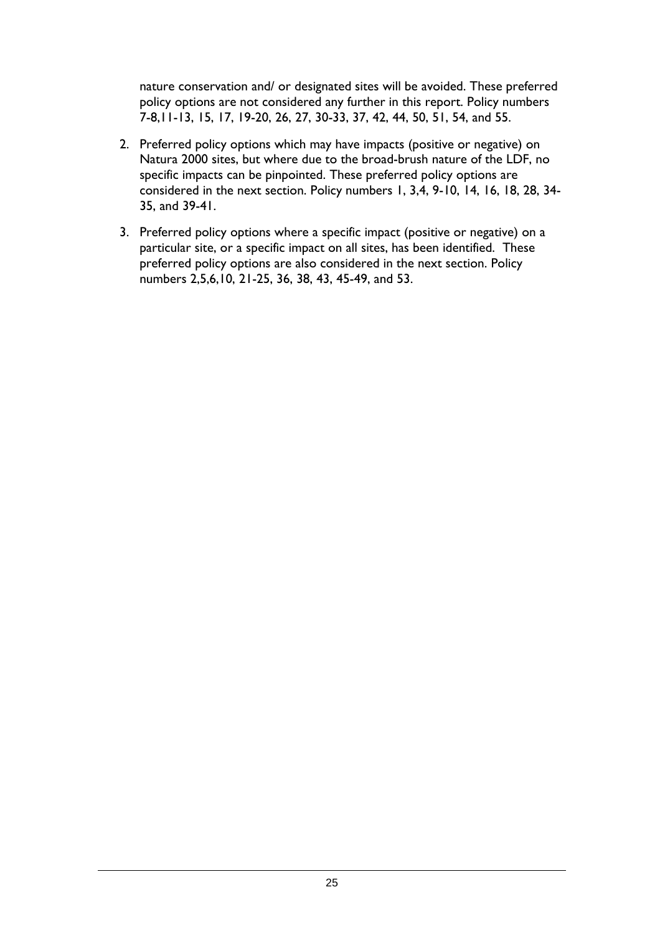nature conservation and/ or designated sites will be avoided. These preferred policy options are not considered any further in this report. Policy numbers 7-8,11-13, 15, 17, 19-20, 26, 27, 30-33, 37, 42, 44, 50, 51, 54, and 55.

- 2. Preferred policy options which may have impacts (positive or negative) on Natura 2000 sites, but where due to the broad-brush nature of the LDF, no specific impacts can be pinpointed. These preferred policy options are considered in the next section. Policy numbers 1, 3,4, 9-10, 14, 16, 18, 28, 34- 35, and 39-41.
- 3. Preferred policy options where a specific impact (positive or negative) on a particular site, or a specific impact on all sites, has been identified. These preferred policy options are also considered in the next section. Policy numbers 2,5,6,10, 21-25, 36, 38, 43, 45-49, and 53.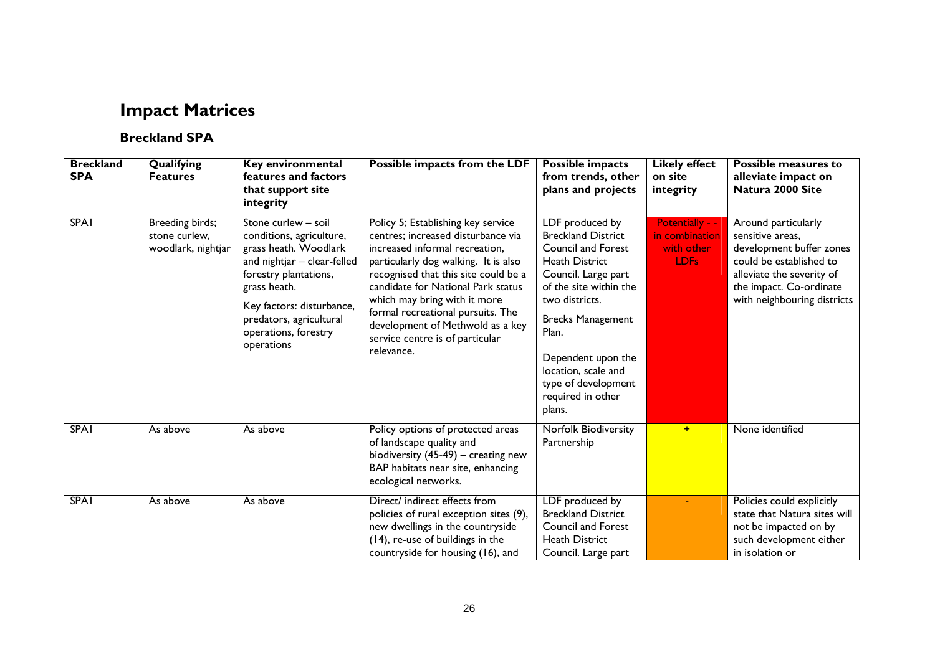# **Impact Matrices**

#### **Breckland SPA**

| <b>Breckland</b><br><b>SPA</b> | Qualifying<br><b>Features</b>                          | Key environmental<br>features and factors<br>that support site<br>integrity                                                                                                                                                                    | Possible impacts from the LDF                                                                                                                                                                                                                                                                                                                                                              | <b>Possible impacts</b><br>from trends, other<br>plans and projects                                                                                                                                                                                                                                    | <b>Likely effect</b><br>on site<br>integrity                        | <b>Possible measures to</b><br>alleviate impact on<br>Natura 2000 Site                                                                                                                |
|--------------------------------|--------------------------------------------------------|------------------------------------------------------------------------------------------------------------------------------------------------------------------------------------------------------------------------------------------------|--------------------------------------------------------------------------------------------------------------------------------------------------------------------------------------------------------------------------------------------------------------------------------------------------------------------------------------------------------------------------------------------|--------------------------------------------------------------------------------------------------------------------------------------------------------------------------------------------------------------------------------------------------------------------------------------------------------|---------------------------------------------------------------------|---------------------------------------------------------------------------------------------------------------------------------------------------------------------------------------|
| <b>SPA1</b>                    | Breeding birds;<br>stone curlew,<br>woodlark, nightjar | Stone curlew - soil<br>conditions, agriculture,<br>grass heath. Woodlark<br>and nightjar - clear-felled<br>forestry plantations,<br>grass heath.<br>Key factors: disturbance,<br>predators, agricultural<br>operations, forestry<br>operations | Policy 5; Establishing key service<br>centres; increased disturbance via<br>increased informal recreation,<br>particularly dog walking. It is also<br>recognised that this site could be a<br>candidate for National Park status<br>which may bring with it more<br>formal recreational pursuits. The<br>development of Methwold as a key<br>service centre is of particular<br>relevance. | LDF produced by<br><b>Breckland District</b><br>Council and Forest<br><b>Heath District</b><br>Council. Large part<br>of the site within the<br>two districts.<br><b>Brecks Management</b><br>Plan.<br>Dependent upon the<br>location, scale and<br>type of development<br>required in other<br>plans. | Potentially - -<br>in combination<br>with other<br>LDF <sub>s</sub> | Around particularly<br>sensitive areas,<br>development buffer zones<br>could be established to<br>alleviate the severity of<br>the impact. Co-ordinate<br>with neighbouring districts |
| <b>SPA1</b>                    | As above                                               | As above                                                                                                                                                                                                                                       | Policy options of protected areas<br>of landscape quality and<br>biodiversity $(45-49)$ – creating new<br>BAP habitats near site, enhancing<br>ecological networks.                                                                                                                                                                                                                        | <b>Norfolk Biodiversity</b><br>Partnership                                                                                                                                                                                                                                                             | $+$                                                                 | None identified                                                                                                                                                                       |
| <b>SPA1</b>                    | As above                                               | As above                                                                                                                                                                                                                                       | Direct/ indirect effects from<br>policies of rural exception sites (9),<br>new dwellings in the countryside<br>(14), re-use of buildings in the<br>countryside for housing (16), and                                                                                                                                                                                                       | LDF produced by<br><b>Breckland District</b><br>Council and Forest<br><b>Heath District</b><br>Council. Large part                                                                                                                                                                                     |                                                                     | Policies could explicitly<br>state that Natura sites will<br>not be impacted on by<br>such development either<br>in isolation or                                                      |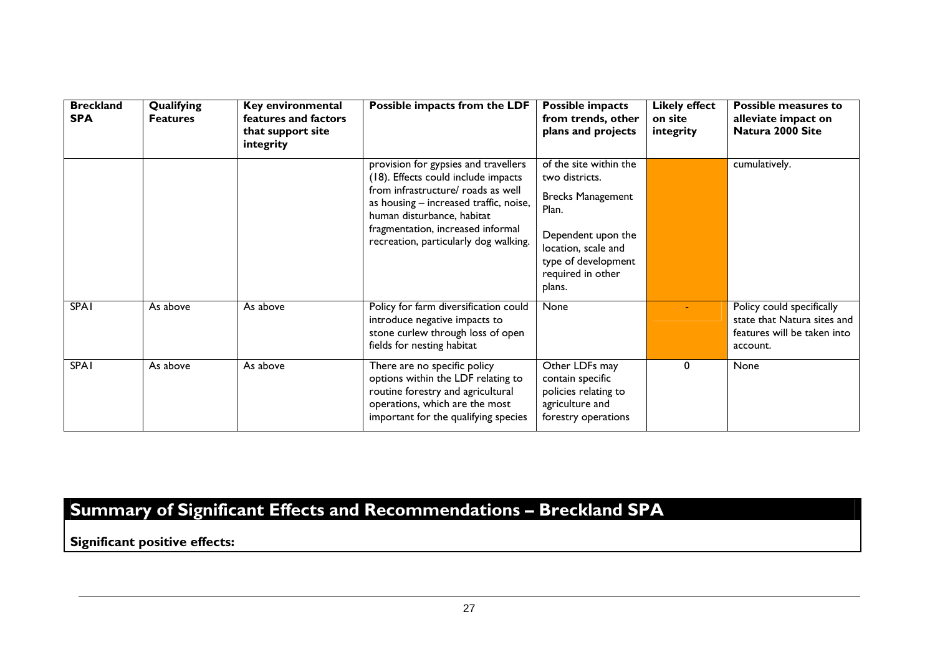| <b>Breckland</b><br><b>SPA</b> | Qualifying<br><b>Features</b> | Key environmental<br>features and factors<br>that support site<br>integrity | Possible impacts from the LDF                                                                                                                                                                                                                                           | <b>Possible impacts</b><br>from trends, other<br>plans and projects                                                                                                              | <b>Likely effect</b><br>on site<br>integrity | <b>Possible measures to</b><br>alleviate impact on<br>Natura 2000 Site                              |
|--------------------------------|-------------------------------|-----------------------------------------------------------------------------|-------------------------------------------------------------------------------------------------------------------------------------------------------------------------------------------------------------------------------------------------------------------------|----------------------------------------------------------------------------------------------------------------------------------------------------------------------------------|----------------------------------------------|-----------------------------------------------------------------------------------------------------|
|                                |                               |                                                                             | provision for gypsies and travellers<br>(18). Effects could include impacts<br>from infrastructure/ roads as well<br>as housing - increased traffic, noise,<br>human disturbance, habitat<br>fragmentation, increased informal<br>recreation, particularly dog walking. | of the site within the<br>two districts.<br><b>Brecks Management</b><br>Plan.<br>Dependent upon the<br>location, scale and<br>type of development<br>required in other<br>plans. |                                              | cumulatively.                                                                                       |
| <b>SPAI</b>                    | As above                      | As above                                                                    | Policy for farm diversification could<br>introduce negative impacts to<br>stone curlew through loss of open<br>fields for nesting habitat                                                                                                                               | None                                                                                                                                                                             |                                              | Policy could specifically<br>state that Natura sites and<br>features will be taken into<br>account. |
| <b>SPAI</b>                    | As above                      | As above                                                                    | There are no specific policy<br>options within the LDF relating to<br>routine forestry and agricultural<br>operations, which are the most<br>important for the qualifying species                                                                                       | Other LDFs may<br>contain specific<br>policies relating to<br>agriculture and<br>forestry operations                                                                             | 0                                            | <b>None</b>                                                                                         |

# **Summary of Significant Effects and Recommendations – Breckland SPA**

**Significant positive effects:**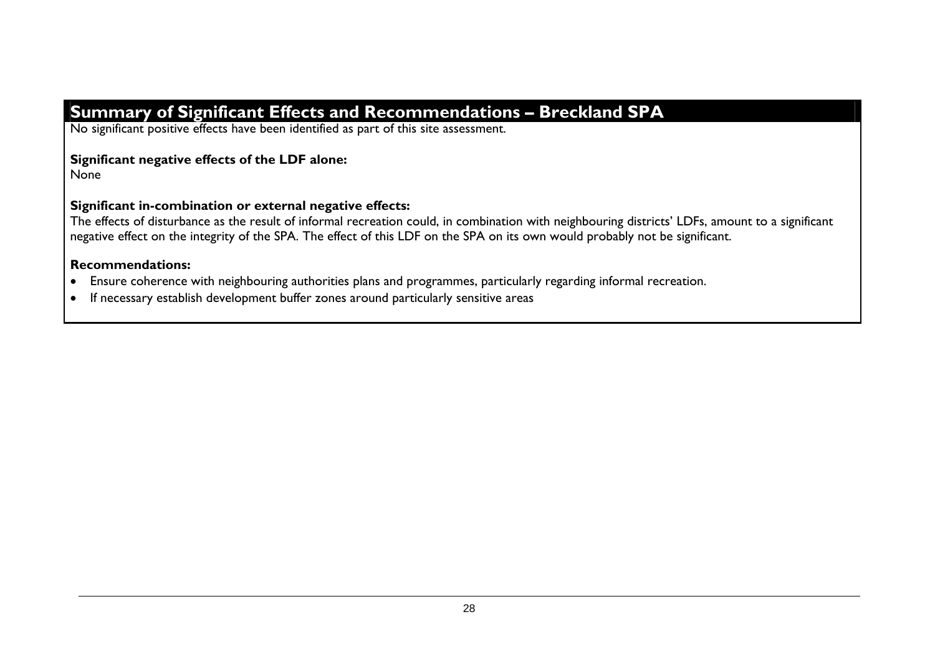# **Summary of Significant Effects and Recommendations – Breckland SPA**

No significant positive effects have been identified as part of this site assessment.

#### **Significant negative effects of the LDF alone:**

None

#### **Significant in-combination or external negative effects:**

The effects of disturbance as the result of informal recreation could, in combination with neighbouring districts' LDFs, amount to a significant negative effect on the integrity of the SPA. The effect of this LDF on the SPA on its own would probably not be significant.

#### **Recommendations:**

- Ensure coherence with neighbouring authorities plans and programmes, particularly regarding informal recreation.
- If necessary establish development buffer zones around particularly sensitive areas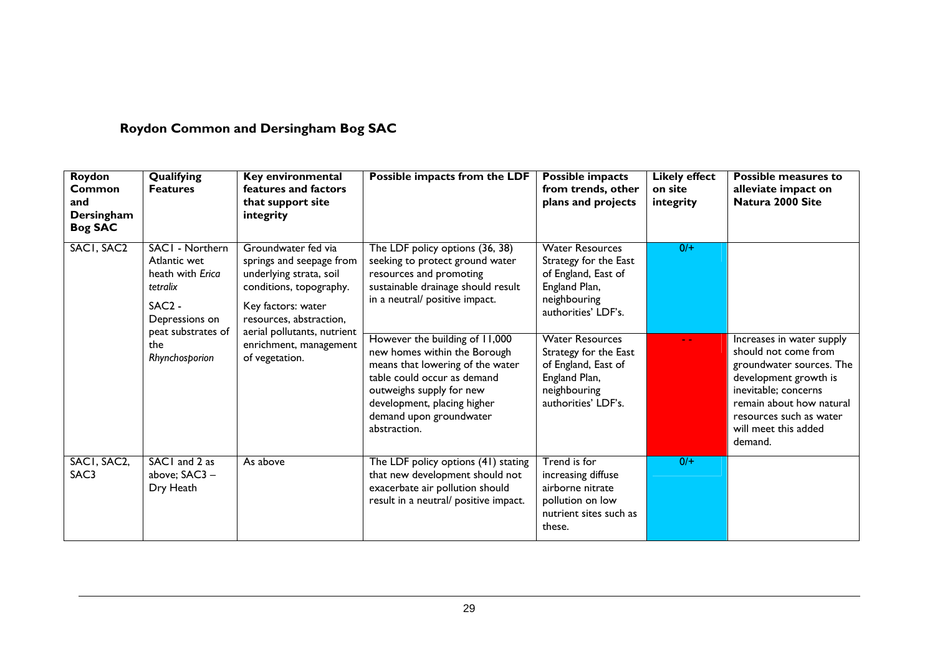# **Roydon Common and Dersingham Bog SAC**

| Roydon<br>Common<br>and<br>Dersingham<br><b>Bog SAC</b> | Qualifying<br><b>Features</b>                                                                 | Key environmental<br>features and factors<br>that support site<br>integrity                                                                                                           | Possible impacts from the LDF                                                                                                                                                                                                           | Possible impacts<br>from trends, other<br>plans and projects                                                                   | <b>Likely effect</b><br>on site<br>integrity | <b>Possible measures to</b><br>alleviate impact on<br>Natura 2000 Site                                                                                                                                                   |
|---------------------------------------------------------|-----------------------------------------------------------------------------------------------|---------------------------------------------------------------------------------------------------------------------------------------------------------------------------------------|-----------------------------------------------------------------------------------------------------------------------------------------------------------------------------------------------------------------------------------------|--------------------------------------------------------------------------------------------------------------------------------|----------------------------------------------|--------------------------------------------------------------------------------------------------------------------------------------------------------------------------------------------------------------------------|
| SACI, SAC2                                              | SACI - Northern<br>Atlantic wet<br>heath with Erica<br>tetralix<br>$SAC2 -$<br>Depressions on | Groundwater fed via<br>springs and seepage from<br>underlying strata, soil<br>conditions, topography.<br>Key factors: water<br>resources, abstraction,<br>aerial pollutants, nutrient | The LDF policy options (36, 38)<br>seeking to protect ground water<br>resources and promoting<br>sustainable drainage should result<br>in a neutral/ positive impact.                                                                   | <b>Water Resources</b><br>Strategy for the East<br>of England, East of<br>England Plan,<br>neighbouring<br>authorities' LDF's. | $0/+$                                        |                                                                                                                                                                                                                          |
|                                                         | peat substrates of<br>the<br>Rhynchosporion                                                   | enrichment, management<br>of vegetation.                                                                                                                                              | However the building of 11,000<br>new homes within the Borough<br>means that lowering of the water<br>table could occur as demand<br>outweighs supply for new<br>development, placing higher<br>demand upon groundwater<br>abstraction. | <b>Water Resources</b><br>Strategy for the East<br>of England, East of<br>England Plan,<br>neighbouring<br>authorities' LDF's. | $\sim$ $\sim$                                | Increases in water supply<br>should not come from<br>groundwater sources. The<br>development growth is<br>inevitable; concerns<br>remain about how natural<br>resources such as water<br>will meet this added<br>demand. |
| SACI, SAC2,<br>SAC3                                     | SACI and 2 as<br>above; SAC3 -<br>Dry Heath                                                   | As above                                                                                                                                                                              | The LDF policy options (41) stating<br>that new development should not<br>exacerbate air pollution should<br>result in a neutral/ positive impact.                                                                                      | Trend is for<br>increasing diffuse<br>airborne nitrate<br>pollution on low<br>nutrient sites such as<br>these.                 | $0/+$                                        |                                                                                                                                                                                                                          |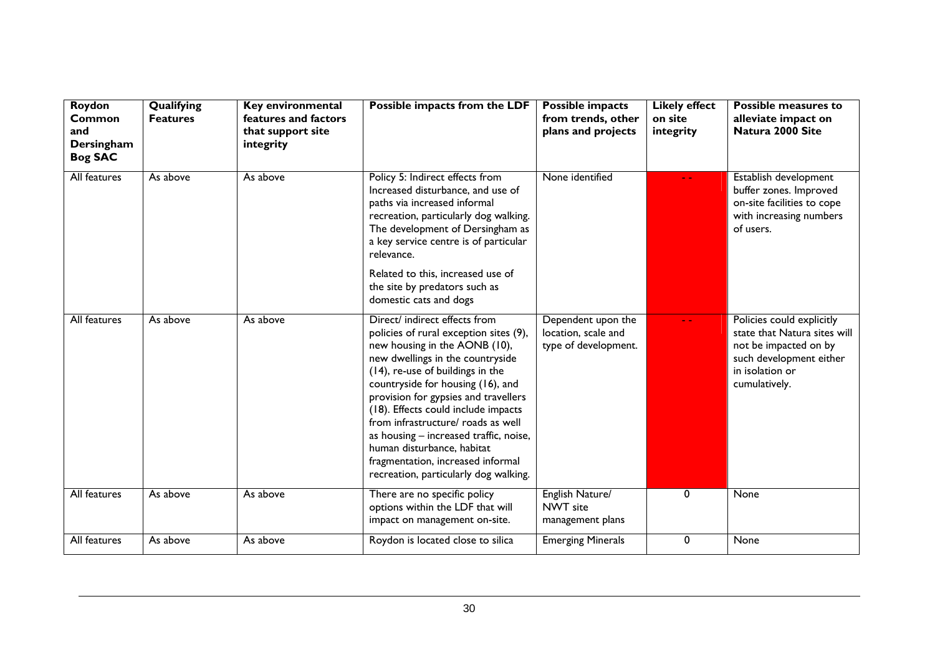| Roydon<br>Common<br>and<br>Dersingham<br><b>Bog SAC</b> | Qualifying<br><b>Features</b> | Key environmental<br>features and factors<br>that support site<br>integrity | Possible impacts from the LDF                                                                                                                                                                                                                                                                                                                                                                                                                                                                    | Possible impacts<br>from trends, other<br>plans and projects      | <b>Likely effect</b><br>on site<br>integrity | <b>Possible measures to</b><br>alleviate impact on<br>Natura 2000 Site                                                                            |
|---------------------------------------------------------|-------------------------------|-----------------------------------------------------------------------------|--------------------------------------------------------------------------------------------------------------------------------------------------------------------------------------------------------------------------------------------------------------------------------------------------------------------------------------------------------------------------------------------------------------------------------------------------------------------------------------------------|-------------------------------------------------------------------|----------------------------------------------|---------------------------------------------------------------------------------------------------------------------------------------------------|
| All features                                            | As above                      | As above                                                                    | Policy 5: Indirect effects from<br>Increased disturbance, and use of<br>paths via increased informal<br>recreation, particularly dog walking.<br>The development of Dersingham as<br>a key service centre is of particular<br>relevance.                                                                                                                                                                                                                                                         | None identified                                                   |                                              | Establish development<br>buffer zones. Improved<br>on-site facilities to cope<br>with increasing numbers<br>of users.                             |
|                                                         |                               |                                                                             | Related to this, increased use of<br>the site by predators such as<br>domestic cats and dogs                                                                                                                                                                                                                                                                                                                                                                                                     |                                                                   |                                              |                                                                                                                                                   |
| All features                                            | As above                      | As above                                                                    | Direct/ indirect effects from<br>policies of rural exception sites (9),<br>new housing in the AONB (10),<br>new dwellings in the countryside<br>(14), re-use of buildings in the<br>countryside for housing (16), and<br>provision for gypsies and travellers<br>(18). Effects could include impacts<br>from infrastructure/ roads as well<br>as housing - increased traffic, noise,<br>human disturbance, habitat<br>fragmentation, increased informal<br>recreation, particularly dog walking. | Dependent upon the<br>location, scale and<br>type of development. |                                              | Policies could explicitly<br>state that Natura sites will<br>not be impacted on by<br>such development either<br>in isolation or<br>cumulatively. |
| All features                                            | As above                      | As above                                                                    | There are no specific policy<br>options within the LDF that will<br>impact on management on-site.                                                                                                                                                                                                                                                                                                                                                                                                | English Nature/<br>NWT site<br>management plans                   | 0                                            | None                                                                                                                                              |
| All features                                            | As above                      | As above                                                                    | Roydon is located close to silica                                                                                                                                                                                                                                                                                                                                                                                                                                                                | <b>Emerging Minerals</b>                                          | 0                                            | None                                                                                                                                              |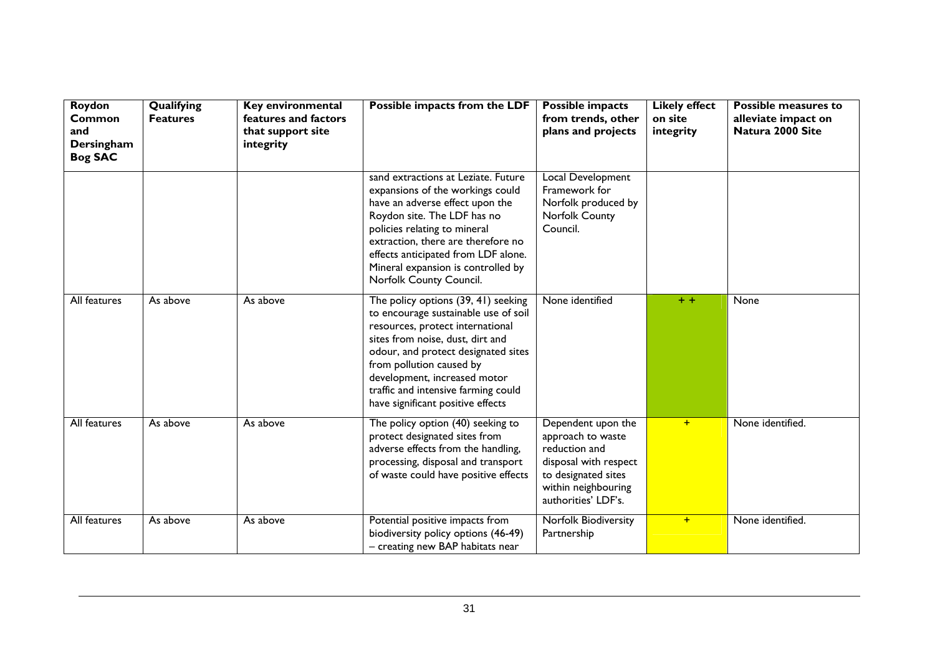| Roydon<br>Common<br>and<br>Dersingham<br><b>Bog SAC</b> | Qualifying<br><b>Features</b> | Key environmental<br>features and factors<br>that support site<br>integrity | Possible impacts from the LDF                                                                                                                                                                                                                                                                                                      | <b>Possible impacts</b><br>from trends, other<br>plans and projects                                                                                    | <b>Likely effect</b><br>on site<br>integrity | <b>Possible measures to</b><br>alleviate impact on<br>Natura 2000 Site |
|---------------------------------------------------------|-------------------------------|-----------------------------------------------------------------------------|------------------------------------------------------------------------------------------------------------------------------------------------------------------------------------------------------------------------------------------------------------------------------------------------------------------------------------|--------------------------------------------------------------------------------------------------------------------------------------------------------|----------------------------------------------|------------------------------------------------------------------------|
|                                                         |                               |                                                                             | sand extractions at Leziate. Future<br>expansions of the workings could<br>have an adverse effect upon the<br>Roydon site. The LDF has no<br>policies relating to mineral<br>extraction, there are therefore no<br>effects anticipated from LDF alone.<br>Mineral expansion is controlled by<br>Norfolk County Council.            | <b>Local Development</b><br>Framework for<br>Norfolk produced by<br>Norfolk County<br>Council.                                                         |                                              |                                                                        |
| All features                                            | As above                      | As above                                                                    | The policy options (39, 41) seeking<br>to encourage sustainable use of soil<br>resources, protect international<br>sites from noise, dust, dirt and<br>odour, and protect designated sites<br>from pollution caused by<br>development, increased motor<br>traffic and intensive farming could<br>have significant positive effects | None identified                                                                                                                                        | $+ +$                                        | None                                                                   |
| All features                                            | As above                      | As above                                                                    | The policy option (40) seeking to<br>protect designated sites from<br>adverse effects from the handling,<br>processing, disposal and transport<br>of waste could have positive effects                                                                                                                                             | Dependent upon the<br>approach to waste<br>reduction and<br>disposal with respect<br>to designated sites<br>within neighbouring<br>authorities' LDF's. | $+$                                          | None identified.                                                       |
| <b>All features</b>                                     | As above                      | As above                                                                    | Potential positive impacts from<br>biodiversity policy options (46-49)<br>- creating new BAP habitats near                                                                                                                                                                                                                         | <b>Norfolk Biodiversity</b><br>Partnership                                                                                                             | $+$                                          | None identified.                                                       |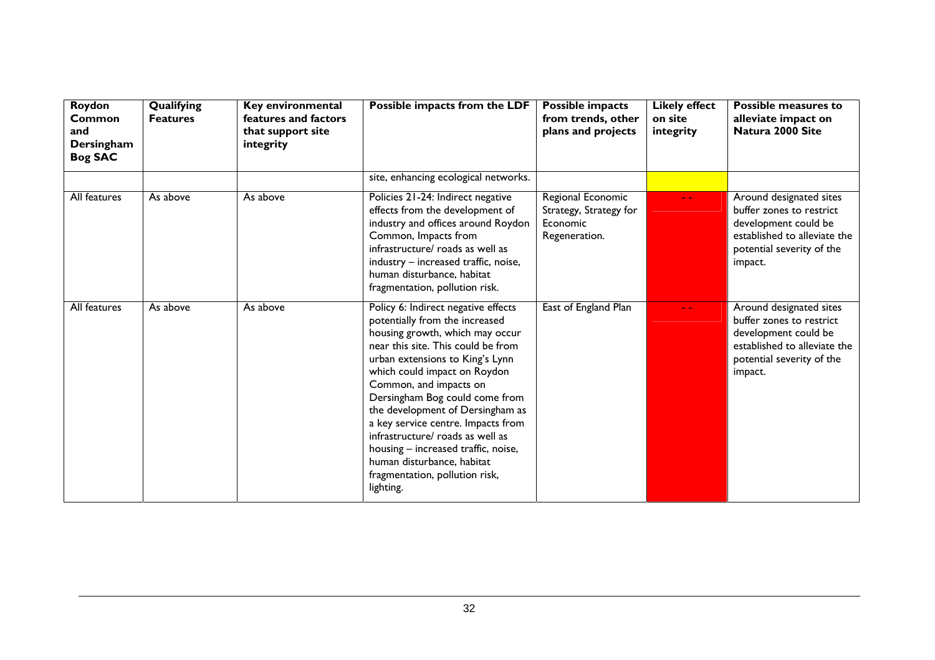| Roydon<br>Common<br>and<br>Dersingham<br><b>Bog SAC</b> | Qualifying<br><b>Features</b> | Key environmental<br>features and factors<br>that support site<br>integrity | Possible impacts from the LDF                                                                                                                                                                                                                                                                                                                                                                                                                                                                                   | Possible impacts<br>from trends, other<br>plans and projects             | <b>Likely effect</b><br>on site<br>integrity | Possible measures to<br>alleviate impact on<br>Natura 2000 Site                                                                                     |
|---------------------------------------------------------|-------------------------------|-----------------------------------------------------------------------------|-----------------------------------------------------------------------------------------------------------------------------------------------------------------------------------------------------------------------------------------------------------------------------------------------------------------------------------------------------------------------------------------------------------------------------------------------------------------------------------------------------------------|--------------------------------------------------------------------------|----------------------------------------------|-----------------------------------------------------------------------------------------------------------------------------------------------------|
|                                                         |                               |                                                                             | site, enhancing ecological networks.                                                                                                                                                                                                                                                                                                                                                                                                                                                                            |                                                                          |                                              |                                                                                                                                                     |
| All features                                            | As above                      | As above                                                                    | Policies 21-24: Indirect negative<br>effects from the development of<br>industry and offices around Roydon<br>Common, Impacts from<br>infrastructure/ roads as well as<br>industry - increased traffic, noise,<br>human disturbance, habitat<br>fragmentation, pollution risk.                                                                                                                                                                                                                                  | Regional Economic<br>Strategy, Strategy for<br>Economic<br>Regeneration. | $\sim$ $\sim$                                | Around designated sites<br>buffer zones to restrict<br>development could be<br>established to alleviate the<br>potential severity of the<br>impact. |
| All features                                            | As above                      | As above                                                                    | Policy 6: Indirect negative effects<br>potentially from the increased<br>housing growth, which may occur<br>near this site. This could be from<br>urban extensions to King's Lynn<br>which could impact on Roydon<br>Common, and impacts on<br>Dersingham Bog could come from<br>the development of Dersingham as<br>a key service centre. Impacts from<br>infrastructure/ roads as well as<br>housing - increased traffic, noise,<br>human disturbance, habitat<br>fragmentation, pollution risk,<br>lighting. | East of England Plan                                                     | $\sim$ $\sim$                                | Around designated sites<br>buffer zones to restrict<br>development could be<br>established to alleviate the<br>potential severity of the<br>impact. |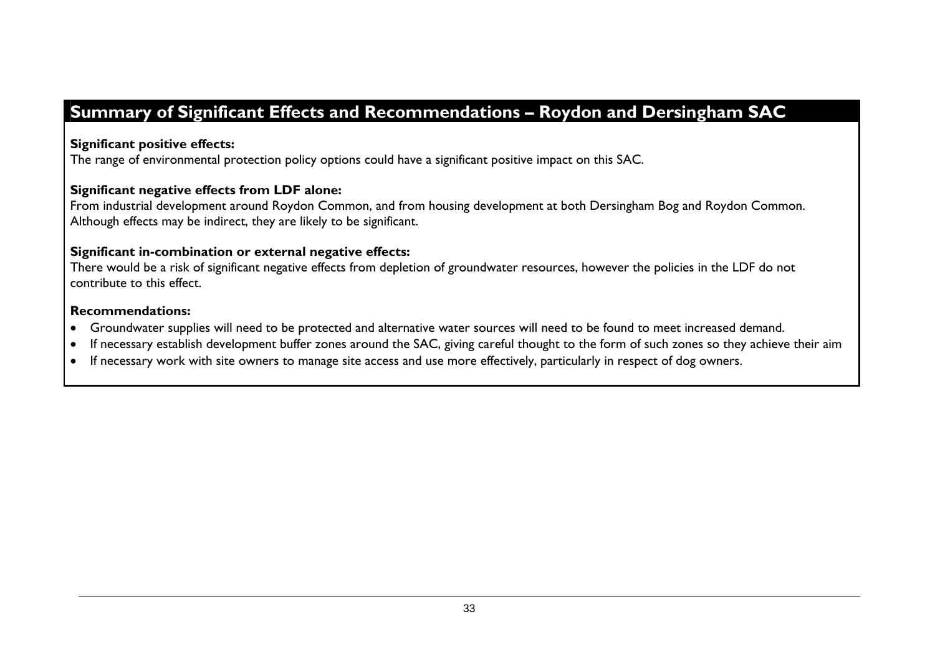# **Summary of Significant Effects and Recommendations – Roydon and Dersingham SAC**

#### **Significant positive effects:**

The range of environmental protection policy options could have a significant positive impact on this SAC.

#### **Significant negative effects from LDF alone:**

From industrial development around Roydon Common, and from housing development at both Dersingham Bog and Roydon Common. Although effects may be indirect, they are likely to be significant.

#### **Significant in-combination or external negative effects:**

There would be a risk of significant negative effects from depletion of groundwater resources, however the policies in the LDF do not contribute to this effect.

#### **Recommendations:**

- •Groundwater supplies will need to be protected and alternative water sources will need to be found to meet increased demand.
- •If necessary establish development buffer zones around the SAC, giving careful thought to the form of such zones so they achieve their aim
- •If necessary work with site owners to manage site access and use more effectively, particularly in respect of dog owners.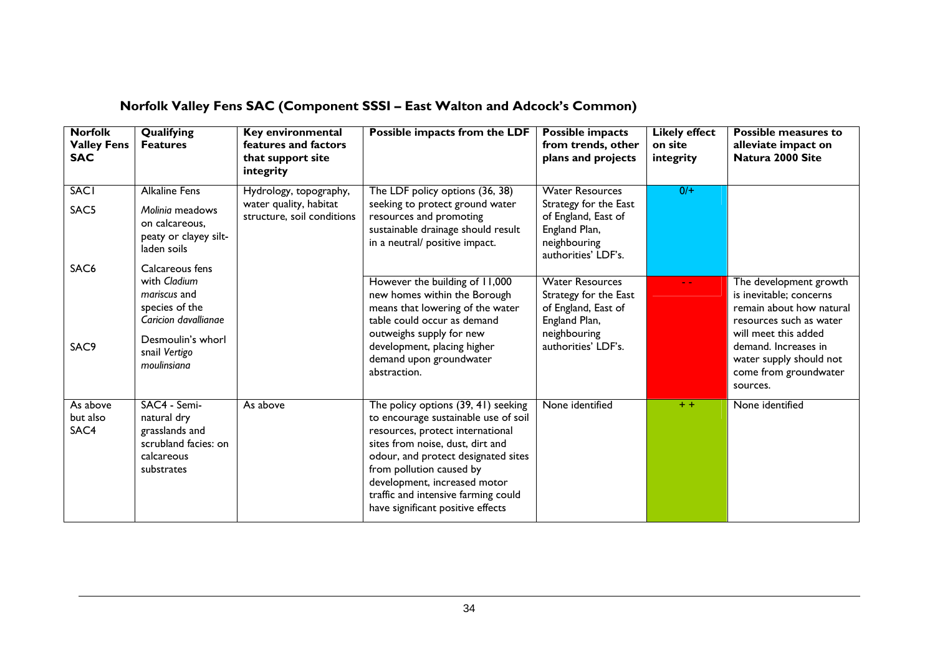| <b>Norfolk</b><br><b>Valley Fens</b><br><b>SAC</b> | Qualifying<br><b>Features</b>                                                                                               | Key environmental<br>features and factors<br>that support site<br>integrity    | Possible impacts from the LDF                                                                                                                                                                                                                                                                                                      | Possible impacts<br>from trends, other<br>plans and projects                                                                   | <b>Likely effect</b><br>on site<br>integrity | <b>Possible measures to</b><br>alleviate impact on<br>Natura 2000 Site                                                                                                                                                   |
|----------------------------------------------------|-----------------------------------------------------------------------------------------------------------------------------|--------------------------------------------------------------------------------|------------------------------------------------------------------------------------------------------------------------------------------------------------------------------------------------------------------------------------------------------------------------------------------------------------------------------------|--------------------------------------------------------------------------------------------------------------------------------|----------------------------------------------|--------------------------------------------------------------------------------------------------------------------------------------------------------------------------------------------------------------------------|
| <b>SACI</b><br>SAC5<br>SAC <sub>6</sub>            | <b>Alkaline Fens</b><br>Molinia meadows<br>on calcareous,<br>peaty or clayey silt-<br>laden soils<br>Calcareous fens        | Hydrology, topography,<br>water quality, habitat<br>structure, soil conditions | The LDF policy options (36, 38)<br>seeking to protect ground water<br>resources and promoting<br>sustainable drainage should result<br>in a neutral/ positive impact.                                                                                                                                                              | <b>Water Resources</b><br>Strategy for the East<br>of England, East of<br>England Plan,<br>neighbouring<br>authorities' LDF's. | 0/                                           |                                                                                                                                                                                                                          |
| SAC9                                               | with Cladium<br>mariscus and<br>species of the<br>Caricion davallianae<br>Desmoulin's whorl<br>snail Vertigo<br>moulinsiana |                                                                                | However the building of 11,000<br>new homes within the Borough<br>means that lowering of the water<br>table could occur as demand<br>outweighs supply for new<br>development, placing higher<br>demand upon groundwater<br>abstraction.                                                                                            | <b>Water Resources</b><br>Strategy for the East<br>of England, East of<br>England Plan,<br>neighbouring<br>authorities' LDF's. |                                              | The development growth<br>is inevitable; concerns<br>remain about how natural<br>resources such as water<br>will meet this added<br>demand. Increases in<br>water supply should not<br>come from groundwater<br>sources. |
| As above<br>but also<br>SAC4                       | SAC4 - Semi-<br>natural dry<br>grasslands and<br>scrubland facies: on<br>calcareous<br>substrates                           | As above                                                                       | The policy options (39, 41) seeking<br>to encourage sustainable use of soil<br>resources, protect international<br>sites from noise, dust, dirt and<br>odour, and protect designated sites<br>from pollution caused by<br>development, increased motor<br>traffic and intensive farming could<br>have significant positive effects | None identified                                                                                                                | $+ +$                                        | None identified                                                                                                                                                                                                          |

# **Norfolk Valley Fens SAC (Component SSSI – East Walton and Adcock's Common)**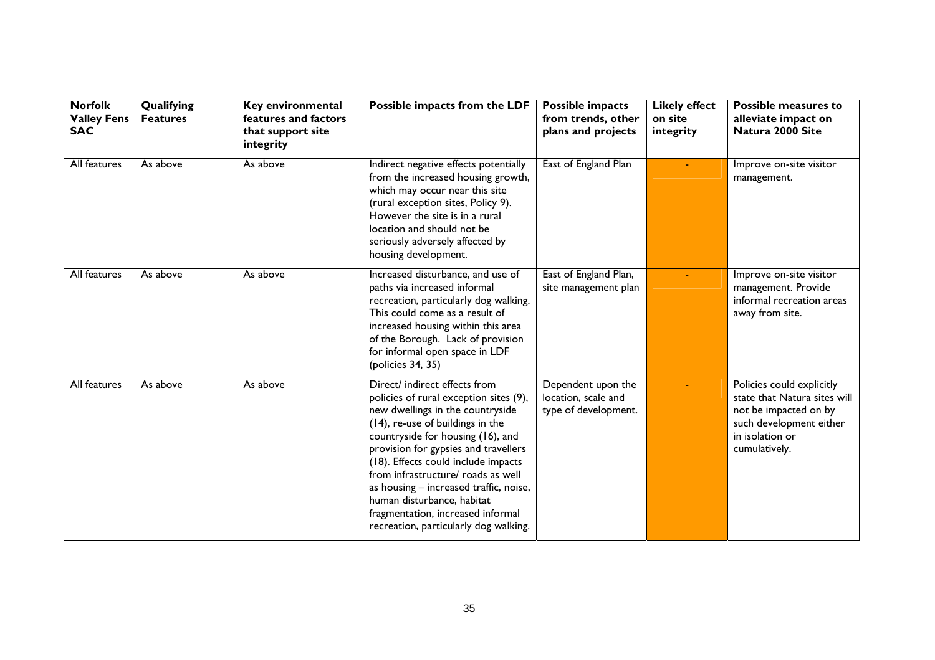| <b>Norfolk</b><br><b>Valley Fens</b><br><b>SAC</b> | Qualifying<br><b>Features</b> | Key environmental<br>features and factors<br>that support site<br>integrity | Possible impacts from the LDF                                                                                                                                                                                                                                                                                                                                                                                                                                   | <b>Possible impacts</b><br>from trends, other<br>plans and projects | <b>Likely effect</b><br>on site<br>integrity | <b>Possible measures to</b><br>alleviate impact on<br>Natura 2000 Site                                                                            |
|----------------------------------------------------|-------------------------------|-----------------------------------------------------------------------------|-----------------------------------------------------------------------------------------------------------------------------------------------------------------------------------------------------------------------------------------------------------------------------------------------------------------------------------------------------------------------------------------------------------------------------------------------------------------|---------------------------------------------------------------------|----------------------------------------------|---------------------------------------------------------------------------------------------------------------------------------------------------|
| All features                                       | As above                      | As above                                                                    | Indirect negative effects potentially<br>from the increased housing growth,<br>which may occur near this site<br>(rural exception sites, Policy 9).<br>However the site is in a rural<br>location and should not be<br>seriously adversely affected by<br>housing development.                                                                                                                                                                                  | East of England Plan                                                |                                              | Improve on-site visitor<br>management.                                                                                                            |
| All features                                       | As above                      | As above                                                                    | Increased disturbance, and use of<br>paths via increased informal<br>recreation, particularly dog walking.<br>This could come as a result of<br>increased housing within this area<br>of the Borough. Lack of provision<br>for informal open space in LDF<br>(policies 34, 35)                                                                                                                                                                                  | East of England Plan,<br>site management plan                       |                                              | Improve on-site visitor<br>management. Provide<br>informal recreation areas<br>away from site.                                                    |
| All features                                       | As above                      | As above                                                                    | Direct/ indirect effects from<br>policies of rural exception sites (9),<br>new dwellings in the countryside<br>(14), re-use of buildings in the<br>countryside for housing (16), and<br>provision for gypsies and travellers<br>(18). Effects could include impacts<br>from infrastructure/ roads as well<br>as housing - increased traffic, noise,<br>human disturbance, habitat<br>fragmentation, increased informal<br>recreation, particularly dog walking. | Dependent upon the<br>location, scale and<br>type of development.   |                                              | Policies could explicitly<br>state that Natura sites will<br>not be impacted on by<br>such development either<br>in isolation or<br>cumulatively. |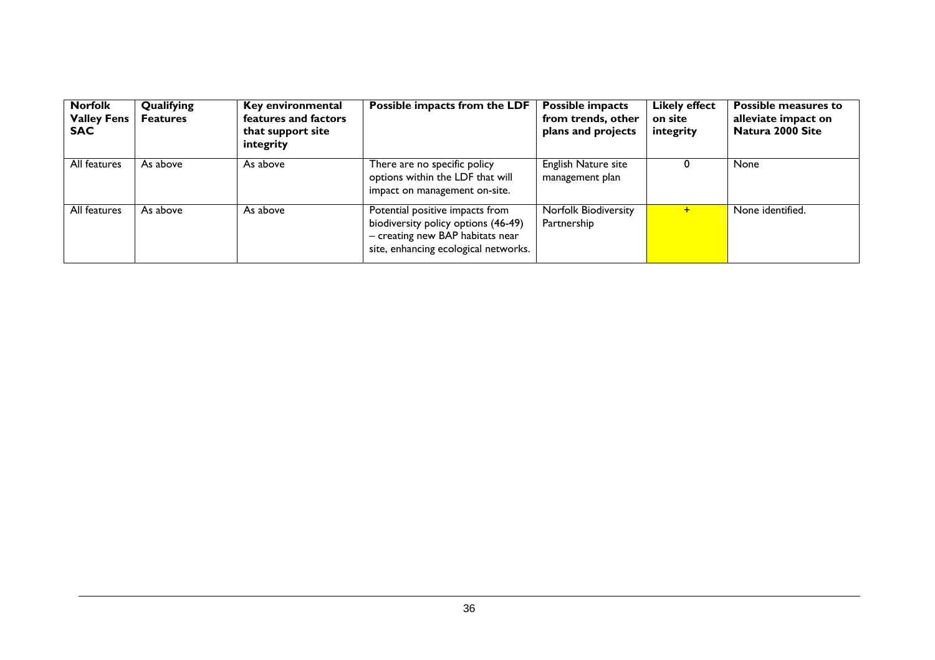| <b>Norfolk</b><br><b>Valley Fens</b><br><b>SAC</b> | Qualifying<br><b>Features</b> | Key environmental<br>features and factors<br>that support site<br>integrity | Possible impacts from the LDF                                                                                                                      | Possible impacts<br>from trends, other<br>plans and projects | <b>Likely effect</b><br>on site<br>integrity | <b>Possible measures to</b><br>alleviate impact on<br>Natura 2000 Site |
|----------------------------------------------------|-------------------------------|-----------------------------------------------------------------------------|----------------------------------------------------------------------------------------------------------------------------------------------------|--------------------------------------------------------------|----------------------------------------------|------------------------------------------------------------------------|
| All features                                       | As above                      | As above                                                                    | There are no specific policy<br>options within the LDF that will<br>impact on management on-site.                                                  | English Nature site<br>management plan                       | O                                            | None                                                                   |
| All features                                       | As above                      | As above                                                                    | Potential positive impacts from<br>biodiversity policy options (46-49)<br>- creating new BAP habitats near<br>site, enhancing ecological networks. | Norfolk Biodiversity<br>Partnership                          | $\div$                                       | None identified.                                                       |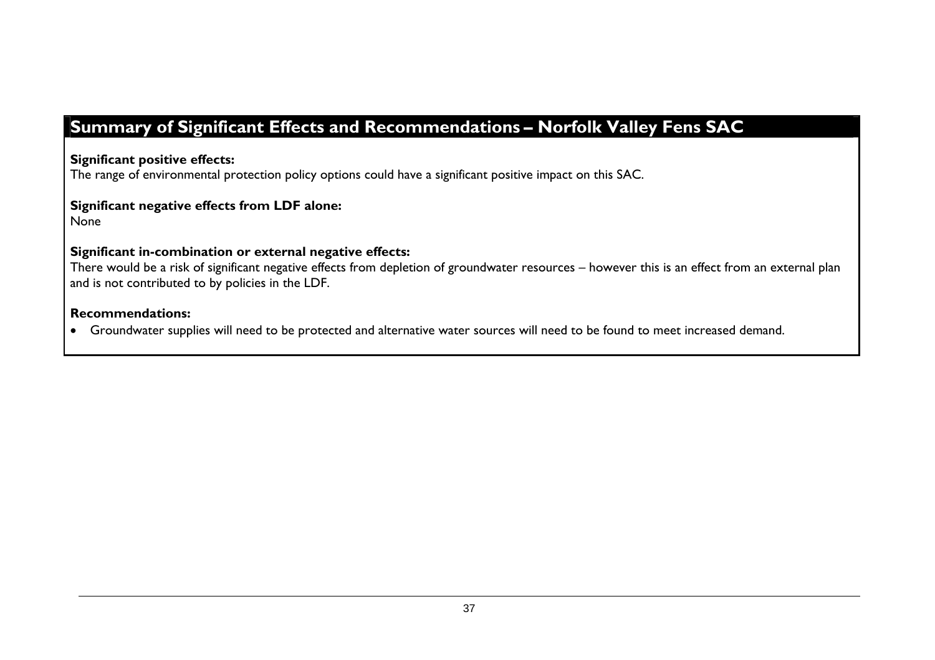# **Summary of Significant Effects and Recommendations – Norfolk Valley Fens SAC**

**Significant positive effects:** 

The range of environmental protection policy options could have a significant positive impact on this SAC.

**Significant negative effects from LDF alone:** 

None

#### **Significant in-combination or external negative effects:**

There would be a risk of significant negative effects from depletion of groundwater resources – however this is an effect from an external plan and is not contributed to by policies in the LDF.

#### **Recommendations:**

• Groundwater supplies will need to be protected and alternative water sources will need to be found to meet increased demand.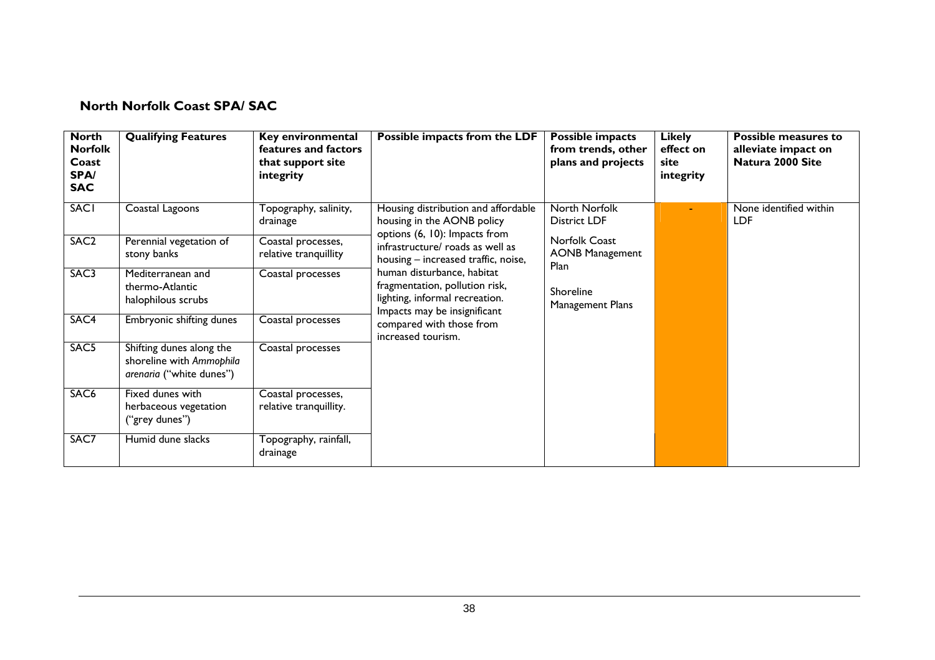#### **North Norfolk Coast SPA/ SAC**

| <b>North</b><br><b>Norfolk</b><br>Coast<br><b>SPA/</b><br><b>SAC</b> | <b>Qualifying Features</b>                                                       | Key environmental<br>features and factors<br>that support site<br>integrity | Possible impacts from the LDF                                                                                                                                                                                                                                                                | <b>Possible impacts</b><br>from trends, other<br>plans and projects | <b>Likely</b><br>effect on<br>site<br>integrity | Possible measures to<br>alleviate impact on<br>Natura 2000 Site |
|----------------------------------------------------------------------|----------------------------------------------------------------------------------|-----------------------------------------------------------------------------|----------------------------------------------------------------------------------------------------------------------------------------------------------------------------------------------------------------------------------------------------------------------------------------------|---------------------------------------------------------------------|-------------------------------------------------|-----------------------------------------------------------------|
| <b>SACI</b>                                                          | Coastal Lagoons                                                                  | Topography, salinity,<br>drainage                                           | Housing distribution and affordable<br>housing in the AONB policy                                                                                                                                                                                                                            | North Norfolk<br><b>District LDF</b>                                |                                                 | None identified within<br><b>LDF</b>                            |
| SAC <sub>2</sub>                                                     | Perennial vegetation of<br>stony banks                                           | Coastal processes,<br>relative tranquillity                                 | options (6, 10): Impacts from<br>infrastructure/ roads as well as<br>housing - increased traffic, noise,<br>human disturbance, habitat<br>fragmentation, pollution risk,<br>lighting, informal recreation.<br>Impacts may be insignificant<br>compared with those from<br>increased tourism. | Norfolk Coast<br><b>AONB Management</b><br>Plan                     |                                                 |                                                                 |
| SAC3                                                                 | Mediterranean and<br>thermo-Atlantic<br>halophilous scrubs                       | Coastal processes                                                           |                                                                                                                                                                                                                                                                                              | Shoreline<br>Management Plans                                       |                                                 |                                                                 |
| SAC4                                                                 | Embryonic shifting dunes                                                         | Coastal processes                                                           |                                                                                                                                                                                                                                                                                              |                                                                     |                                                 |                                                                 |
| SAC <sub>5</sub>                                                     | Shifting dunes along the<br>shoreline with Ammophila<br>arenaria ("white dunes") | Coastal processes                                                           |                                                                                                                                                                                                                                                                                              |                                                                     |                                                 |                                                                 |
| SAC <sub>6</sub>                                                     | Fixed dunes with<br>herbaceous vegetation<br>("grey dunes")                      | Coastal processes,<br>relative tranquillity.                                |                                                                                                                                                                                                                                                                                              |                                                                     |                                                 |                                                                 |
| SAC7                                                                 | Humid dune slacks                                                                | Topography, rainfall,<br>drainage                                           |                                                                                                                                                                                                                                                                                              |                                                                     |                                                 |                                                                 |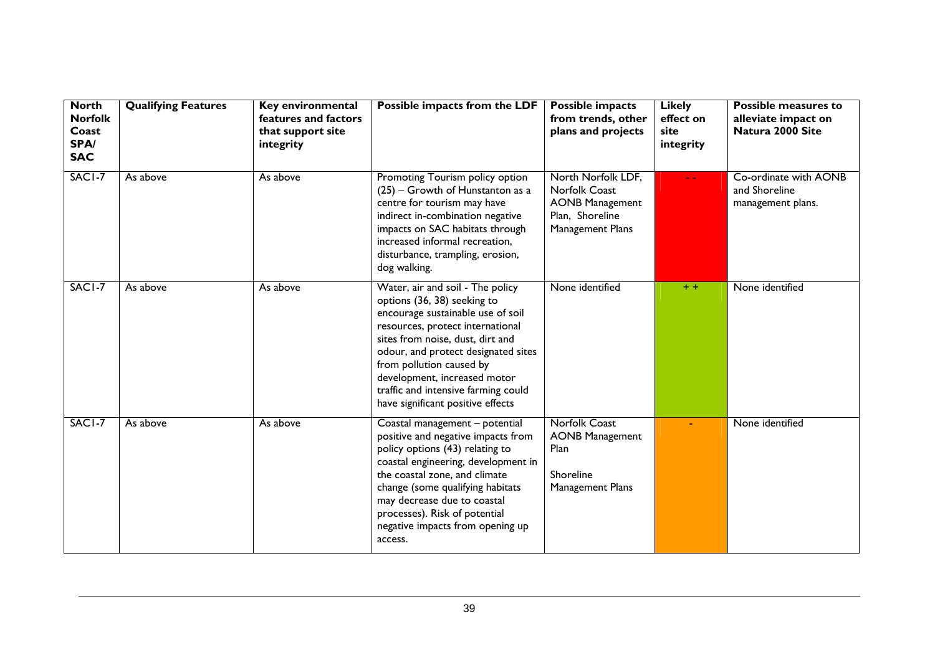| <b>North</b><br><b>Norfolk</b><br>Coast<br>SPA/<br><b>SAC</b> | <b>Qualifying Features</b> | Key environmental<br>features and factors<br>that support site<br>integrity | Possible impacts from the LDF                                                                                                                                                                                                                                                                                                                               | <b>Possible impacts</b><br>from trends, other<br>plans and projects                                  | <b>Likely</b><br>effect on<br>site<br>integrity | <b>Possible measures to</b><br>alleviate impact on<br>Natura 2000 Site |
|---------------------------------------------------------------|----------------------------|-----------------------------------------------------------------------------|-------------------------------------------------------------------------------------------------------------------------------------------------------------------------------------------------------------------------------------------------------------------------------------------------------------------------------------------------------------|------------------------------------------------------------------------------------------------------|-------------------------------------------------|------------------------------------------------------------------------|
| SACI-7                                                        | As above                   | As above                                                                    | Promoting Tourism policy option<br>(25) - Growth of Hunstanton as a<br>centre for tourism may have<br>indirect in-combination negative<br>impacts on SAC habitats through<br>increased informal recreation,<br>disturbance, trampling, erosion,<br>dog walking.                                                                                             | North Norfolk LDF,<br>Norfolk Coast<br><b>AONB Management</b><br>Plan, Shoreline<br>Management Plans |                                                 | Co-ordinate with AONB<br>and Shoreline<br>management plans.            |
| SACI-7                                                        | As above                   | As above                                                                    | Water, air and soil - The policy<br>options (36, 38) seeking to<br>encourage sustainable use of soil<br>resources, protect international<br>sites from noise, dust, dirt and<br>odour, and protect designated sites<br>from pollution caused by<br>development, increased motor<br>traffic and intensive farming could<br>have significant positive effects | None identified                                                                                      | $+ +$                                           | None identified                                                        |
| SACI-7                                                        | As above                   | As above                                                                    | Coastal management - potential<br>positive and negative impacts from<br>policy options (43) relating to<br>coastal engineering, development in<br>the coastal zone, and climate<br>change (some qualifying habitats<br>may decrease due to coastal<br>processes). Risk of potential<br>negative impacts from opening up<br>access.                          | <b>Norfolk Coast</b><br><b>AONB Management</b><br>Plan<br>Shoreline<br>Management Plans              |                                                 | None identified                                                        |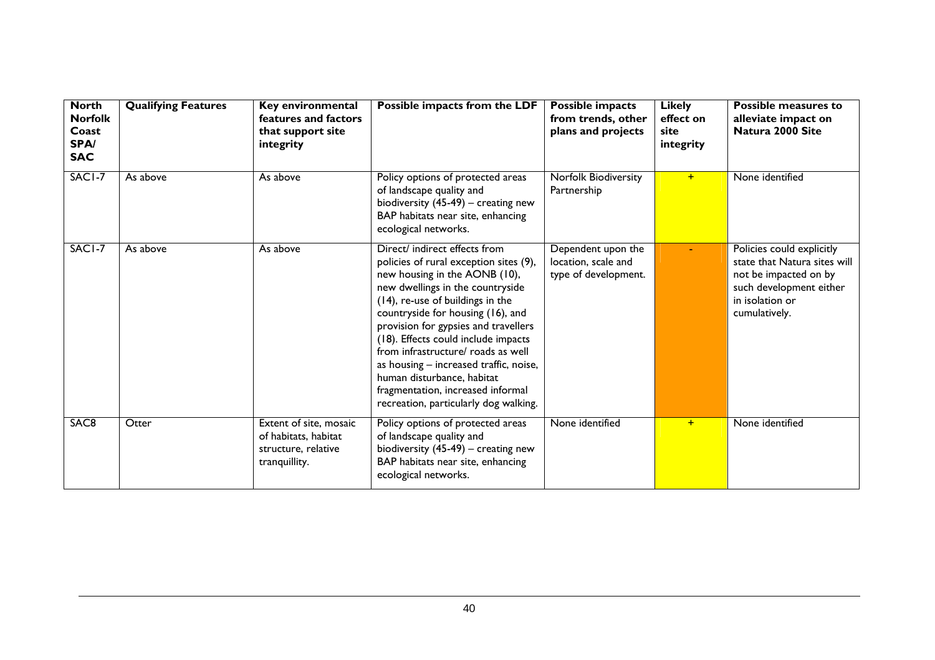| <b>North</b><br><b>Norfolk</b><br>Coast<br>SPA/<br><b>SAC</b> | <b>Qualifying Features</b> | Key environmental<br>features and factors<br>that support site<br>integrity            | Possible impacts from the LDF                                                                                                                                                                                                                                                                                                                                                                                                                                                                    | <b>Possible impacts</b><br>from trends, other<br>plans and projects | <b>Likely</b><br>effect on<br>site<br>integrity | Possible measures to<br>alleviate impact on<br>Natura 2000 Site                                                                                   |
|---------------------------------------------------------------|----------------------------|----------------------------------------------------------------------------------------|--------------------------------------------------------------------------------------------------------------------------------------------------------------------------------------------------------------------------------------------------------------------------------------------------------------------------------------------------------------------------------------------------------------------------------------------------------------------------------------------------|---------------------------------------------------------------------|-------------------------------------------------|---------------------------------------------------------------------------------------------------------------------------------------------------|
| SACI-7                                                        | As above                   | As above                                                                               | Policy options of protected areas<br>of landscape quality and<br>biodiversity $(45-49)$ – creating new<br>BAP habitats near site, enhancing<br>ecological networks.                                                                                                                                                                                                                                                                                                                              | Norfolk Biodiversity<br>Partnership                                 | $+$                                             | None identified                                                                                                                                   |
| SACI-7                                                        | As above                   | As above                                                                               | Direct/ indirect effects from<br>policies of rural exception sites (9),<br>new housing in the AONB (10),<br>new dwellings in the countryside<br>(14), re-use of buildings in the<br>countryside for housing (16), and<br>provision for gypsies and travellers<br>(18). Effects could include impacts<br>from infrastructure/ roads as well<br>as housing - increased traffic, noise,<br>human disturbance, habitat<br>fragmentation, increased informal<br>recreation, particularly dog walking. | Dependent upon the<br>location, scale and<br>type of development.   |                                                 | Policies could explicitly<br>state that Natura sites will<br>not be impacted on by<br>such development either<br>in isolation or<br>cumulatively. |
| SAC <sub>8</sub>                                              | Otter                      | Extent of site, mosaic<br>of habitats, habitat<br>structure, relative<br>tranquillity. | Policy options of protected areas<br>of landscape quality and<br>biodiversity $(45-49)$ – creating new<br>BAP habitats near site, enhancing<br>ecological networks.                                                                                                                                                                                                                                                                                                                              | None identified                                                     | $+$                                             | None identified                                                                                                                                   |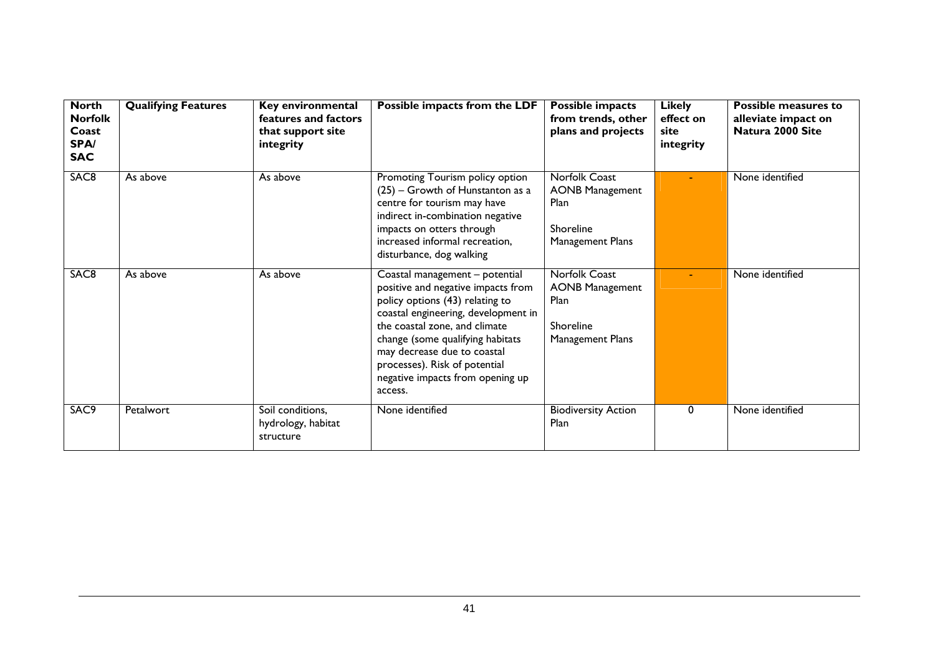| <b>North</b><br><b>Norfolk</b><br>Coast<br>SPA/<br><b>SAC</b> | <b>Qualifying Features</b> | Key environmental<br>features and factors<br>that support site<br>integrity | Possible impacts from the LDF                                                                                                                                                                                                                                                                                                      | <b>Possible impacts</b><br>from trends, other<br>plans and projects              | <b>Likely</b><br>effect on<br>site<br>integrity | Possible measures to<br>alleviate impact on<br>Natura 2000 Site |
|---------------------------------------------------------------|----------------------------|-----------------------------------------------------------------------------|------------------------------------------------------------------------------------------------------------------------------------------------------------------------------------------------------------------------------------------------------------------------------------------------------------------------------------|----------------------------------------------------------------------------------|-------------------------------------------------|-----------------------------------------------------------------|
| SAC <sub>8</sub>                                              | As above                   | As above                                                                    | Promoting Tourism policy option<br>(25) - Growth of Hunstanton as a<br>centre for tourism may have<br>indirect in-combination negative<br>impacts on otters through<br>increased informal recreation,<br>disturbance, dog walking                                                                                                  | Norfolk Coast<br><b>AONB Management</b><br>Plan<br>Shoreline<br>Management Plans |                                                 | None identified                                                 |
| SAC <sub>8</sub>                                              | As above                   | As above                                                                    | Coastal management - potential<br>positive and negative impacts from<br>policy options (43) relating to<br>coastal engineering, development in<br>the coastal zone, and climate<br>change (some qualifying habitats<br>may decrease due to coastal<br>processes). Risk of potential<br>negative impacts from opening up<br>access. | Norfolk Coast<br><b>AONB Management</b><br>Plan<br>Shoreline<br>Management Plans |                                                 | None identified                                                 |
| SAC9                                                          | Petalwort                  | Soil conditions,<br>hydrology, habitat<br>structure                         | None identified                                                                                                                                                                                                                                                                                                                    | <b>Biodiversity Action</b><br>Plan                                               | 0                                               | None identified                                                 |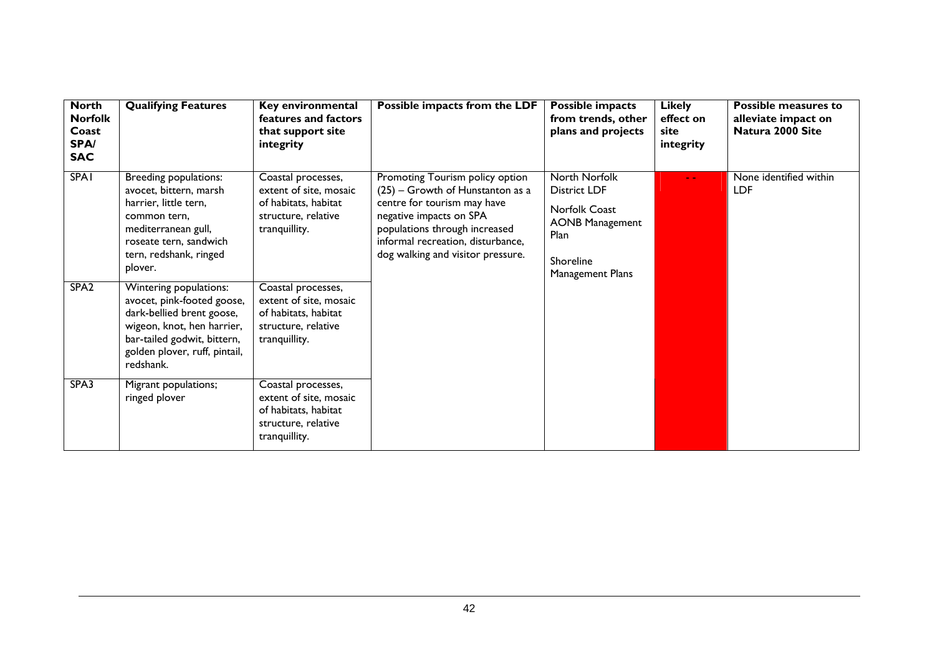| <b>North</b><br><b>Norfolk</b><br>Coast<br>SPA/<br><b>SAC</b> | <b>Qualifying Features</b>                                                                                                                                                                               | Key environmental<br>features and factors<br>that support site<br>integrity                                                        | Possible impacts from the LDF                                                                                                                                                                                                              | Possible impacts<br>from trends, other<br>plans and projects                                                             | <b>Likely</b><br>effect on<br>site<br>integrity | <b>Possible measures to</b><br>alleviate impact on<br>Natura 2000 Site |
|---------------------------------------------------------------|----------------------------------------------------------------------------------------------------------------------------------------------------------------------------------------------------------|------------------------------------------------------------------------------------------------------------------------------------|--------------------------------------------------------------------------------------------------------------------------------------------------------------------------------------------------------------------------------------------|--------------------------------------------------------------------------------------------------------------------------|-------------------------------------------------|------------------------------------------------------------------------|
| <b>SPA1</b><br>SPA <sub>2</sub>                               | Breeding populations:<br>avocet, bittern, marsh<br>harrier, little tern,<br>common tern.<br>mediterranean gull,<br>roseate tern, sandwich<br>tern, redshank, ringed<br>plover.<br>Wintering populations: | Coastal processes,<br>extent of site, mosaic<br>of habitats, habitat<br>structure, relative<br>tranquillity.<br>Coastal processes, | Promoting Tourism policy option<br>$(25)$ – Growth of Hunstanton as a<br>centre for tourism may have<br>negative impacts on SPA<br>populations through increased<br>informal recreation, disturbance,<br>dog walking and visitor pressure. | North Norfolk<br><b>District LDF</b><br>Norfolk Coast<br><b>AONB Management</b><br>Plan<br>Shoreline<br>Management Plans | $\sim$ $\sim$                                   | None identified within<br><b>LDF</b>                                   |
|                                                               | avocet, pink-footed goose,<br>dark-bellied brent goose,<br>wigeon, knot, hen harrier,<br>bar-tailed godwit, bittern,<br>golden plover, ruff, pintail,<br>redshank.                                       | extent of site, mosaic<br>of habitats, habitat<br>structure, relative<br>tranquillity.                                             |                                                                                                                                                                                                                                            |                                                                                                                          |                                                 |                                                                        |
| SPA3                                                          | Migrant populations;<br>ringed plover                                                                                                                                                                    | Coastal processes,<br>extent of site, mosaic<br>of habitats, habitat<br>structure, relative<br>tranquillity.                       |                                                                                                                                                                                                                                            |                                                                                                                          |                                                 |                                                                        |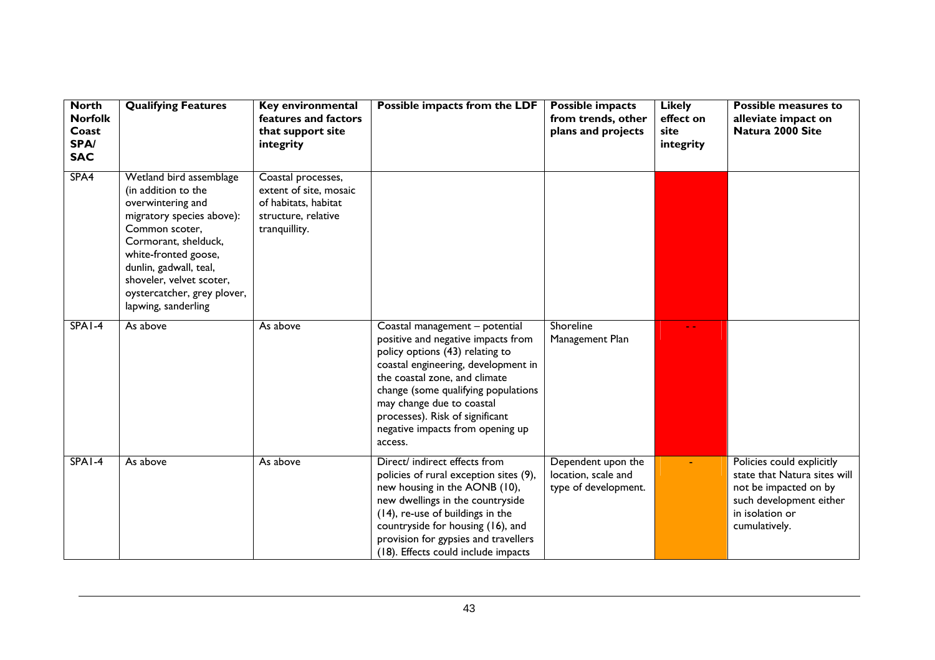| <b>North</b><br><b>Norfolk</b><br>Coast<br><b>SPA/</b><br><b>SAC</b> | <b>Qualifying Features</b>                                                                                                                                                                                                                                                     | Key environmental<br>features and factors<br>that support site<br>integrity                                  | Possible impacts from the LDF                                                                                                                                                                                                                                                                                                         | <b>Possible impacts</b><br>from trends, other<br>plans and projects | <b>Likely</b><br>effect on<br>site<br>integrity | Possible measures to<br>alleviate impact on<br>Natura 2000 Site                                                                                   |
|----------------------------------------------------------------------|--------------------------------------------------------------------------------------------------------------------------------------------------------------------------------------------------------------------------------------------------------------------------------|--------------------------------------------------------------------------------------------------------------|---------------------------------------------------------------------------------------------------------------------------------------------------------------------------------------------------------------------------------------------------------------------------------------------------------------------------------------|---------------------------------------------------------------------|-------------------------------------------------|---------------------------------------------------------------------------------------------------------------------------------------------------|
| SPA4                                                                 | Wetland bird assemblage<br>(in addition to the<br>overwintering and<br>migratory species above):<br>Common scoter,<br>Cormorant, shelduck,<br>white-fronted goose,<br>dunlin, gadwall, teal,<br>shoveler, velvet scoter,<br>oystercatcher, grey plover,<br>lapwing, sanderling | Coastal processes,<br>extent of site, mosaic<br>of habitats, habitat<br>structure, relative<br>tranquillity. |                                                                                                                                                                                                                                                                                                                                       |                                                                     |                                                 |                                                                                                                                                   |
| $SPA1-4$                                                             | As above                                                                                                                                                                                                                                                                       | As above                                                                                                     | Coastal management - potential<br>positive and negative impacts from<br>policy options (43) relating to<br>coastal engineering, development in<br>the coastal zone, and climate<br>change (some qualifying populations<br>may change due to coastal<br>processes). Risk of significant<br>negative impacts from opening up<br>access. | Shoreline<br>Management Plan                                        |                                                 |                                                                                                                                                   |
| SPA1-4                                                               | As above                                                                                                                                                                                                                                                                       | As above                                                                                                     | Direct/ indirect effects from<br>policies of rural exception sites (9),<br>new housing in the AONB (10),<br>new dwellings in the countryside<br>(14), re-use of buildings in the<br>countryside for housing (16), and<br>provision for gypsies and travellers<br>(18). Effects could include impacts                                  | Dependent upon the<br>location, scale and<br>type of development.   |                                                 | Policies could explicitly<br>state that Natura sites will<br>not be impacted on by<br>such development either<br>in isolation or<br>cumulatively. |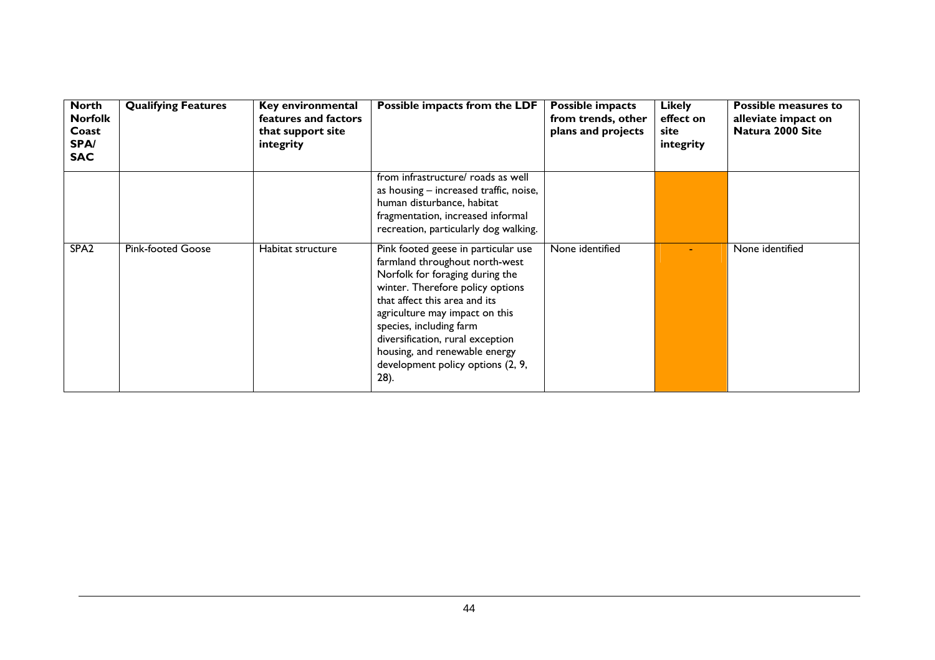| <b>North</b><br><b>Norfolk</b><br>Coast<br>SPA/<br><b>SAC</b> | <b>Qualifying Features</b> | <b>Key environmental</b><br>features and factors<br>that support site<br>integrity | Possible impacts from the LDF                                                                                                                                                                                                                                                                                                                                | <b>Possible impacts</b><br>from trends, other<br>plans and projects | <b>Likely</b><br>effect on<br>site<br>integrity | <b>Possible measures to</b><br>alleviate impact on<br>Natura 2000 Site |
|---------------------------------------------------------------|----------------------------|------------------------------------------------------------------------------------|--------------------------------------------------------------------------------------------------------------------------------------------------------------------------------------------------------------------------------------------------------------------------------------------------------------------------------------------------------------|---------------------------------------------------------------------|-------------------------------------------------|------------------------------------------------------------------------|
|                                                               |                            |                                                                                    | from infrastructure/ roads as well<br>as housing – increased traffic, noise,<br>human disturbance, habitat<br>fragmentation, increased informal<br>recreation, particularly dog walking.                                                                                                                                                                     |                                                                     |                                                 |                                                                        |
| SPA <sub>2</sub>                                              | <b>Pink-footed Goose</b>   | Habitat structure                                                                  | Pink footed geese in particular use<br>farmland throughout north-west<br>Norfolk for foraging during the<br>winter. Therefore policy options<br>that affect this area and its<br>agriculture may impact on this<br>species, including farm<br>diversification, rural exception<br>housing, and renewable energy<br>development policy options (2, 9,<br>28). | None identified                                                     |                                                 | None identified                                                        |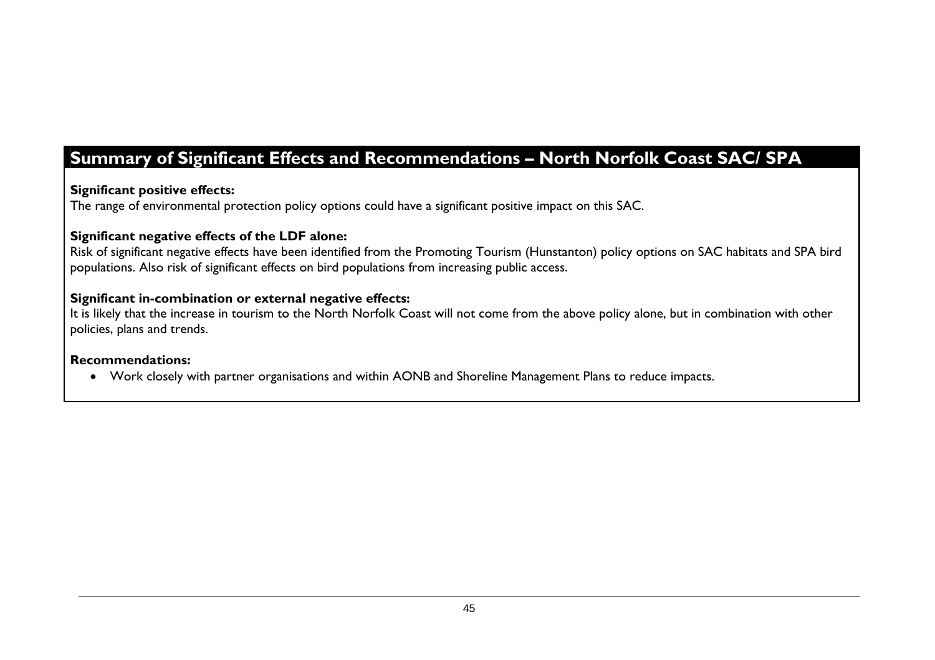# **Summary of Significant Effects and Recommendations – North Norfolk Coast SAC/ SPA**

#### **Significant positive effects:**

The range of environmental protection policy options could have a significant positive impact on this SAC.

#### **Significant negative effects of the LDF alone:**

Risk of significant negative effects have been identified from the Promoting Tourism (Hunstanton) policy options on SAC habitats and SPA bird populations. Also risk of significant effects on bird populations from increasing public access.

#### **Significant in-combination or external negative effects:**

It is likely that the increase in tourism to the North Norfolk Coast will not come from the above policy alone, but in combination with other policies, plans and trends.

#### **Recommendations:**

• Work closely with partner organisations and within AONB and Shoreline Management Plans to reduce impacts.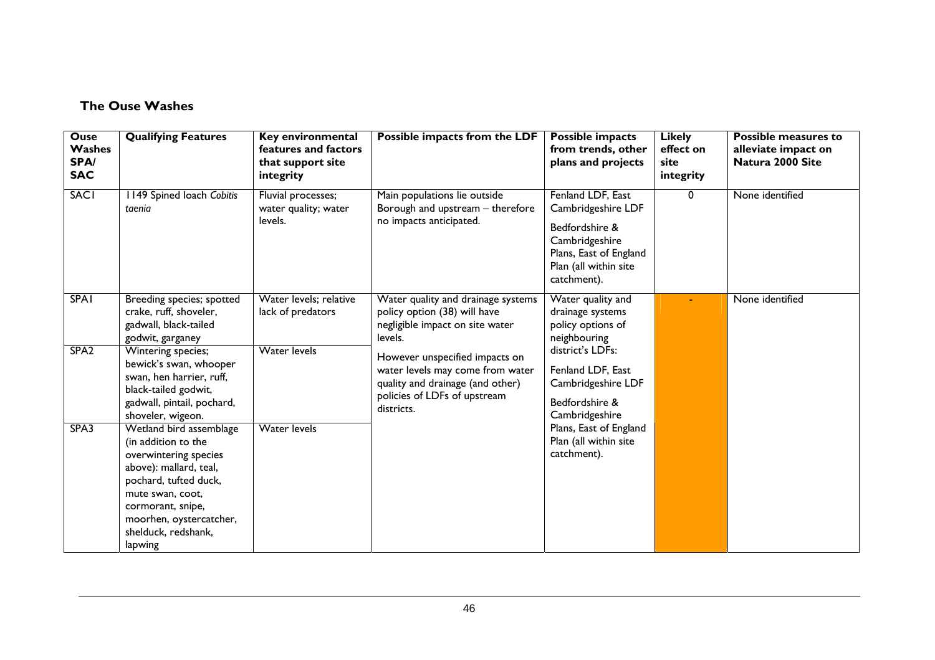#### **The Ouse Washes**

| <b>Ouse</b><br>Washes<br>SPA/<br><b>SAC</b> | <b>Qualifying Features</b>                                                                                                                                                                                                       | Key environmental<br>features and factors<br>that support site<br>integrity | Possible impacts from the LDF                                                                                                                        | <b>Possible impacts</b><br>from trends, other<br>plans and projects                                                                           | <b>Likely</b><br>effect on<br>site<br>integrity | <b>Possible measures to</b><br>alleviate impact on<br>Natura 2000 Site |
|---------------------------------------------|----------------------------------------------------------------------------------------------------------------------------------------------------------------------------------------------------------------------------------|-----------------------------------------------------------------------------|------------------------------------------------------------------------------------------------------------------------------------------------------|-----------------------------------------------------------------------------------------------------------------------------------------------|-------------------------------------------------|------------------------------------------------------------------------|
| <b>SACI</b>                                 | 1149 Spined loach Cobitis<br>taenia                                                                                                                                                                                              | Fluvial processes;<br>water quality; water<br>levels.                       | Main populations lie outside<br>Borough and upstream - therefore<br>no impacts anticipated.                                                          | Fenland LDF, East<br>Cambridgeshire LDF<br>Bedfordshire &<br>Cambridgeshire<br>Plans, East of England<br>Plan (all within site<br>catchment). | 0                                               | None identified                                                        |
| <b>SPA1</b>                                 | Breeding species; spotted<br>crake, ruff, shoveler,<br>gadwall, black-tailed<br>godwit, garganey                                                                                                                                 | Water levels; relative<br>lack of predators                                 | Water quality and drainage systems<br>policy option (38) will have<br>negligible impact on site water<br>levels.                                     | Water quality and<br>drainage systems<br>policy options of<br>neighbouring                                                                    |                                                 | None identified                                                        |
| SPA <sub>2</sub>                            | Wintering species;<br>bewick's swan, whooper<br>swan, hen harrier, ruff,<br>black-tailed godwit,<br>gadwall, pintail, pochard,<br>shoveler, wigeon.                                                                              | <b>Water levels</b>                                                         | However unspecified impacts on<br>water levels may come from water<br>quality and drainage (and other)<br>policies of LDFs of upstream<br>districts. | district's LDFs:<br>Fenland LDF, East<br>Cambridgeshire LDF<br>Bedfordshire &<br>Cambridgeshire                                               |                                                 |                                                                        |
| SPA3                                        | Wetland bird assemblage<br>(in addition to the<br>overwintering species<br>above): mallard, teal,<br>pochard, tufted duck,<br>mute swan, coot,<br>cormorant, snipe,<br>moorhen, oystercatcher,<br>shelduck, redshank,<br>lapwing | <b>Water levels</b>                                                         |                                                                                                                                                      | Plans, East of England<br>Plan (all within site<br>catchment).                                                                                |                                                 |                                                                        |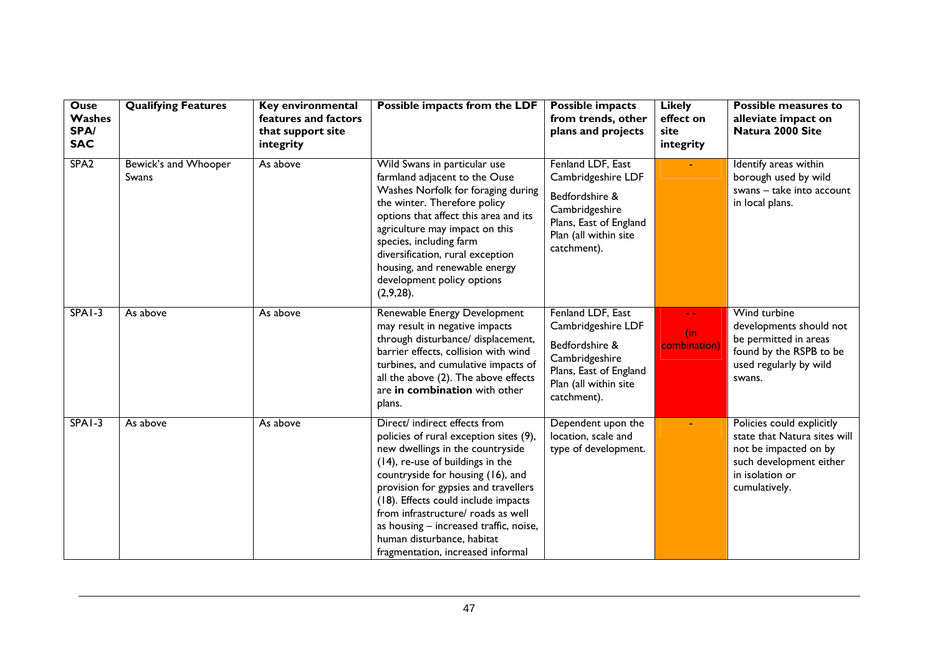| <b>Ouse</b><br>Washes<br>SPA/<br><b>SAC</b> | <b>Qualifying Features</b>    | Key environmental<br>features and factors<br>that support site<br>integrity | Possible impacts from the LDF                                                                                                                                                                                                                                                                                                                                                                                          | <b>Possible impacts</b><br>from trends, other<br>plans and projects                                                                           | <b>Likely</b><br>effect on<br>site<br>integrity | <b>Possible measures to</b><br>alleviate impact on<br>Natura 2000 Site                                                                            |
|---------------------------------------------|-------------------------------|-----------------------------------------------------------------------------|------------------------------------------------------------------------------------------------------------------------------------------------------------------------------------------------------------------------------------------------------------------------------------------------------------------------------------------------------------------------------------------------------------------------|-----------------------------------------------------------------------------------------------------------------------------------------------|-------------------------------------------------|---------------------------------------------------------------------------------------------------------------------------------------------------|
| SPA <sub>2</sub>                            | Bewick's and Whooper<br>Swans | As above                                                                    | Wild Swans in particular use<br>farmland adjacent to the Ouse<br>Washes Norfolk for foraging during<br>the winter. Therefore policy<br>options that affect this area and its<br>agriculture may impact on this<br>species, including farm<br>diversification, rural exception<br>housing, and renewable energy<br>development policy options<br>(2,9,28).                                                              | Fenland LDF, East<br>Cambridgeshire LDF<br>Bedfordshire &<br>Cambridgeshire<br>Plans, East of England<br>Plan (all within site<br>catchment). |                                                 | Identify areas within<br>borough used by wild<br>swans - take into account<br>in local plans.                                                     |
| $SPA1-3$                                    | As above                      | As above                                                                    | Renewable Energy Development<br>may result in negative impacts<br>through disturbance/ displacement,<br>barrier effects, collision with wind<br>turbines, and cumulative impacts of<br>all the above (2). The above effects<br>are in combination with other<br>plans.                                                                                                                                                 | Fenland LDF, East<br>Cambridgeshire LDF<br>Bedfordshire &<br>Cambridgeshire<br>Plans, East of England<br>Plan (all within site<br>catchment). | - -<br>(in<br>combination)                      | Wind turbine<br>developments should not<br>be permitted in areas<br>found by the RSPB to be<br>used regularly by wild<br>swans.                   |
| $SPA1-3$                                    | As above                      | As above                                                                    | Direct/ indirect effects from<br>policies of rural exception sites (9),<br>new dwellings in the countryside<br>(14), re-use of buildings in the<br>countryside for housing (16), and<br>provision for gypsies and travellers<br>(18). Effects could include impacts<br>from infrastructure/ roads as well<br>as housing - increased traffic, noise,<br>human disturbance, habitat<br>fragmentation, increased informal | Dependent upon the<br>location, scale and<br>type of development.                                                                             |                                                 | Policies could explicitly<br>state that Natura sites will<br>not be impacted on by<br>such development either<br>in isolation or<br>cumulatively. |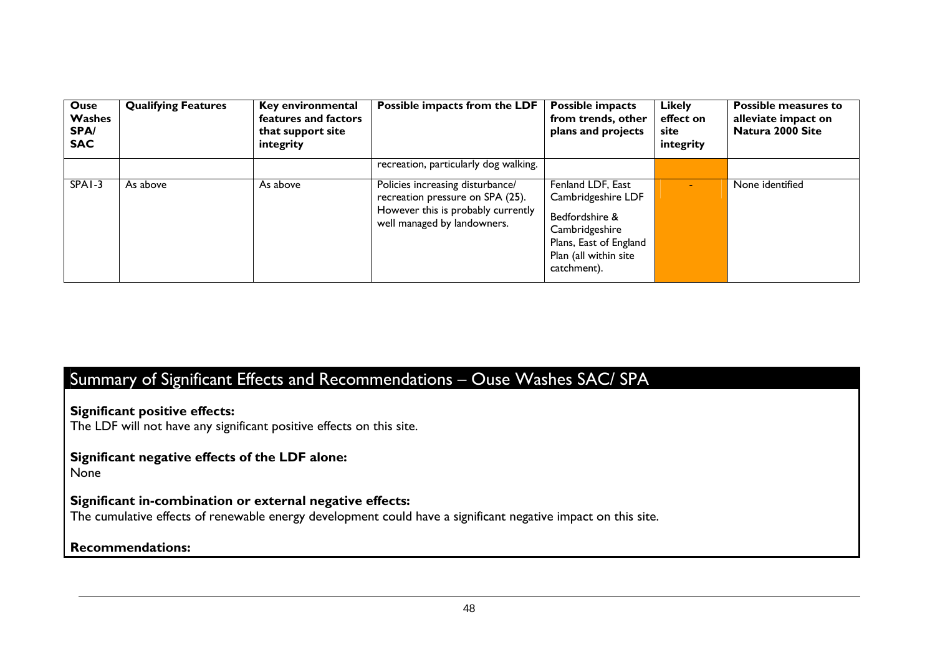| <b>Ouse</b><br>Washes<br>SPA/<br><b>SAC</b> | <b>Qualifying Features</b> | <b>Key environmental</b><br>features and factors<br>that support site<br>integrity | Possible impacts from the LDF                                                                                                             | <b>Possible impacts</b><br>from trends, other<br>plans and projects                                                                           | <b>Likely</b><br>effect on<br>site<br>integrity | Possible measures to<br>alleviate impact on<br>Natura 2000 Site |
|---------------------------------------------|----------------------------|------------------------------------------------------------------------------------|-------------------------------------------------------------------------------------------------------------------------------------------|-----------------------------------------------------------------------------------------------------------------------------------------------|-------------------------------------------------|-----------------------------------------------------------------|
|                                             |                            |                                                                                    | recreation, particularly dog walking.                                                                                                     |                                                                                                                                               |                                                 |                                                                 |
| SPA <sub>1</sub> -3                         | As above                   | As above                                                                           | Policies increasing disturbance/<br>recreation pressure on SPA (25).<br>However this is probably currently<br>well managed by landowners. | Fenland LDF, East<br>Cambridgeshire LDF<br>Bedfordshire &<br>Cambridgeshire<br>Plans, East of England<br>Plan (all within site<br>catchment). |                                                 | None identified                                                 |

# Summary of Significant Effects and Recommendations – Ouse Washes SAC/ SPA

**Significant positive effects:** 

The LDF will not have any significant positive effects on this site.

# **Significant negative effects of the LDF alone:**

None

#### **Significant in-combination or external negative effects:**

The cumulative effects of renewable energy development could have a significant negative impact on this site.

#### **Recommendations:**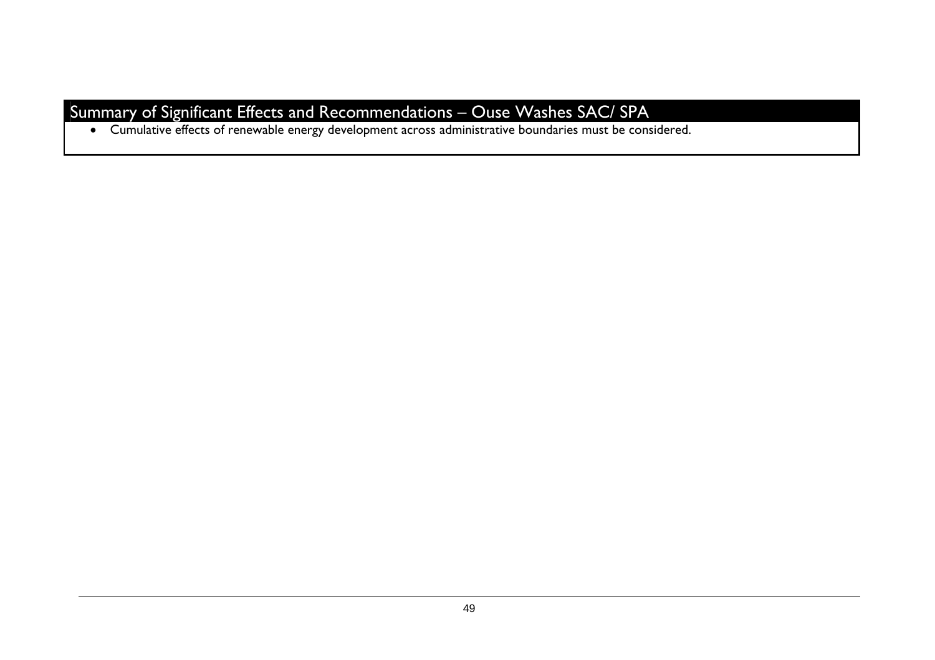# Summary of Significant Effects and Recommendations – Ouse Washes SAC/ SPA

• Cumulative effects of renewable energy development across administrative boundaries must be considered.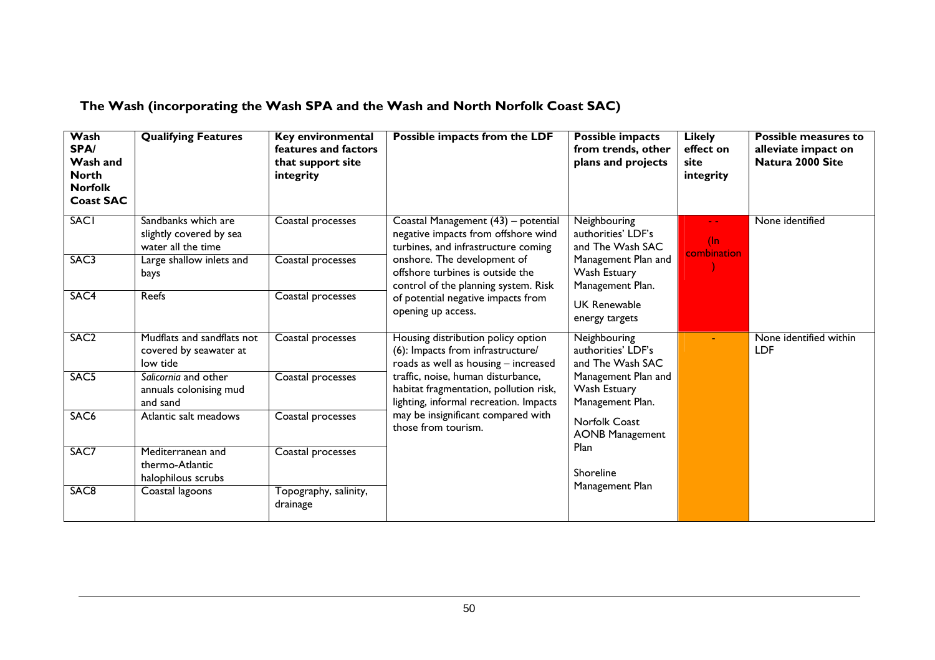# **The Wash (incorporating the Wash SPA and the Wash and North Norfolk Coast SAC)**

| Wash<br><b>SPA/</b><br>Wash and<br><b>North</b><br><b>Norfolk</b><br><b>Coast SAC</b> | <b>Qualifying Features</b>                                           | Key environmental<br>features and factors<br>that support site<br>integrity | Possible impacts from the LDF                                                                                                                                                                                                                                                                          | Possible impacts<br>from trends, other<br>plans and projects | <b>Likely</b><br>effect on<br>site<br>integrity        | Possible measures to<br>alleviate impact on<br>Natura 2000 Site |                 |
|---------------------------------------------------------------------------------------|----------------------------------------------------------------------|-----------------------------------------------------------------------------|--------------------------------------------------------------------------------------------------------------------------------------------------------------------------------------------------------------------------------------------------------------------------------------------------------|--------------------------------------------------------------|--------------------------------------------------------|-----------------------------------------------------------------|-----------------|
| <b>SACI</b>                                                                           | Sandbanks which are<br>slightly covered by sea<br>water all the time | Coastal processes                                                           | Coastal Management (43) - potential<br>negative impacts from offshore wind<br>turbines, and infrastructure coming<br>onshore. The development of<br>offshore turbines is outside the<br>control of the planning system. Risk<br>of potential negative impacts from<br>opening up access.               |                                                              | Neighbouring<br>authorities' LDF's<br>and The Wash SAC | $(\ln$<br>combination                                           | None identified |
| SAC3                                                                                  | Large shallow inlets and<br>bays                                     | Coastal processes                                                           |                                                                                                                                                                                                                                                                                                        | Management Plan and<br>Wash Estuary<br>Management Plan.      |                                                        |                                                                 |                 |
| SAC4                                                                                  | <b>Reefs</b>                                                         | Coastal processes                                                           |                                                                                                                                                                                                                                                                                                        | <b>UK Renewable</b><br>energy targets                        |                                                        |                                                                 |                 |
| SAC <sub>2</sub>                                                                      | Mudflats and sandflats not<br>covered by seawater at<br>low tide     | Coastal processes                                                           | Housing distribution policy option<br>(6): Impacts from infrastructure/<br>roads as well as housing - increased<br>traffic, noise, human disturbance,<br>habitat fragmentation, pollution risk,<br>lighting, informal recreation. Impacts<br>may be insignificant compared with<br>those from tourism. | Neighbouring<br>authorities' LDF's<br>and The Wash SAC       |                                                        | None identified within<br><b>LDF</b>                            |                 |
| SAC <sub>5</sub>                                                                      | Salicornia and other<br>annuals colonising mud<br>and sand           | Coastal processes                                                           |                                                                                                                                                                                                                                                                                                        | Management Plan and<br>Wash Estuary<br>Management Plan.      |                                                        |                                                                 |                 |
| SAC <sub>6</sub>                                                                      | Atlantic salt meadows                                                | Coastal processes                                                           |                                                                                                                                                                                                                                                                                                        | Norfolk Coast<br><b>AONB Management</b>                      |                                                        |                                                                 |                 |
| SAC7                                                                                  | Mediterranean and<br>thermo-Atlantic<br>halophilous scrubs           | Coastal processes                                                           |                                                                                                                                                                                                                                                                                                        | Plan<br>Shoreline                                            |                                                        |                                                                 |                 |
| SAC <sub>8</sub>                                                                      | Coastal lagoons                                                      | Topography, salinity,<br>drainage                                           |                                                                                                                                                                                                                                                                                                        | Management Plan                                              |                                                        |                                                                 |                 |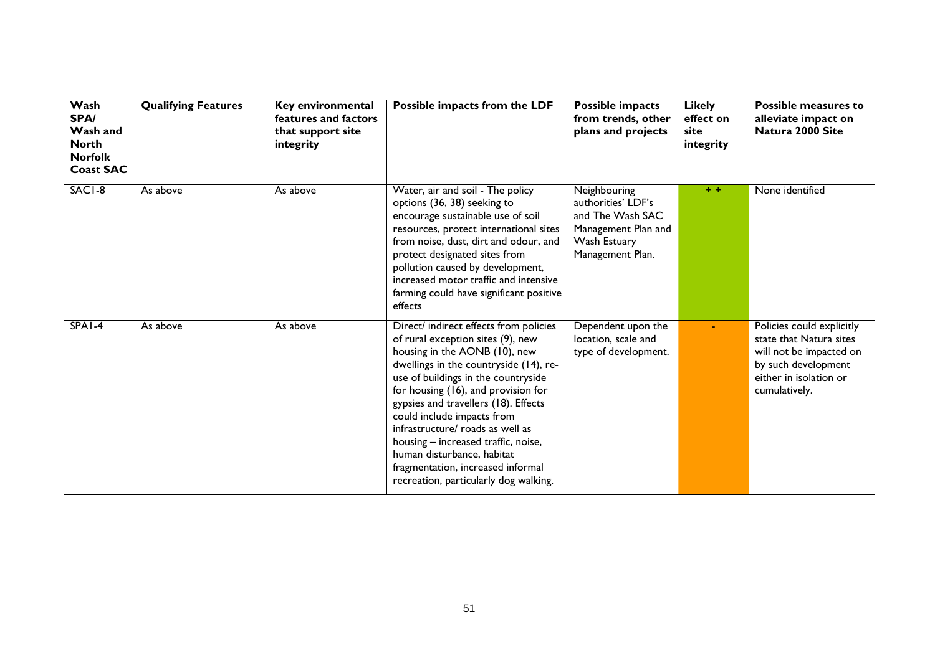| Wash<br>SPA/<br>Wash and<br><b>North</b><br><b>Norfolk</b><br><b>Coast SAC</b> | <b>Qualifying Features</b> | Key environmental<br>features and factors<br>that support site<br>integrity | Possible impacts from the LDF                                                                                                                                                                                                                                                                                                                                                                                                                                                                     | Possible impacts<br>from trends, other<br>plans and projects                                                      | <b>Likely</b><br>effect on<br>site<br>integrity | Possible measures to<br>alleviate impact on<br>Natura 2000 Site                                                                                   |
|--------------------------------------------------------------------------------|----------------------------|-----------------------------------------------------------------------------|---------------------------------------------------------------------------------------------------------------------------------------------------------------------------------------------------------------------------------------------------------------------------------------------------------------------------------------------------------------------------------------------------------------------------------------------------------------------------------------------------|-------------------------------------------------------------------------------------------------------------------|-------------------------------------------------|---------------------------------------------------------------------------------------------------------------------------------------------------|
| SACI-8                                                                         | As above                   | As above                                                                    | Water, air and soil - The policy<br>options (36, 38) seeking to<br>encourage sustainable use of soil<br>resources, protect international sites<br>from noise, dust, dirt and odour, and<br>protect designated sites from<br>pollution caused by development,<br>increased motor traffic and intensive<br>farming could have significant positive<br>effects                                                                                                                                       | Neighbouring<br>authorities' LDF's<br>and The Wash SAC<br>Management Plan and<br>Wash Estuary<br>Management Plan. | $+ +$                                           | None identified                                                                                                                                   |
| $SPA1-4$                                                                       | As above                   | As above                                                                    | Direct/ indirect effects from policies<br>of rural exception sites (9), new<br>housing in the AONB (10), new<br>dwellings in the countryside (14), re-<br>use of buildings in the countryside<br>for housing (16), and provision for<br>gypsies and travellers (18). Effects<br>could include impacts from<br>infrastructure/ roads as well as<br>housing - increased traffic, noise,<br>human disturbance, habitat<br>fragmentation, increased informal<br>recreation, particularly dog walking. | Dependent upon the<br>location, scale and<br>type of development.                                                 |                                                 | Policies could explicitly<br>state that Natura sites<br>will not be impacted on<br>by such development<br>either in isolation or<br>cumulatively. |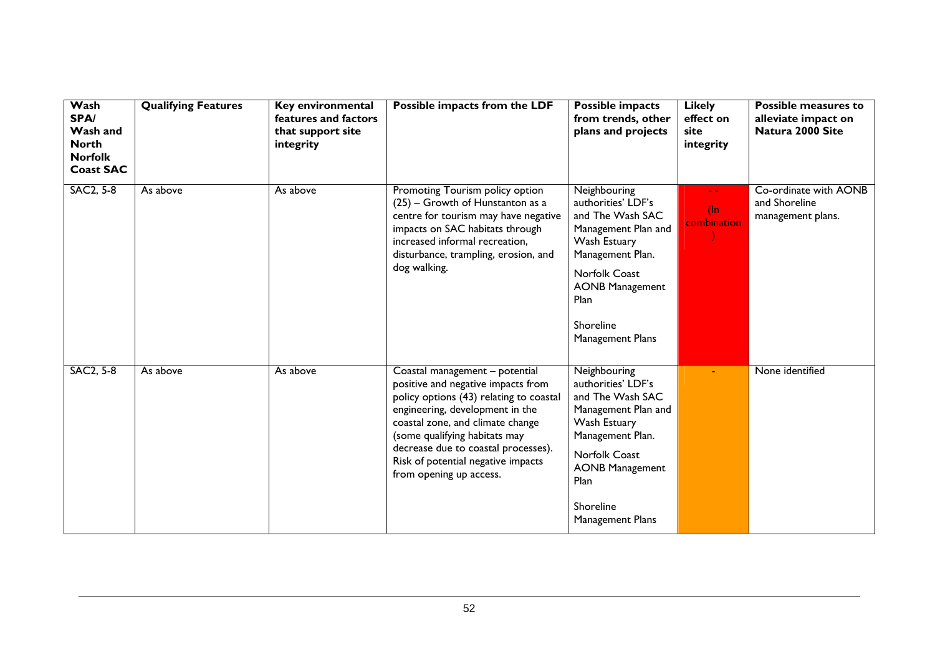| Wash<br>SPA/<br>Wash and<br><b>North</b><br><b>Norfolk</b><br><b>Coast SAC</b> | <b>Qualifying Features</b> | Key environmental<br>features and factors<br>that support site<br>integrity | Possible impacts from the LDF                                                                                                                                                                                                                                                                                                   | <b>Possible impacts</b><br>from trends, other<br>plans and projects                                                                                                                                   | <b>Likely</b><br>effect on<br>site<br>integrity | Possible measures to<br>alleviate impact on<br>Natura 2000 Site |
|--------------------------------------------------------------------------------|----------------------------|-----------------------------------------------------------------------------|---------------------------------------------------------------------------------------------------------------------------------------------------------------------------------------------------------------------------------------------------------------------------------------------------------------------------------|-------------------------------------------------------------------------------------------------------------------------------------------------------------------------------------------------------|-------------------------------------------------|-----------------------------------------------------------------|
| <b>SAC2, 5-8</b>                                                               | As above                   | As above                                                                    | Promoting Tourism policy option<br>(25) – Growth of Hunstanton as a<br>centre for tourism may have negative<br>impacts on SAC habitats through<br>increased informal recreation,<br>disturbance, trampling, erosion, and<br>dog walking.                                                                                        | Neighbouring<br>authorities' LDF's<br>and The Wash SAC<br>Management Plan and<br>Wash Estuary<br>Management Plan.<br>Norfolk Coast<br><b>AONB Management</b><br>Plan<br>Shoreline<br>Management Plans | $(\ln$<br>combination                           | Co-ordinate with AONB<br>and Shoreline<br>management plans.     |
| <b>SAC2, 5-8</b>                                                               | As above                   | As above                                                                    | Coastal management - potential<br>positive and negative impacts from<br>policy options (43) relating to coastal<br>engineering, development in the<br>coastal zone, and climate change<br>(some qualifying habitats may<br>decrease due to coastal processes).<br>Risk of potential negative impacts<br>from opening up access. | Neighbouring<br>authorities' LDF's<br>and The Wash SAC<br>Management Plan and<br>Wash Estuary<br>Management Plan.<br>Norfolk Coast<br><b>AONB Management</b><br>Plan<br>Shoreline<br>Management Plans |                                                 | None identified                                                 |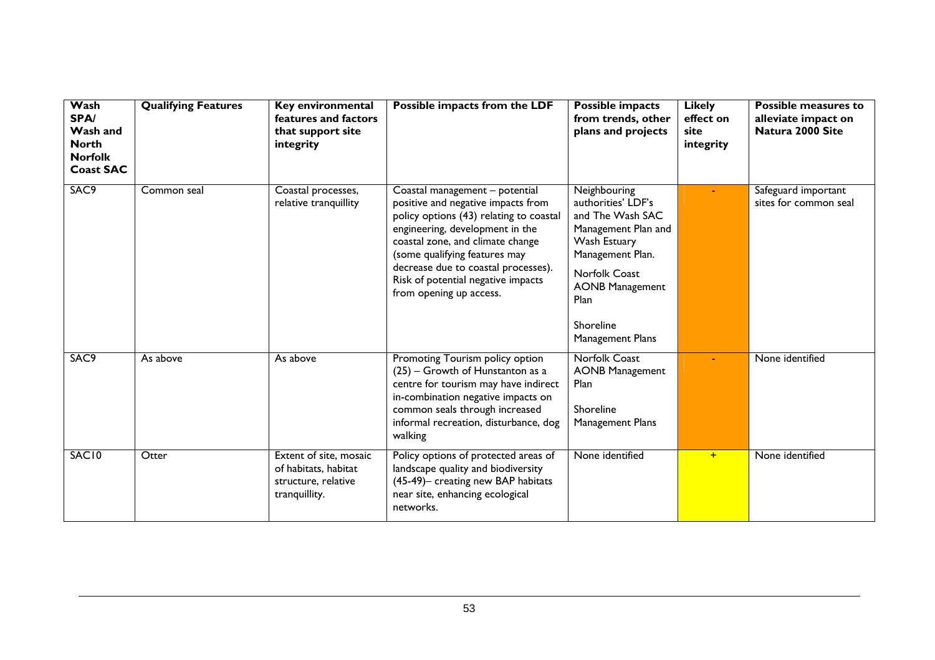| Wash<br>SPA/<br>Wash and<br><b>North</b><br><b>Norfolk</b><br><b>Coast SAC</b> | <b>Qualifying Features</b> | Key environmental<br>features and factors<br>that support site<br>integrity            | Possible impacts from the LDF                                                                                                                                                                                                                                                                                                   | <b>Possible impacts</b><br>from trends, other<br>plans and projects                                                                                                                                   | <b>Likely</b><br>effect on<br>site<br>integrity | <b>Possible measures to</b><br>alleviate impact on<br>Natura 2000 Site |
|--------------------------------------------------------------------------------|----------------------------|----------------------------------------------------------------------------------------|---------------------------------------------------------------------------------------------------------------------------------------------------------------------------------------------------------------------------------------------------------------------------------------------------------------------------------|-------------------------------------------------------------------------------------------------------------------------------------------------------------------------------------------------------|-------------------------------------------------|------------------------------------------------------------------------|
| SAC9                                                                           | Common seal                | Coastal processes,<br>relative tranquillity                                            | Coastal management - potential<br>positive and negative impacts from<br>policy options (43) relating to coastal<br>engineering, development in the<br>coastal zone, and climate change<br>(some qualifying features may<br>decrease due to coastal processes).<br>Risk of potential negative impacts<br>from opening up access. | Neighbouring<br>authorities' LDF's<br>and The Wash SAC<br>Management Plan and<br>Wash Estuary<br>Management Plan.<br>Norfolk Coast<br><b>AONB Management</b><br>Plan<br>Shoreline<br>Management Plans |                                                 | Safeguard important<br>sites for common seal                           |
| SAC9                                                                           | As above                   | As above                                                                               | Promoting Tourism policy option<br>(25) - Growth of Hunstanton as a<br>centre for tourism may have indirect<br>in-combination negative impacts on<br>common seals through increased<br>informal recreation, disturbance, dog<br>walking                                                                                         | <b>Norfolk Coast</b><br><b>AONB Management</b><br>Plan<br>Shoreline<br>Management Plans                                                                                                               |                                                 | None identified                                                        |
| SAC <sub>10</sub>                                                              | Otter                      | Extent of site, mosaic<br>of habitats, habitat<br>structure, relative<br>tranquillity. | Policy options of protected areas of<br>landscape quality and biodiversity<br>(45-49)- creating new BAP habitats<br>near site, enhancing ecological<br>networks.                                                                                                                                                                | None identified                                                                                                                                                                                       | $+$                                             | None identified                                                        |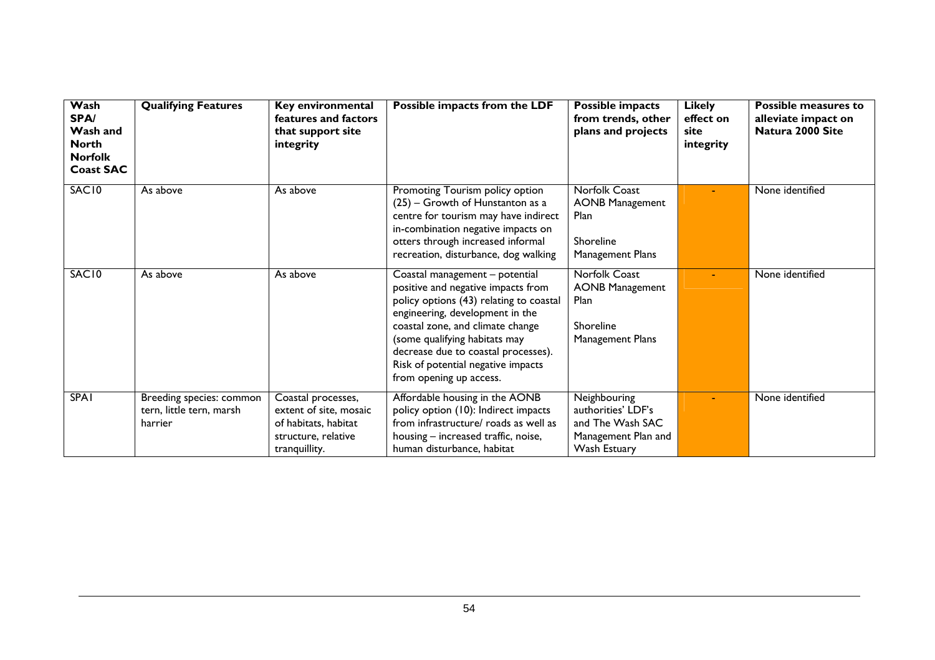| Wash<br><b>SPA/</b><br>Wash and<br><b>North</b><br><b>Norfolk</b><br><b>Coast SAC</b> | <b>Qualifying Features</b>                                      | Key environmental<br>features and factors<br>that support site<br>integrity                                  | Possible impacts from the LDF                                                                                                                                                                                                                                                                                                   | <b>Possible impacts</b><br>from trends, other<br>plans and projects                           | <b>Likely</b><br>effect on<br>site<br>integrity | Possible measures to<br>alleviate impact on<br>Natura 2000 Site |
|---------------------------------------------------------------------------------------|-----------------------------------------------------------------|--------------------------------------------------------------------------------------------------------------|---------------------------------------------------------------------------------------------------------------------------------------------------------------------------------------------------------------------------------------------------------------------------------------------------------------------------------|-----------------------------------------------------------------------------------------------|-------------------------------------------------|-----------------------------------------------------------------|
| SAC10                                                                                 | As above                                                        | As above                                                                                                     | Promoting Tourism policy option<br>(25) – Growth of Hunstanton as a<br>centre for tourism may have indirect<br>in-combination negative impacts on<br>otters through increased informal<br>recreation, disturbance, dog walking                                                                                                  | Norfolk Coast<br><b>AONB Management</b><br><b>Plan</b><br>Shoreline<br>Management Plans       |                                                 | None identified                                                 |
| SAC <sub>10</sub>                                                                     | As above                                                        | As above                                                                                                     | Coastal management - potential<br>positive and negative impacts from<br>policy options (43) relating to coastal<br>engineering, development in the<br>coastal zone, and climate change<br>(some qualifying habitats may<br>decrease due to coastal processes).<br>Risk of potential negative impacts<br>from opening up access. | <b>Norfolk Coast</b><br><b>AONB Management</b><br>Plan<br>Shoreline<br>Management Plans       |                                                 | None identified                                                 |
| <b>SPA1</b>                                                                           | Breeding species: common<br>tern, little tern, marsh<br>harrier | Coastal processes,<br>extent of site, mosaic<br>of habitats, habitat<br>structure, relative<br>tranquillity. | Affordable housing in the AONB<br>policy option (10): Indirect impacts<br>from infrastructure/ roads as well as<br>housing - increased traffic, noise,<br>human disturbance, habitat                                                                                                                                            | Neighbouring<br>authorities' LDF's<br>and The Wash SAC<br>Management Plan and<br>Wash Estuary |                                                 | None identified                                                 |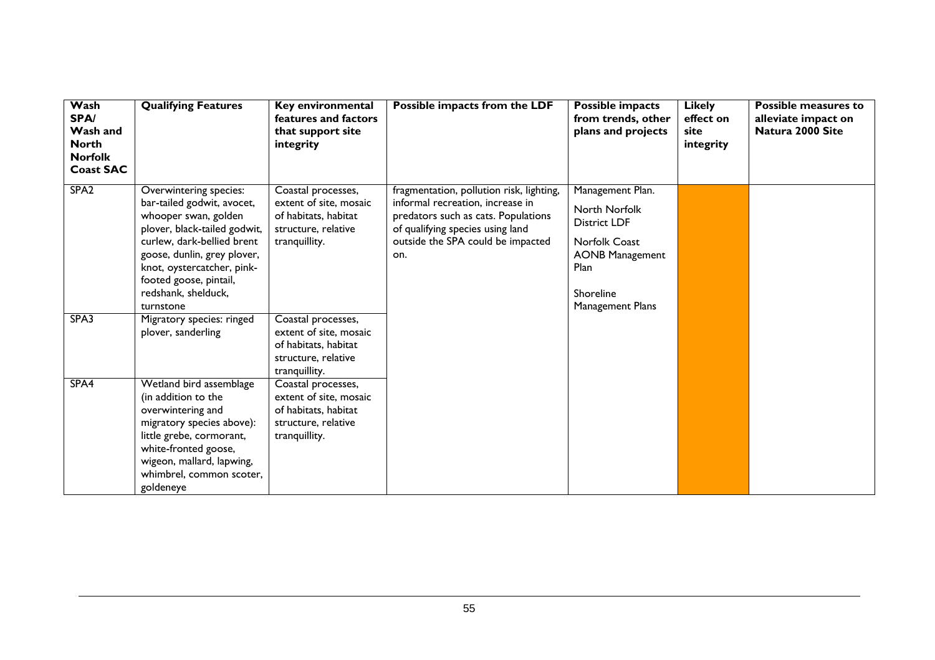| Wash<br>SPA/<br>Wash and<br><b>North</b> | <b>Qualifying Features</b>                                                                                                                                                                                                                                            | Key environmental<br>features and factors<br>that support site<br>integrity                                  | Possible impacts from the LDF                                                                                                                                                                       | <b>Possible impacts</b><br>from trends, other<br>plans and projects                                                                                 | <b>Likely</b><br>effect on<br>site<br>integrity | Possible measures to<br>alleviate impact on<br>Natura 2000 Site |
|------------------------------------------|-----------------------------------------------------------------------------------------------------------------------------------------------------------------------------------------------------------------------------------------------------------------------|--------------------------------------------------------------------------------------------------------------|-----------------------------------------------------------------------------------------------------------------------------------------------------------------------------------------------------|-----------------------------------------------------------------------------------------------------------------------------------------------------|-------------------------------------------------|-----------------------------------------------------------------|
| <b>Norfolk</b><br><b>Coast SAC</b>       |                                                                                                                                                                                                                                                                       |                                                                                                              |                                                                                                                                                                                                     |                                                                                                                                                     |                                                 |                                                                 |
| SPA <sub>2</sub>                         | Overwintering species:<br>bar-tailed godwit, avocet,<br>whooper swan, golden<br>plover, black-tailed godwit,<br>curlew, dark-bellied brent<br>goose, dunlin, grey plover,<br>knot, oystercatcher, pink-<br>footed goose, pintail,<br>redshank, shelduck,<br>turnstone | Coastal processes,<br>extent of site, mosaic<br>of habitats, habitat<br>structure, relative<br>tranquillity. | fragmentation, pollution risk, lighting,<br>informal recreation, increase in<br>predators such as cats. Populations<br>of qualifying species using land<br>outside the SPA could be impacted<br>on. | Management Plan.<br>North Norfolk<br><b>District LDF</b><br><b>Norfolk Coast</b><br><b>AONB Management</b><br>Plan<br>Shoreline<br>Management Plans |                                                 |                                                                 |
| SPA3                                     | Migratory species: ringed<br>plover, sanderling                                                                                                                                                                                                                       | Coastal processes,<br>extent of site, mosaic<br>of habitats, habitat<br>structure, relative<br>tranquillity. |                                                                                                                                                                                                     |                                                                                                                                                     |                                                 |                                                                 |
| SPA4                                     | Wetland bird assemblage<br>(in addition to the<br>overwintering and<br>migratory species above):<br>little grebe, cormorant,<br>white-fronted goose,<br>wigeon, mallard, lapwing,<br>whimbrel, common scoter,<br>goldeneye                                            | Coastal processes,<br>extent of site, mosaic<br>of habitats, habitat<br>structure, relative<br>tranquillity. |                                                                                                                                                                                                     |                                                                                                                                                     |                                                 |                                                                 |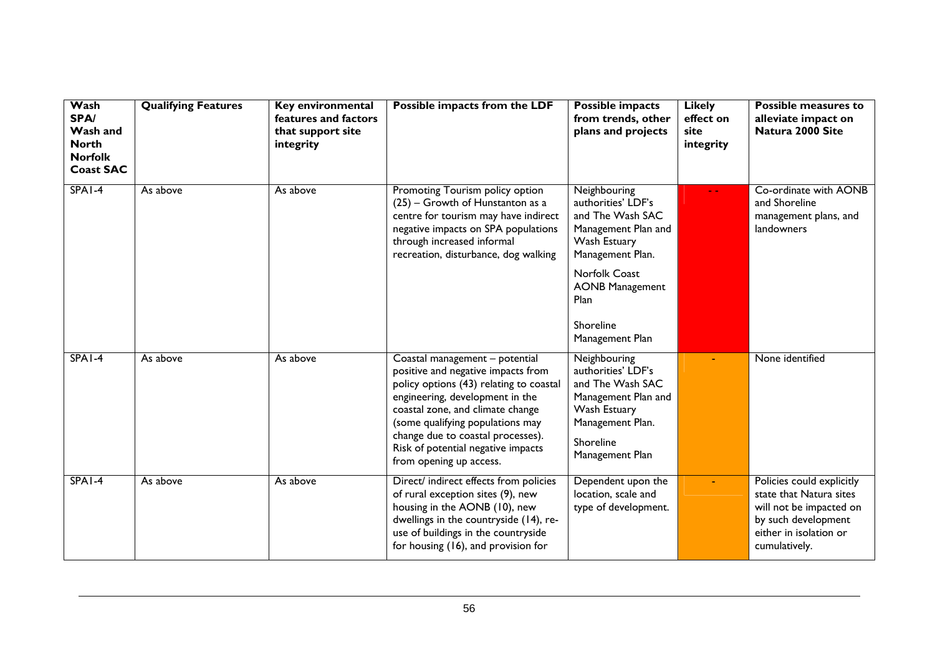| Wash<br>SPA/<br>Wash and<br><b>North</b><br><b>Norfolk</b><br><b>Coast SAC</b> | <b>Qualifying Features</b> | Key environmental<br>features and factors<br>that support site<br>integrity | Possible impacts from the LDF                                                                                                                                                                                                                                                                                                    | <b>Possible impacts</b><br>from trends, other<br>plans and projects                                                                                                                                         | <b>Likely</b><br>effect on<br>site<br>integrity | Possible measures to<br>alleviate impact on<br>Natura 2000 Site                                                                                   |
|--------------------------------------------------------------------------------|----------------------------|-----------------------------------------------------------------------------|----------------------------------------------------------------------------------------------------------------------------------------------------------------------------------------------------------------------------------------------------------------------------------------------------------------------------------|-------------------------------------------------------------------------------------------------------------------------------------------------------------------------------------------------------------|-------------------------------------------------|---------------------------------------------------------------------------------------------------------------------------------------------------|
| SPA1-4                                                                         | As above                   | As above                                                                    | Promoting Tourism policy option<br>(25) - Growth of Hunstanton as a<br>centre for tourism may have indirect<br>negative impacts on SPA populations<br>through increased informal<br>recreation, disturbance, dog walking                                                                                                         | Neighbouring<br>authorities' LDF's<br>and The Wash SAC<br>Management Plan and<br>Wash Estuary<br>Management Plan.<br><b>Norfolk Coast</b><br><b>AONB Management</b><br>Plan<br>Shoreline<br>Management Plan |                                                 | Co-ordinate with AONB<br>and Shoreline<br>management plans, and<br>landowners                                                                     |
| $SPA1-4$                                                                       | As above                   | As above                                                                    | Coastal management - potential<br>positive and negative impacts from<br>policy options (43) relating to coastal<br>engineering, development in the<br>coastal zone, and climate change<br>(some qualifying populations may<br>change due to coastal processes).<br>Risk of potential negative impacts<br>from opening up access. | Neighbouring<br>authorities' LDF's<br>and The Wash SAC<br>Management Plan and<br>Wash Estuary<br>Management Plan.<br>Shoreline<br>Management Plan                                                           |                                                 | None identified                                                                                                                                   |
| $SPA1-4$                                                                       | As above                   | As above                                                                    | Direct/ indirect effects from policies<br>of rural exception sites (9), new<br>housing in the AONB (10), new<br>dwellings in the countryside (14), re-<br>use of buildings in the countryside<br>for housing (16), and provision for                                                                                             | Dependent upon the<br>location, scale and<br>type of development.                                                                                                                                           |                                                 | Policies could explicitly<br>state that Natura sites<br>will not be impacted on<br>by such development<br>either in isolation or<br>cumulatively. |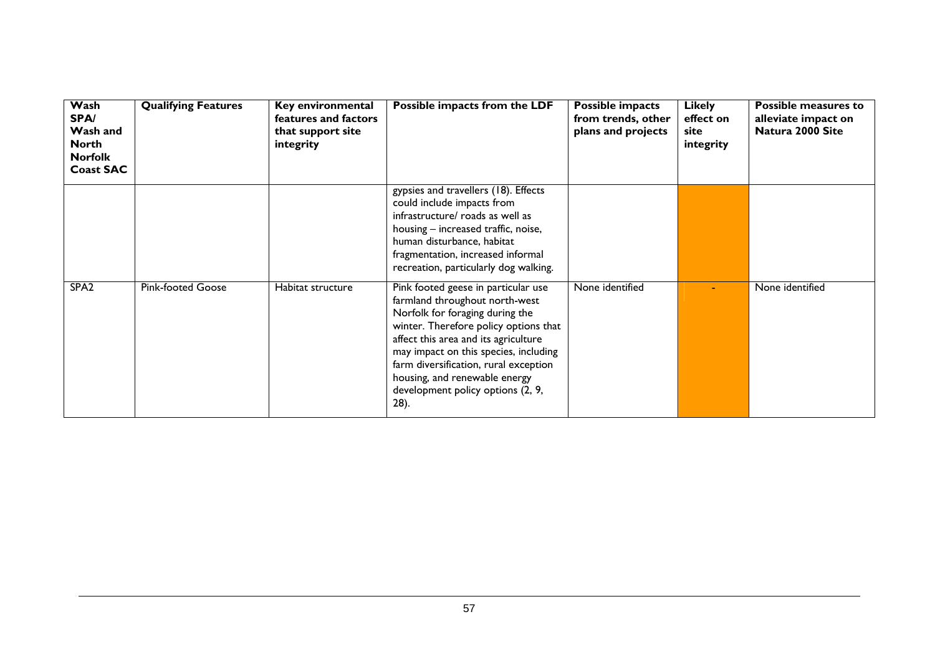| Wash<br><b>SPA/</b><br>Wash and<br><b>North</b><br><b>Norfolk</b><br><b>Coast SAC</b> | <b>Qualifying Features</b> | Key environmental<br>features and factors<br>that support site<br>integrity | Possible impacts from the LDF                                                                                                                                                                                                                                                                                                                             | Possible impacts<br>from trends, other<br>plans and projects | <b>Likely</b><br>effect on<br>site<br>integrity | <b>Possible measures to</b><br>alleviate impact on<br>Natura 2000 Site |
|---------------------------------------------------------------------------------------|----------------------------|-----------------------------------------------------------------------------|-----------------------------------------------------------------------------------------------------------------------------------------------------------------------------------------------------------------------------------------------------------------------------------------------------------------------------------------------------------|--------------------------------------------------------------|-------------------------------------------------|------------------------------------------------------------------------|
|                                                                                       |                            |                                                                             | gypsies and travellers (18). Effects<br>could include impacts from<br>infrastructure/ roads as well as<br>housing - increased traffic, noise,<br>human disturbance, habitat<br>fragmentation, increased informal<br>recreation, particularly dog walking.                                                                                                 |                                                              |                                                 |                                                                        |
| SPA <sub>2</sub>                                                                      | <b>Pink-footed Goose</b>   | Habitat structure                                                           | Pink footed geese in particular use<br>farmland throughout north-west<br>Norfolk for foraging during the<br>winter. Therefore policy options that<br>affect this area and its agriculture<br>may impact on this species, including<br>farm diversification, rural exception<br>housing, and renewable energy<br>development policy options (2, 9,<br>28). | None identified                                              |                                                 | None identified                                                        |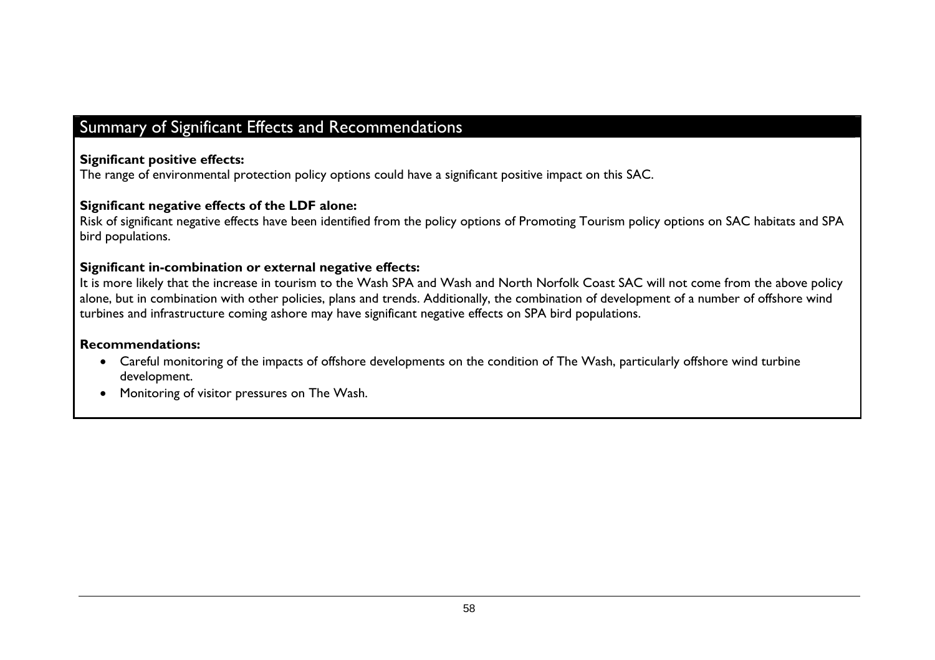# Summary of Significant Effects and Recommendations

#### **Significant positive effects:**

The range of environmental protection policy options could have a significant positive impact on this SAC.

#### **Significant negative effects of the LDF alone:**

Risk of significant negative effects have been identified from the policy options of Promoting Tourism policy options on SAC habitats and SPA bird populations.

#### **Significant in-combination or external negative effects:**

It is more likely that the increase in tourism to the Wash SPA and Wash and North Norfolk Coast SAC will not come from the above policy alone, but in combination with other policies, plans and trends. Additionally, the combination of development of a number of offshore wind turbines and infrastructure coming ashore may have significant negative effects on SPA bird populations.

#### **Recommendations:**

- Careful monitoring of the impacts of offshore developments on the condition of The Wash, particularly offshore wind turbine development.
- Monitoring of visitor pressures on The Wash.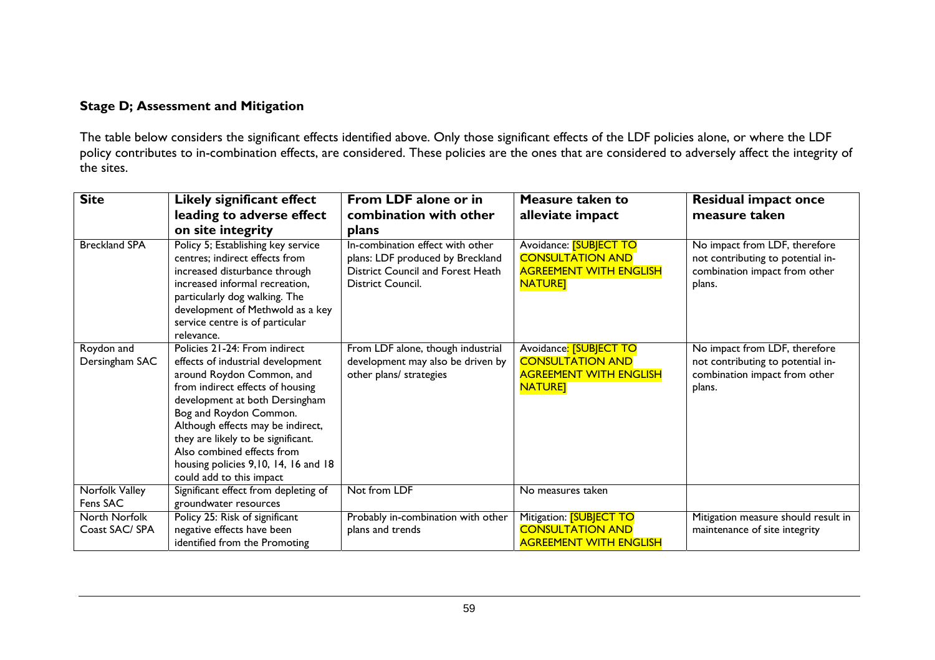#### **Stage D; Assessment and Mitigation**

The table below considers the significant effects identified above. Only those significant effects of the LDF policies alone, or where the LDF policy contributes to in-combination effects, are considered. These policies are the ones that are considered to adversely affect the integrity of the sites.

| <b>Site</b>                     | Likely significant effect                                                                                                                                                                                                                                                                                                                                                    | From LDF alone or in                                                                                                           | Measure taken to                                                                                            | <b>Residual impact once</b>                                                                                   |
|---------------------------------|------------------------------------------------------------------------------------------------------------------------------------------------------------------------------------------------------------------------------------------------------------------------------------------------------------------------------------------------------------------------------|--------------------------------------------------------------------------------------------------------------------------------|-------------------------------------------------------------------------------------------------------------|---------------------------------------------------------------------------------------------------------------|
|                                 | leading to adverse effect                                                                                                                                                                                                                                                                                                                                                    | combination with other                                                                                                         | alleviate impact                                                                                            | measure taken                                                                                                 |
|                                 | on site integrity                                                                                                                                                                                                                                                                                                                                                            | plans                                                                                                                          |                                                                                                             |                                                                                                               |
| <b>Breckland SPA</b>            | Policy 5; Establishing key service<br>centres; indirect effects from<br>increased disturbance through<br>increased informal recreation,<br>particularly dog walking. The<br>development of Methwold as a key<br>service centre is of particular<br>relevance.                                                                                                                | In-combination effect with other<br>plans: LDF produced by Breckland<br>District Council and Forest Heath<br>District Council. | Avoidance: <b>[SUBJECT TO</b><br><b>CONSULTATION AND</b><br><b>AGREEMENT WITH ENGLISH</b><br><b>NATURE]</b> | No impact from LDF, therefore<br>not contributing to potential in-<br>combination impact from other<br>plans. |
| Roydon and<br>Dersingham SAC    | Policies 21-24: From indirect<br>effects of industrial development<br>around Roydon Common, and<br>from indirect effects of housing<br>development at both Dersingham<br>Bog and Roydon Common.<br>Although effects may be indirect,<br>they are likely to be significant.<br>Also combined effects from<br>housing policies 9,10, 14, 16 and 18<br>could add to this impact | From LDF alone, though industrial<br>development may also be driven by<br>other plans/ strategies                              | Avoidance: [SUBJECT TO<br><b>CONSULTATION AND</b><br><b>AGREEMENT WITH ENGLISH</b><br><b>NATURET</b>        | No impact from LDF, therefore<br>not contributing to potential in-<br>combination impact from other<br>plans. |
| Norfolk Valley<br>Fens SAC      | Significant effect from depleting of<br>groundwater resources                                                                                                                                                                                                                                                                                                                | Not from LDF                                                                                                                   | No measures taken                                                                                           |                                                                                                               |
| North Norfolk<br>Coast SAC/ SPA | Policy 25: Risk of significant<br>negative effects have been<br>identified from the Promoting                                                                                                                                                                                                                                                                                | Probably in-combination with other<br>plans and trends                                                                         | Mitigation: <b>[SUBJECT TO</b><br><b>CONSULTATION AND</b><br><b>AGREEMENT WITH ENGLISH</b>                  | Mitigation measure should result in<br>maintenance of site integrity                                          |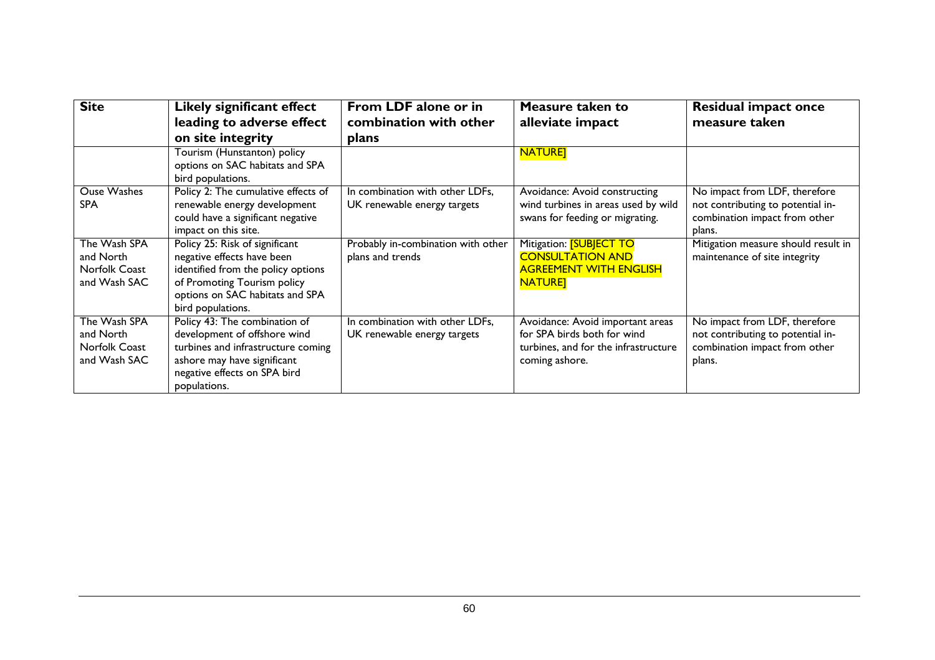| <b>Site</b>        | Likely significant effect           | From LDF alone or in               | Measure taken to                     | Residual impact once                |
|--------------------|-------------------------------------|------------------------------------|--------------------------------------|-------------------------------------|
|                    | leading to adverse effect           | combination with other             | alleviate impact                     | measure taken                       |
|                    | on site integrity                   | plans                              |                                      |                                     |
|                    | Tourism (Hunstanton) policy         |                                    | <b>NATURE</b>                        |                                     |
|                    | options on SAC habitats and SPA     |                                    |                                      |                                     |
|                    | bird populations.                   |                                    |                                      |                                     |
| <b>Ouse Washes</b> | Policy 2: The cumulative effects of | In combination with other LDFs,    | Avoidance: Avoid constructing        | No impact from LDF, therefore       |
| <b>SPA</b>         | renewable energy development        | UK renewable energy targets        | wind turbines in areas used by wild  | not contributing to potential in-   |
|                    | could have a significant negative   |                                    | swans for feeding or migrating.      | combination impact from other       |
|                    | impact on this site.                |                                    |                                      | plans.                              |
| The Wash SPA       | Policy 25: Risk of significant      | Probably in-combination with other | Mitigation: <b>[SUBJECT TO</b>       | Mitigation measure should result in |
| and North          | negative effects have been          | plans and trends                   | <b>CONSULTATION AND</b>              | maintenance of site integrity       |
| Norfolk Coast      | identified from the policy options  |                                    | <b>AGREEMENT WITH ENGLISH</b>        |                                     |
| and Wash SAC       | of Promoting Tourism policy         |                                    | <b>NATURE]</b>                       |                                     |
|                    | options on SAC habitats and SPA     |                                    |                                      |                                     |
|                    | bird populations.                   |                                    |                                      |                                     |
| The Wash SPA       | Policy 43: The combination of       | In combination with other LDFs,    | Avoidance: Avoid important areas     | No impact from LDF, therefore       |
| and North          | development of offshore wind        | UK renewable energy targets        | for SPA birds both for wind          | not contributing to potential in-   |
| Norfolk Coast      | turbines and infrastructure coming  |                                    | turbines, and for the infrastructure | combination impact from other       |
| and Wash SAC       | ashore may have significant         |                                    | coming ashore.                       | plans.                              |
|                    | negative effects on SPA bird        |                                    |                                      |                                     |
|                    | populations.                        |                                    |                                      |                                     |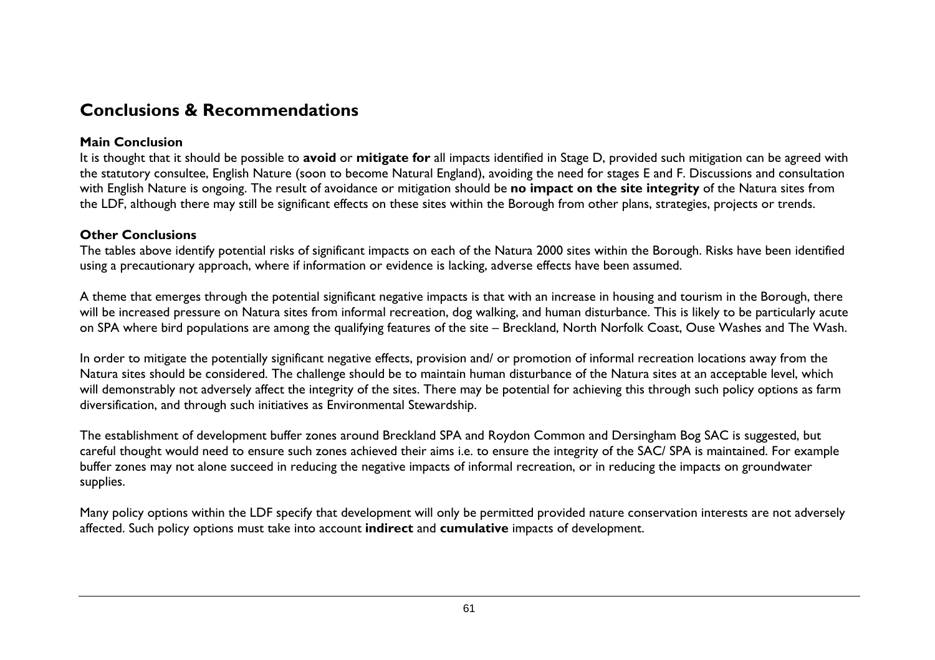# **Conclusions & Recommendations**

#### **Main Conclusion**

It is thought that it should be possible to **avoid** or **mitigate for** all impacts identified in Stage D, provided such mitigation can be agreed with the statutory consultee, English Nature (soon to become Natural England), avoiding the need for stages E and F. Discussions and consultation with English Nature is ongoing. The result of avoidance or mitigation should be **no impact on the site integrity** of the Natura sites from the LDF, although there may still be significant effects on these sites within the Borough from other plans, strategies, projects or trends.

#### **Other Conclusions**

The tables above identify potential risks of significant impacts on each of the Natura 2000 sites within the Borough. Risks have been identified using a precautionary approach, where if information or evidence is lacking, adverse effects have been assumed.

A theme that emerges through the potential significant negative impacts is that with an increase in housing and tourism in the Borough, there will be increased pressure on Natura sites from informal recreation, dog walking, and human disturbance. This is likely to be particularly acute on SPA where bird populations are among the qualifying features of the site – Breckland, North Norfolk Coast, Ouse Washes and The Wash.

In order to mitigate the potentially significant negative effects, provision and/ or promotion of informal recreation locations away from the Natura sites should be considered. The challenge should be to maintain human disturbance of the Natura sites at an acceptable level, which will demonstrably not adversely affect the integrity of the sites. There may be potential for achieving this through such policy options as farm diversification, and through such initiatives as Environmental Stewardship.

The establishment of development buffer zones around Breckland SPA and Roydon Common and Dersingham Bog SAC is suggested, but careful thought would need to ensure such zones achieved their aims i.e. to ensure the integrity of the SAC/ SPA is maintained. For example buffer zones may not alone succeed in reducing the negative impacts of informal recreation, or in reducing the impacts on groundwater supplies.

Many policy options within the LDF specify that development will only be permitted provided nature conservation interests are not adversely affected. Such policy options must take into account **indirect** and **cumulative** impacts of development.